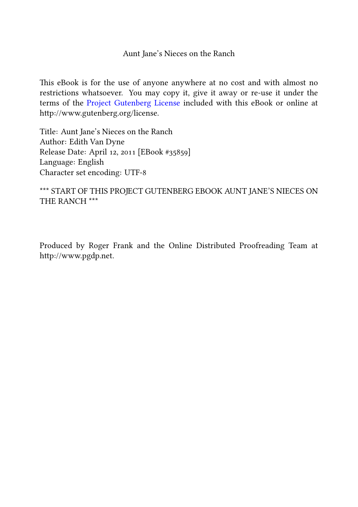Aunt Jane's Nieces on the Ranch

This eBook is for the use of anyone anywhere at no cost and with almost no restrictions whatsoever. You may copy it, give it away or re-use it under the terms of the Project Gutenberg License included with this eBook or online at http://www.gutenberg.org/license.

Title: Aunt Jane's Nieces on the Ranch Author: Edith Van Dyne Release Date: April 12, 2011 [EBook #35859] Language: English Character set encoding: UTF-

\*\*\* START OF THIS PROJECT GUTENBERG EBOOK AUNT JANE'S NIECES ON THE RANCH \*\*\*

Produced by Roger Frank and the Online Distributed Proofreading Team at hp://www.pgdp.net.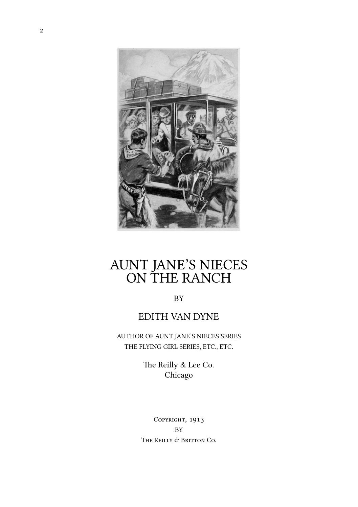

#### AUNT JANE'S NIECES ON THE RANCH

BY

#### EDITH VAN DYNE

AUTHOR OF AUNT JANE'S NIECES SERIES THE FLYING GIRL SERIES, ETC., ETC.

> The Reilly & Lee Co. Chicago

COPYRIGHT, 1913 **BY** THE REILLY  $\phi$  Britton Co.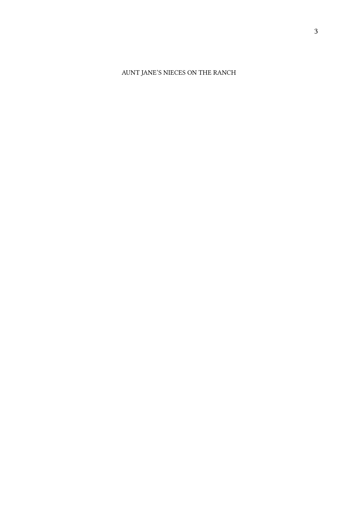#### AUNT JANE'S NIECES ON THE RANCH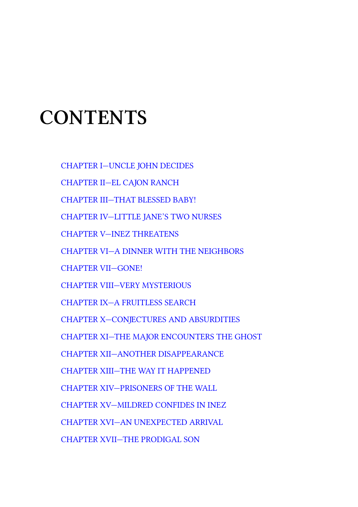#### **C[ONTENTS](#page-52-0)**

[CHAPTER I—UNCLE JOHN DECIDES](#page-72-0)

[CHAPTER II—EL CAJON RANCH](#page-76-0)

[CHAPTER III—THAT BLESSED BABY!](#page-84-0)

[CHAPTER IV—LITTLE JANE'S TWO NURSE](#page-90-0)S

[CHAPTER V—INEZ THREATENS](#page-96-0)

[CHAPTER VI—A DINNER WITH THE NEIGH](#page-102-0)BORS

[CHAPTER VII—GONE!](#page-106-0)

CHAPTER VIII—VERY MYSTERIOUS

CHAPTER IX—A FRUITLESS SEARCH

CHAPTER X—CONJECTURES AND ABSURDITIES

CHAPTER XI—THE MAJOR ENCOUNTERS THE GHOST

CHAPTER XII—ANOTHER DISAPPEARANCE

CHAPTER XIII—THE WAY IT HAPPENED

CHAPTER XIV—PRISONERS OF THE WALL

CHAPTER XV—MILDRED CONFIDES IN INEZ

CHAPTER XVI—AN UNEXPECTED ARRIVAL

CHAPTER XVII—THE PRODIGAL SON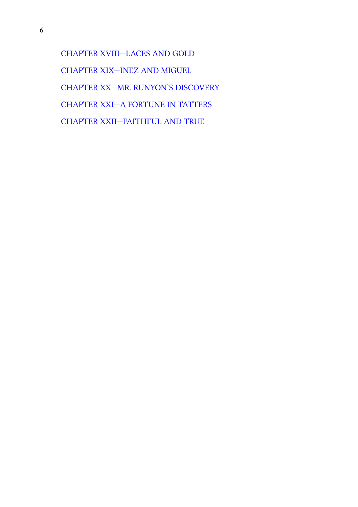$\overline{6}$ 

CHAPTER XVIII—LACES AND GOLD CHAPTER XIX—INEZ AND MIGUEL CHAPTER XX—MR. RUNYON'S DISCOVERY CHAPTER XXI—A FORTUNE IN TATTERS CHAPTER XXII—FAITHFUL AND TRUE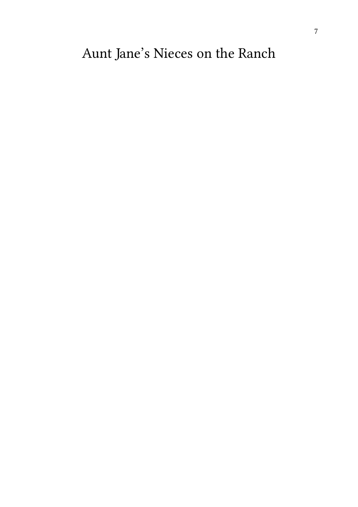#### Aunt Jane's Nieces on the Ranch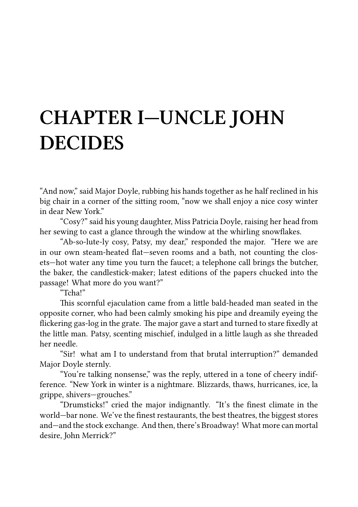# **CHAPTER I—UNCLE JOHN DECIDES**

"And now," said Major Doyle, rubbing his hands together as he half reclined in his big chair in a corner of the sitting room, "now we shall enjoy a nice cosy winter in dear New York."

"Cosy?" said his young daughter, Miss Patricia Doyle, raising her head from her sewing to cast a glance through the window at the whirling snowflakes.

"Ab-so-lute-ly cosy, Patsy, my dear," responded the major. "Here we are in our own steam-heated flat—seven rooms and a bath, not counting the closets—hot water any time you turn the faucet; a telephone call brings the butcher, the baker, the candlestick-maker; latest editions of the papers chucked into the passage! What more do you want?"

"Tcha!"

This scornful ejaculation came from a little bald-headed man seated in the opposite corner, who had been calmly smoking his pipe and dreamily eyeing the flickering gas-log in the grate. The major gave a start and turned to stare fixedly at the little man. Patsy, scenting mischief, indulged in a little laugh as she threaded her needle.

"Sir! what am I to understand from that brutal interruption?" demanded Major Doyle sternly.

"You're talking nonsense," was the reply, uttered in a tone of cheery indifference. "New York in winter is a nightmare. Blizzards, thaws, hurricanes, ice, la grippe, shivers—grouches."

"Drumsticks!" cried the major indignantly. "It's the finest climate in the world—bar none. We've the finest restaurants, the best theatres, the biggest stores and—and the stock exchange. And then, there's Broadway! What more can mortal desire, John Merrick?"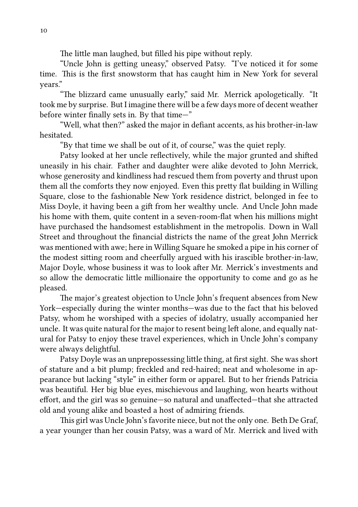The little man laughed, but filled his pipe without reply.

"Uncle John is getting uneasy," observed Patsy. "I've noticed it for some time. This is the first snowstorm that has caught him in New York for several years."

"The blizzard came unusually early," said Mr. Merrick apologetically. "It took me by surprise. But I imagine there will be a few days more of decent weather before winter finally sets in. By that time—"

"Well, what then?" asked the major in defiant accents, as his brother-in-law hesitated.

"By that time we shall be out of it, of course," was the quiet reply.

Patsy looked at her uncle reflectively, while the major grunted and shifted uneasily in his chair. Father and daughter were alike devoted to John Merrick, whose generosity and kindliness had rescued them from poverty and thrust upon them all the comforts they now enjoyed. Even this pretty flat building in Willing Square, close to the fashionable New York residence district, belonged in fee to Miss Doyle, it having been a gift from her wealthy uncle. And Uncle John made his home with them, quite content in a seven-room-flat when his millions might have purchased the handsomest establishment in the metropolis. Down in Wall Street and throughout the financial districts the name of the great John Merrick was mentioned with awe; here in Willing Square he smoked a pipe in his corner of the modest sitting room and cheerfully argued with his irascible brother-in-law, Major Doyle, whose business it was to look after Mr. Merrick's investments and so allow the democratic little millionaire the opportunity to come and go as he pleased.

The major's greatest objection to Uncle John's frequent absences from New York—especially during the winter months—was due to the fact that his beloved Patsy, whom he worshiped with a species of idolatry, usually accompanied her uncle. It was quite natural for the major to resent being left alone, and equally natural for Patsy to enjoy these travel experiences, which in Uncle John's company were always delightful.

Patsy Doyle was an unprepossessing little thing, at first sight. She was short of stature and a bit plump; freckled and red-haired; neat and wholesome in appearance but lacking "style" in either form or apparel. But to her friends Patricia was beautiful. Her big blue eyes, mischievous and laughing, won hearts without effort, and the girl was so genuine—so natural and unaffected—that she attracted old and young alike and boasted a host of admiring friends.

This girl was Uncle John's favorite niece, but not the only one. Beth De Graf, a year younger than her cousin Patsy, was a ward of Mr. Merrick and lived with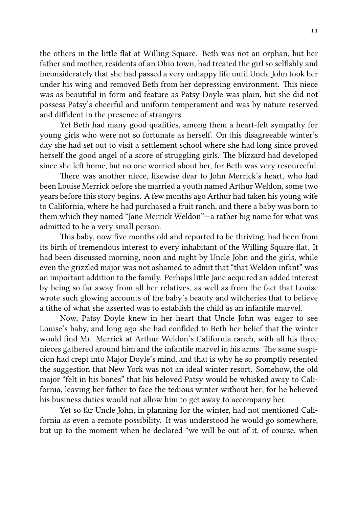the others in the little flat at Willing Square. Beth was not an orphan, but her father and mother, residents of an Ohio town, had treated the girl so selfishly and inconsiderately that she had passed a very unhappy life until Uncle John took her under his wing and removed Beth from her depressing environment. This niece was as beautiful in form and feature as Patsy Doyle was plain, but she did not possess Patsy's cheerful and uniform temperament and was by nature reserved and diffident in the presence of strangers.

Yet Beth had many good qualities, among them a heart-felt sympathy for young girls who were not so fortunate as herself. On this disagreeable winter's day she had set out to visit a settlement school where she had long since proved herself the good angel of a score of struggling girls. The blizzard had developed since she left home, but no one worried about her, for Beth was very resourceful.

There was another niece, likewise dear to John Merrick's heart, who had been Louise Merrick before she married a youth named Arthur Weldon, some two years before this story begins. A few months ago Arthur had taken his young wife to California, where he had purchased a fruit ranch, and there a baby was born to them which they named "Jane Merrick Weldon"—a rather big name for what was admitted to be a very small person.

This baby, now five months old and reported to be thriving, had been from its birth of tremendous interest to every inhabitant of the Willing Square flat. It had been discussed morning, noon and night by Uncle John and the girls, while even the grizzled major was not ashamed to admit that "that Weldon infant" was an important addition to the family. Perhaps little Jane acquired an added interest by being so far away from all her relatives, as well as from the fact that Louise wrote such glowing accounts of the baby's beauty and witcheries that to believe a tithe of what she asserted was to establish the child as an infantile marvel.

Now, Patsy Doyle knew in her heart that Uncle John was eager to see Louise's baby, and long ago she had confided to Beth her belief that the winter would find Mr. Merrick at Arthur Weldon's California ranch, with all his three nieces gathered around him and the infantile marvel in his arms. The same suspicion had crept into Major Doyle's mind, and that is why he so promptly resented the suggestion that New York was not an ideal winter resort. Somehow, the old major "felt in his bones" that his beloved Patsy would be whisked away to California, leaving her father to face the tedious winter without her; for he believed his business duties would not allow him to get away to accompany her.

Yet so far Uncle John, in planning for the winter, had not mentioned California as even a remote possibility. It was understood he would go somewhere, but up to the moment when he declared "we will be out of it, of course, when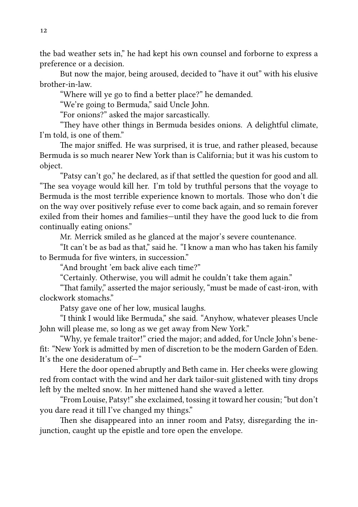the bad weather sets in," he had kept his own counsel and forborne to express a preference or a decision.

But now the major, being aroused, decided to "have it out" with his elusive brother-in-law.

"Where will ye go to find a better place?" he demanded.

"We're going to Bermuda," said Uncle John.

"For onions?" asked the major sarcastically.

"They have other things in Bermuda besides onions. A delightful climate, I'm told, is one of them."

The major sniffed. He was surprised, it is true, and rather pleased, because Bermuda is so much nearer New York than is California; but it was his custom to object.

"Patsy can't go," he declared, as if that settled the question for good and all. "The sea voyage would kill her. I'm told by truthful persons that the voyage to Bermuda is the most terrible experience known to mortals. Those who don't die on the way over positively refuse ever to come back again, and so remain forever exiled from their homes and families—until they have the good luck to die from continually eating onions."

Mr. Merrick smiled as he glanced at the major's severe countenance.

"It can't be as bad as that," said he. "I know a man who has taken his family to Bermuda for five winters, in succession."

"And brought 'em back alive each time?"

"Certainly. Otherwise, you will admit he couldn't take them again."

"That family," asserted the major seriously, "must be made of cast-iron, with clockwork stomachs."

Patsy gave one of her low, musical laughs.

"I think I would like Bermuda," she said. "Anyhow, whatever pleases Uncle John will please me, so long as we get away from New York."

"Why, ye female traitor!" cried the major; and added, for Uncle John's benefit: "New York is admitted by men of discretion to be the modern Garden of Eden. It's the one desideratum of—"

Here the door opened abruptly and Beth came in. Her cheeks were glowing red from contact with the wind and her dark tailor-suit glistened with tiny drops left by the melted snow. In her mittened hand she waved a letter.

"From Louise, Patsy!" she exclaimed, tossing it toward her cousin; "but don't you dare read it till I've changed my things."

Then she disappeared into an inner room and Patsy, disregarding the injunction, caught up the epistle and tore open the envelope.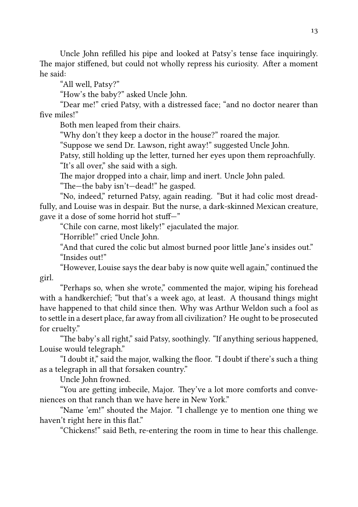Uncle John refilled his pipe and looked at Patsy's tense face inquiringly. The major stiffened, but could not wholly repress his curiosity. After a moment he said:

"All well, Patsy?"

"How's the baby?" asked Uncle John.

"Dear me!" cried Patsy, with a distressed face; "and no doctor nearer than five miles!"

Both men leaped from their chairs.

"Why don't they keep a doctor in the house?" roared the major.

"Suppose we send Dr. Lawson, right away!" suggested Uncle John.

Patsy, still holding up the letter, turned her eyes upon them reproachfully.

"It's all over," she said with a sigh.

The major dropped into a chair, limp and inert. Uncle John paled.

"The-the baby isn't-dead!" he gasped.

"No, indeed," returned Patsy, again reading. "But it had colic most dreadfully, and Louise was in despair. But the nurse, a dark-skinned Mexican creature, gave it a dose of some horrid hot stuff—"

"Chile con carne, most likely!" ejaculated the major.

"Horrible!" cried Uncle John.

"And that cured the colic but almost burned poor little Jane's insides out." "Insides out!"

"However, Louise says the dear baby is now quite well again," continued the girl.

"Perhaps so, when she wrote," commented the major, wiping his forehead with a handkerchief; "but that's a week ago, at least. A thousand things might have happened to that child since then. Why was Arthur Weldon such a fool as to settle in a desert place, far away from all civilization? He ought to be prosecuted for cruelty."

"The baby's all right," said Patsy, soothingly. "If anything serious happened, Louise would telegraph."

"I doubt it," said the major, walking the floor. "I doubt if there's such a thing as a telegraph in all that forsaken country."

Uncle John frowned.

"You are getting imbecile, Major. They've a lot more comforts and conveniences on that ranch than we have here in New York."

"Name 'em!" shouted the Major. "I challenge ye to mention one thing we haven't right here in this flat."

"Chickens!" said Beth, re-entering the room in time to hear this challenge.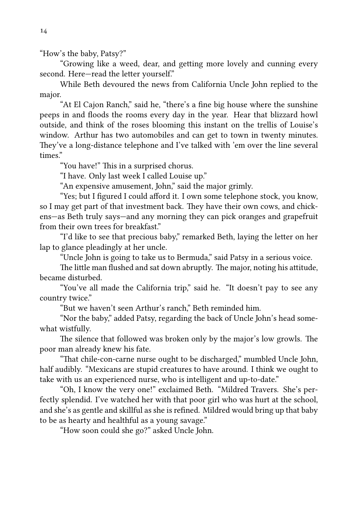"How's the baby, Patsy?"

"Growing like a weed, dear, and getting more lovely and cunning every second. Here-read the letter yourself."

While Beth devoured the news from California Uncle John replied to the major.

"At El Cajon Ranch," said he, "there's a fine big house where the sunshine peeps in and floods the rooms every day in the year. Hear that blizzard howl outside, and think of the roses blooming this instant on the trellis of Louise's window. Arthur has two automobiles and can get to town in twenty minutes. They've a long-distance telephone and I've talked with 'em over the line several times."

"You have!" This in a surprised chorus.

"I have. Only last week I called Louise up."

"An expensive amusement, John," said the major grimly.

"Yes; but I figured I could afford it. I own some telephone stock, you know, so I may get part of that investment back. They have their own cows, and chickens—as Beth truly says—and any morning they can pick oranges and grapefruit from their own trees for breakfast."

"I'd like to see that precious baby," remarked Beth, laying the letter on her lap to glance pleadingly at her uncle.

"Uncle John is going to take us to Bermuda," said Patsy in a serious voice.

The little man flushed and sat down abruptly. The major, noting his attitude, became disturbed.

"You've all made the California trip," said he. "It doesn't pay to see any country twice."

"But we haven't seen Arthur's ranch," Beth reminded him.

"Nor the baby," added Patsy, regarding the back of Uncle John's head somewhat wistfully.

The silence that followed was broken only by the major's low growls. The poor man already knew his fate.

"That chile-con-carne nurse ought to be discharged," mumbled Uncle John, half audibly. "Mexicans are stupid creatures to have around. I think we ought to take with us an experienced nurse, who is intelligent and up-to-date."

"Oh, I know the very one!" exclaimed Beth. "Mildred Travers. She's perfectly splendid. I've watched her with that poor girl who was hurt at the school, and she's as gentle and skillful as she is refined. Mildred would bring up that baby to be as hearty and healthful as a young savage."

"How soon could she go?" asked Uncle John.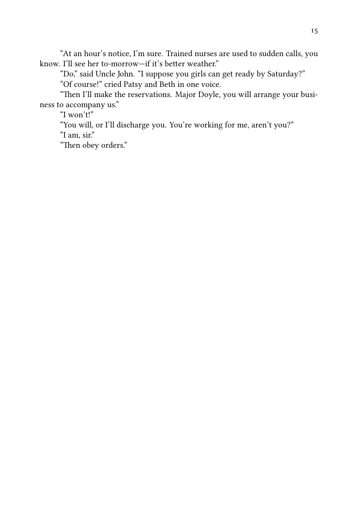"At an hour's notice, I'm sure. Trained nurses are used to sudden calls, you know. I'll see her to-morrow-if it's better weather."

"Do," said Uncle John. "I suppose you girls can get ready by Saturday?"

"Of course!" cried Patsy and Beth in one voice.

"Then I'll make the reservations. Major Doyle, you will arrange your business to accompany us."

"I won't!"

"You will, or I'll discharge you. You're working for me, aren't you?" "I am, sir."

"Then obey orders."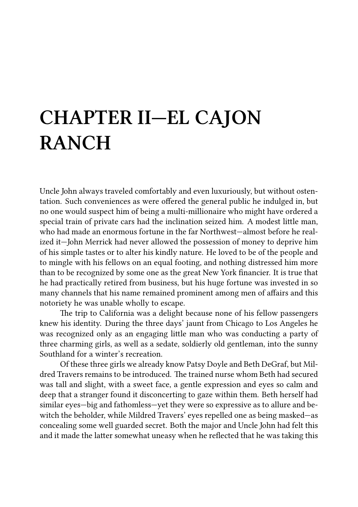# **CHAPTER II—EL CAJON RANCH**

Uncle John always traveled comfortably and even luxuriously, but without ostentation. Such conveniences as were offered the general public he indulged in, but no one would suspect him of being a multi-millionaire who might have ordered a special train of private cars had the inclination seized him. A modest little man, who had made an enormous fortune in the far Northwest—almost before he realized it—John Merrick had never allowed the possession of money to deprive him of his simple tastes or to alter his kindly nature. He loved to be of the people and to mingle with his fellows on an equal footing, and nothing distressed him more than to be recognized by some one as the great New York financier. It is true that he had practically retired from business, but his huge fortune was invested in so many channels that his name remained prominent among men of affairs and this notoriety he was unable wholly to escape.

The trip to California was a delight because none of his fellow passengers knew his identity. During the three days' jaunt from Chicago to Los Angeles he was recognized only as an engaging little man who was conducting a party of three charming girls, as well as a sedate, soldierly old gentleman, into the sunny Southland for a winter's recreation.

Of these three girls we already know Patsy Doyle and Beth DeGraf, but Mildred Travers remains to be introduced. The trained nurse whom Beth had secured was tall and slight, with a sweet face, a gentle expression and eyes so calm and deep that a stranger found it disconcerting to gaze within them. Beth herself had similar eyes—big and fathomless—yet they were so expressive as to allure and bewitch the beholder, while Mildred Travers' eyes repelled one as being masked—as concealing some well guarded secret. Both the major and Uncle John had felt this and it made the latter somewhat uneasy when he reflected that he was taking this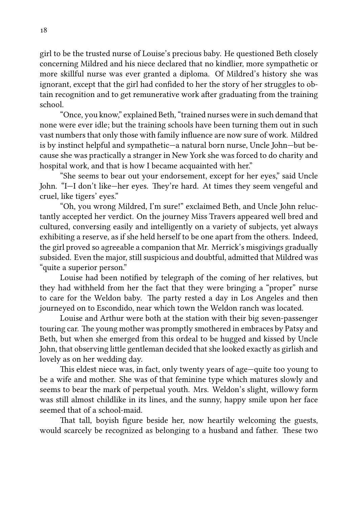girl to be the trusted nurse of Louise's precious baby. He questioned Beth closely concerning Mildred and his niece declared that no kindlier, more sympathetic or more skillful nurse was ever granted a diploma. Of Mildred's history she was ignorant, except that the girl had confided to her the story of her struggles to obtain recognition and to get remunerative work after graduating from the training school.

"Once, you know," explained Beth, "trained nurses were in such demand that none were ever idle; but the training schools have been turning them out in such vast numbers that only those with family influence are now sure of work. Mildred is by instinct helpful and sympathetic—a natural born nurse, Uncle John—but because she was practically a stranger in New York she was forced to do charity and hospital work, and that is how I became acquainted with her."

"She seems to bear out your endorsement, except for her eyes," said Uncle John. "I—I don't like—her eyes. They're hard. At times they seem vengeful and cruel, like tigers' eyes."

"Oh, you wrong Mildred, I'm sure!" exclaimed Beth, and Uncle John reluctantly accepted her verdict. On the journey Miss Travers appeared well bred and cultured, conversing easily and intelligently on a variety of subjects, yet always exhibiting a reserve, as if she held herself to be one apart from the others. Indeed, the girl proved so agreeable a companion that Mr. Merrick's misgivings gradually subsided. Even the major, still suspicious and doubtful, admitted that Mildred was "quite a superior person."

Louise had been notified by telegraph of the coming of her relatives, but they had withheld from her the fact that they were bringing a "proper" nurse to care for the Weldon baby. The party rested a day in Los Angeles and then journeyed on to Escondido, near which town the Weldon ranch was located.

Louise and Arthur were both at the station with their big seven-passenger touring car. The young mother was promptly smothered in embraces by Patsy and Beth, but when she emerged from this ordeal to be hugged and kissed by Uncle John, that observing little gentleman decided that she looked exactly as girlish and lovely as on her wedding day.

This eldest niece was, in fact, only twenty years of age—quite too young to be a wife and mother. She was of that feminine type which matures slowly and seems to bear the mark of perpetual youth. Mrs. Weldon's slight, willowy form was still almost childlike in its lines, and the sunny, happy smile upon her face seemed that of a school-maid.

That tall, boyish figure beside her, now heartily welcoming the guests, would scarcely be recognized as belonging to a husband and father. These two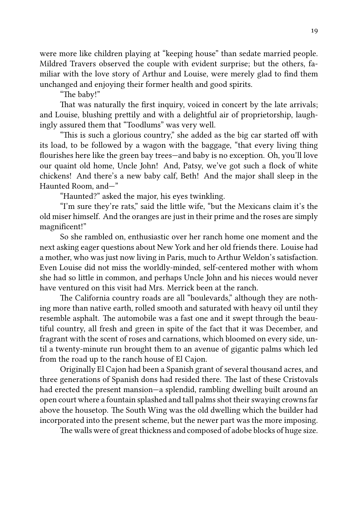were more like children playing at "keeping house" than sedate married people. Mildred Travers observed the couple with evident surprise; but the others, familiar with the love story of Arthur and Louise, were merely glad to find them unchanged and enjoying their former health and good spirits.

"The baby!"

That was naturally the first inquiry, voiced in concert by the late arrivals; and Louise, blushing prettily and with a delightful air of proprietorship, laughingly assured them that "Toodlums" was very well.

"This is such a glorious country," she added as the big car started off with its load, to be followed by a wagon with the baggage, "that every living thing flourishes here like the green bay trees—and baby is no exception. Oh, you'll love our quaint old home, Uncle John! And, Patsy, we've got such a flock of white chickens! And there's a new baby calf, Beth! And the major shall sleep in the Haunted Room, and—"

"Haunted?" asked the major, his eyes twinkling.

"I'm sure they're rats," said the little wife, "but the Mexicans claim it's the old miser himself. And the oranges are just in their prime and the roses are simply magnificent!"

So she rambled on, enthusiastic over her ranch home one moment and the next asking eager questions about New York and her old friends there. Louise had a mother, who was just now living in Paris, much to Arthur Weldon's satisfaction. Even Louise did not miss the worldly-minded, self-centered mother with whom she had so little in common, and perhaps Uncle John and his nieces would never have ventured on this visit had Mrs. Merrick been at the ranch.

The California country roads are all "boulevards," although they are nothing more than native earth, rolled smooth and saturated with heavy oil until they resemble asphalt. The automobile was a fast one and it swept through the beautiful country, all fresh and green in spite of the fact that it was December, and fragrant with the scent of roses and carnations, which bloomed on every side, until a twenty-minute run brought them to an avenue of gigantic palms which led from the road up to the ranch house of El Cajon.

Originally El Cajon had been a Spanish grant of several thousand acres, and three generations of Spanish dons had resided there. The last of these Cristovals had erected the present mansion—a splendid, rambling dwelling built around an open court where a fountain splashed and tall palms shot their swaying crowns far above the housetop. The South Wing was the old dwelling which the builder had incorporated into the present scheme, but the newer part was the more imposing.

The walls were of great thickness and composed of adobe blocks of huge size.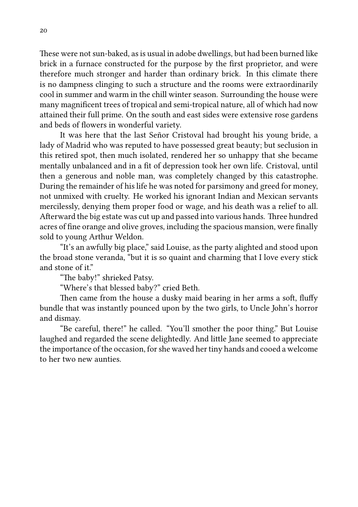These were not sun-baked, as is usual in adobe dwellings, but had been burned like brick in a furnace constructed for the purpose by the first proprietor, and were therefore much stronger and harder than ordinary brick. In this climate there is no dampness clinging to such a structure and the rooms were extraordinarily cool in summer and warm in the chill winter season. Surrounding the house were many magnificent trees of tropical and semi-tropical nature, all of which had now attained their full prime. On the south and east sides were extensive rose gardens and beds of flowers in wonderful variety.

It was here that the last Señor Cristoval had brought his young bride, a lady of Madrid who was reputed to have possessed great beauty; but seclusion in this retired spot, then much isolated, rendered her so unhappy that she became mentally unbalanced and in a fit of depression took her own life. Cristoval, until then a generous and noble man, was completely changed by this catastrophe. During the remainder of his life he was noted for parsimony and greed for money, not unmixed with cruelty. He worked his ignorant Indian and Mexican servants mercilessly, denying them proper food or wage, and his death was a relief to all. Afterward the big estate was cut up and passed into various hands. Three hundred acres of fine orange and olive groves, including the spacious mansion, were finally sold to young Arthur Weldon.

"It's an awfully big place," said Louise, as the party alighted and stood upon the broad stone veranda, "but it is so quaint and charming that I love every stick and stone of it."

"The baby!" shrieked Patsy.

"Where's that blessed baby?" cried Beth.

Then came from the house a dusky maid bearing in her arms a soft, fluffy bundle that was instantly pounced upon by the two girls, to Uncle John's horror and dismay.

"Be careful, there!" he called. "You'll smother the poor thing." But Louise laughed and regarded the scene delightedly. And little Jane seemed to appreciate the importance of the occasion, for she waved her tiny hands and cooed a welcome to her two new aunties.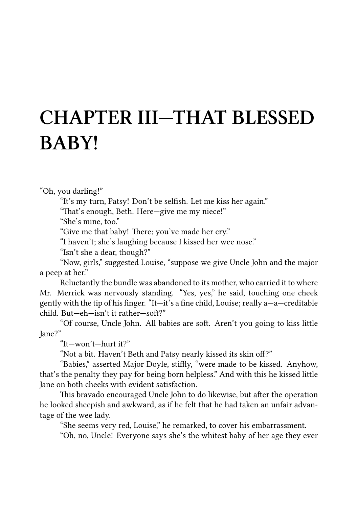### **CHAPTER III—THAT BLESSED BABY!**

"Oh, you darling!"

"It's my turn, Patsy! Don't be selfish. Let me kiss her again."

"That's enough, Beth. Here-give me my niece!"

"She's mine, too."

"Give me that baby! There; you've made her cry."

"I haven't; she's laughing because I kissed her wee nose."

"Isn't she a dear, though?"

"Now, girls," suggested Louise, "suppose we give Uncle John and the major a peep at her."

Reluctantly the bundle was abandoned to its mother, who carried it to where Mr. Merrick was nervously standing. "Yes, yes," he said, touching one cheek gently with the tip of his finger. "It—it's a fine child, Louise; really a—a—creditable  $child$  But—eh—isn't it rather—soft?"

"Of course, Uncle John. All babies are soft. Aren't you going to kiss little Jane?"

"It—won't—hurt it?"

"Not a bit. Haven't Beth and Patsy nearly kissed its skin off?"

"Babies," asserted Major Doyle, stiffly, "were made to be kissed. Anyhow, that's the penalty they pay for being born helpless." And with this he kissed little Jane on both cheeks with evident satisfaction.

This bravado encouraged Uncle John to do likewise, but after the operation he looked sheepish and awkward, as if he felt that he had taken an unfair advantage of the wee lady.

"She seems very red, Louise," he remarked, to cover his embarrassment.

"Oh, no, Uncle! Everyone says she's the whitest baby of her age they ever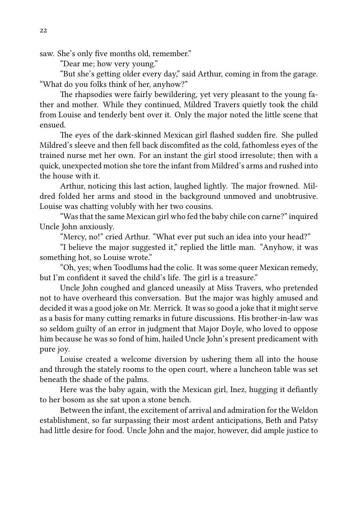saw. She's only five months old, remember."

"Dear me; how very young."

"But she's getting older every day," said Arthur, coming in from the garage. "What do you folks think of her, anyhow?"

The rhapsodies were fairly bewildering, yet very pleasant to the young father and mother. While they continued, Mildred Travers quietly took the child from Louise and tenderly bent over it. Only the major noted the little scene that ensued.

The eyes of the dark-skinned Mexican girl flashed sudden fire. She pulled Mildred's sleeve and then fell back discomfited as the cold, fathomless eyes of the trained nurse met her own. For an instant the girl stood irresolute; then with a quick, unexpected motion she tore the infant from Mildred's arms and rushed into the house with it.

Arthur, noticing this last action, laughed lightly. The major frowned. Mildred folded her arms and stood in the background unmoved and unobtrusive. Louise was chatting volubly with her two cousins.

"Was that the same Mexican girl who fed the baby chile con carne?" inquired Uncle John anxiously.

"Mercy, no!" cried Arthur. "What ever put such an idea into your head?"

"I believe the major suggested it," replied the little man. "Anyhow, it was something hot, so Louise wrote."

"Oh, yes; when Toodlums had the colic. It was some queer Mexican remedy, but I'm confident it saved the child's life. The girl is a treasure."

Uncle John coughed and glanced uneasily at Miss Travers, who pretended not to have overheard this conversation. But the major was highly amused and decided it was a good joke on Mr. Merrick. It was so good a joke that it might serve as a basis for many cutting remarks in future discussions. His brother-in-law was so seldom guilty of an error in judgment that Major Doyle, who loved to oppose him because he was so fond of him, hailed Uncle John's present predicament with pure joy.

Louise created a welcome diversion by ushering them all into the house and through the stately rooms to the open court, where a luncheon table was set beneath the shade of the palms.

Here was the baby again, with the Mexican girl, Inez, hugging it defiantly to her bosom as she sat upon a stone bench.

Between the infant, the excitement of arrival and admiration for the Weldon establishment, so far surpassing their most ardent anticipations, Beth and Patsy had little desire for food. Uncle John and the major, however, did ample justice to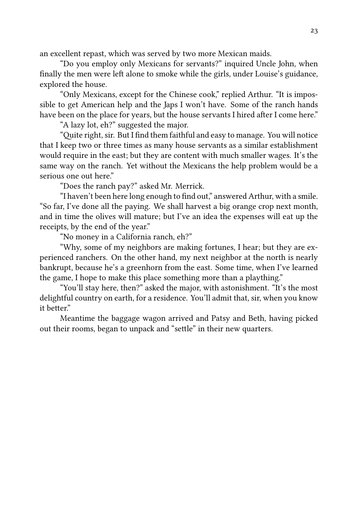an excellent repast, which was served by two more Mexican maids.

"Do you employ only Mexicans for servants?" inquired Uncle John, when finally the men were left alone to smoke while the girls, under Louise's guidance, explored the house.

"Only Mexicans, except for the Chinese cook," replied Arthur. "It is impossible to get American help and the Japs I won't have. Some of the ranch hands have been on the place for years, but the house servants I hired after I come here."

"A lazy lot, eh?" suggested the major.

"Quite right, sir. But I find them faithful and easy to manage. You will notice that I keep two or three times as many house servants as a similar establishment would require in the east; but they are content with much smaller wages. It's the same way on the ranch. Yet without the Mexicans the help problem would be a serious one out here."

"Does the ranch pay?" asked Mr. Merrick.

"I haven't been here long enough to find out," answered Arthur, with a smile. "So far, I've done all the paying. We shall harvest a big orange crop next month, and in time the olives will mature; but I've an idea the expenses will eat up the receipts, by the end of the year."

"No money in a California ranch, eh?"

"Why, some of my neighbors are making fortunes, I hear; but they are experienced ranchers. On the other hand, my next neighbor at the north is nearly bankrupt, because he's a greenhorn from the east. Some time, when I've learned the game, I hope to make this place something more than a plaything."

"You'll stay here, then?" asked the major, with astonishment. "It's the most delightful country on earth, for a residence. You'll admit that, sir, when you know it better"

Meantime the baggage wagon arrived and Patsy and Beth, having picked out their rooms, began to unpack and "settle" in their new quarters.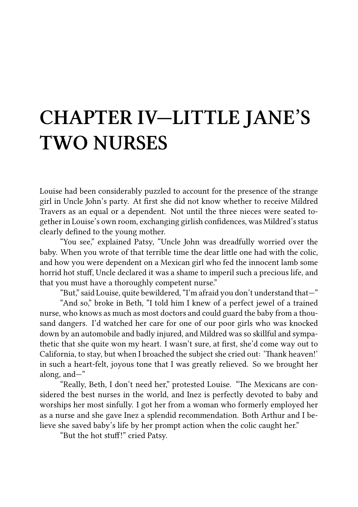### **CHAPTER IV—LITTLE JANE'S TWO NURSES**

Louise had been considerably puzzled to account for the presence of the strange girl in Uncle John's party. At first she did not know whether to receive Mildred Travers as an equal or a dependent. Not until the three nieces were seated together in Louise's own room, exchanging girlish confidences, was Mildred's status clearly defined to the young mother.

"You see," explained Patsy, "Uncle John was dreadfully worried over the baby. When you wrote of that terrible time the dear little one had with the colic, and how you were dependent on a Mexican girl who fed the innocent lamb some horrid hot stuff, Uncle declared it was a shame to imperil such a precious life, and that you must have a thoroughly competent nurse."

"But," said Louise, quite bewildered, "I'm afraid you don't understand that—"

"And so," broke in Beth, "I told him I knew of a perfect jewel of a trained nurse, who knows as much as most doctors and could guard the baby from a thousand dangers. I'd watched her care for one of our poor girls who was knocked down by an automobile and badly injured, and Mildred was so skillful and sympathetic that she quite won my heart. I wasn't sure, at first, she'd come way out to California, to stay, but when I broached the subject she cried out: 'Thank heaven!' in such a heart-felt, joyous tone that I was greatly relieved. So we brought her along, and—"

"Really, Beth, I don't need her," protested Louise. "The Mexicans are considered the best nurses in the world, and Inez is perfectly devoted to baby and worships her most sinfully. I got her from a woman who formerly employed her as a nurse and she gave Inez a splendid recommendation. Both Arthur and I believe she saved baby's life by her prompt action when the colic caught her."

"But the hot stuff!" cried Patsy.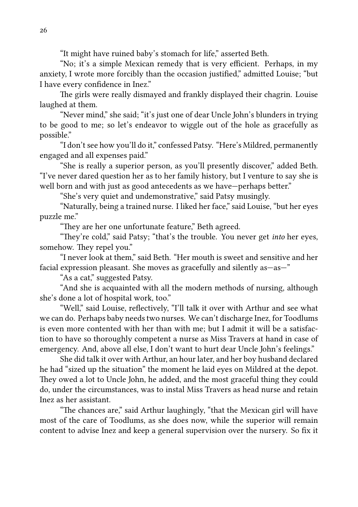"It might have ruined baby's stomach for life," asserted Beth.

"No; it's a simple Mexican remedy that is very efficient. Perhaps, in my anxiety, I wrote more forcibly than the occasion justified," admitted Louise; "but I have every confidence in Inez."

The girls were really dismayed and frankly displayed their chagrin. Louise laughed at them.

"Never mind," she said; "it's just one of dear Uncle John's blunders in trying to be good to me; so let's endeavor to wiggle out of the hole as gracefully as possible."

"I don't see how you'll do it," confessed Patsy. "Here's Mildred, permanently engaged and all expenses paid."

"She is really a superior person, as you'll presently discover," added Beth. "I've never dared question her as to her family history, but I venture to say she is well born and with just as good antecedents as we have-perhaps better."

"She's very quiet and undemonstrative," said Patsy musingly.

"Naturally, being a trained nurse. I liked her face," said Louise, "but her eyes puzzle me."

"They are her one unfortunate feature." Beth agreed.

"They're cold," said Patsy; "that's the trouble. You never get *into* her eyes, somehow. They repel you."

"I never look at them," said Beth. "Her mouth is sweet and sensitive and her facial expression pleasant. She moves as gracefully and silently as—as—"

"As a cat," suggested Patsy.

"And she is acquainted with all the modern methods of nursing, although she's done a lot of hospital work, too."

"Well," said Louise, reflectively, "I'll talk it over with Arthur and see what we can do. Perhaps baby needs two nurses. We can't discharge Inez, for Toodlums is even more contented with her than with me; but I admit it will be a satisfaction to have so thoroughly competent a nurse as Miss Travers at hand in case of emergency. And, above all else, I don't want to hurt dear Uncle John's feelings."

She did talk it over with Arthur, an hour later, and her boy husband declared he had "sized up the situation" the moment he laid eyes on Mildred at the depot. They owed a lot to Uncle John, he added, and the most graceful thing they could do, under the circumstances, was to instal Miss Travers as head nurse and retain Inez as her assistant.

"The chances are," said Arthur laughingly, "that the Mexican girl will have most of the care of Toodlums, as she does now, while the superior will remain content to advise Inez and keep a general supervision over the nursery. So fix it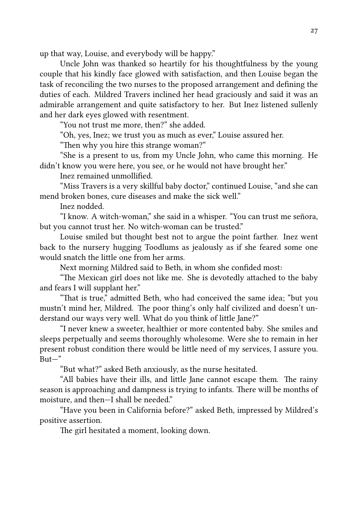up that way, Louise, and everybody will be happy."

Uncle John was thanked so heartily for his thoughtfulness by the young couple that his kindly face glowed with satisfaction, and then Louise began the task of reconciling the two nurses to the proposed arrangement and defining the duties of each. Mildred Travers inclined her head graciously and said it was an admirable arrangement and quite satisfactory to her. But Inez listened sullenly and her dark eyes glowed with resentment.

"You not trust me more, then?" she added.

"Oh, yes, Inez; we trust you as much as ever," Louise assured her.

"Then why you hire this strange woman?"

"She is a present to us, from my Uncle John, who came this morning. He didn't know you were here, you see, or he would not have brought her."

Inez remained unmollified.

"Miss Travers is a very skillful baby doctor," continued Louise, "and she can mend broken bones, cure diseases and make the sick well."

Inez nodded.

"I know. A witch-woman," she said in a whisper. "You can trust me señora, but you cannot trust her. No witch-woman can be trusted."

Louise smiled but thought best not to argue the point farther. Inez went back to the nursery hugging Toodlums as jealously as if she feared some one would snatch the little one from her arms.

Next morning Mildred said to Beth, in whom she confided most:

"The Mexican girl does not like me. She is devotedly attached to the baby and fears I will supplant her."

"That is true," admitted Beth, who had conceived the same idea; "but you mustn't mind her, Mildred. The poor thing's only half civilized and doesn't understand our ways very well. What do you think of little Jane?"

"I never knew a sweeter, healthier or more contented baby. She smiles and sleeps perpetually and seems thoroughly wholesome. Were she to remain in her present robust condition there would be little need of my services, I assure you.  $B$ ut—"

"But what?" asked Beth anxiously, as the nurse hesitated.

"All babies have their ills, and little Jane cannot escape them. The rainy season is approaching and dampness is trying to infants. There will be months of moisture, and then—I shall be needed."

"Have you been in California before?" asked Beth, impressed by Mildred's positive assertion.

The girl hesitated a moment, looking down.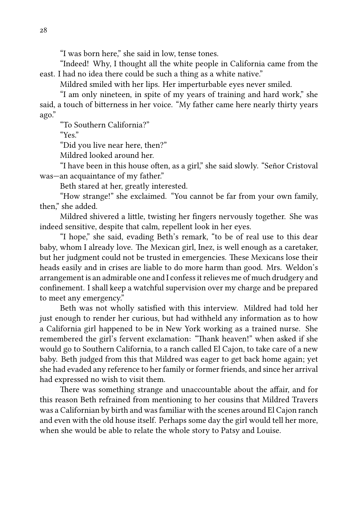"I was born here," she said in low, tense tones.

"Indeed! Why, I thought all the white people in California came from the east. I had no idea there could be such a thing as a white native."

Mildred smiled with her lips. Her imperturbable eyes never smiled.

"I am only nineteen, in spite of my years of training and hard work," she said, a touch of bitterness in her voice. "My father came here nearly thirty years ago."

"To Southern California?"

"Yes."

"Did you live near here, then?"

Mildred looked around her.

"I have been in this house often, as a girl," she said slowly. "Señor Cristoval was—an acquaintance of my father."

Beth stared at her, greatly interested.

"How strange!" she exclaimed. "You cannot be far from your own family, then," she added.

Mildred shivered a little, twisting her fingers nervously together. She was indeed sensitive, despite that calm, repellent look in her eyes.

"I hope," she said, evading Beth's remark, "to be of real use to this dear baby, whom I already love. The Mexican girl, Inez, is well enough as a caretaker, but her judgment could not be trusted in emergencies. These Mexicans lose their heads easily and in crises are liable to do more harm than good. Mrs. Weldon's arrangement is an admirable one and I confess it relieves me of much drudgery and confinement. I shall keep a watchful supervision over my charge and be prepared to meet any emergency."

Beth was not wholly satisfied with this interview. Mildred had told her just enough to render her curious, but had withheld any information as to how a California girl happened to be in New York working as a trained nurse. She remembered the girl's fervent exclamation: "Thank heaven!" when asked if she would go to Southern California, to a ranch called El Cajon, to take care of a new baby. Beth judged from this that Mildred was eager to get back home again; yet she had evaded any reference to her family or former friends, and since her arrival had expressed no wish to visit them.

There was something strange and unaccountable about the affair, and for this reason Beth refrained from mentioning to her cousins that Mildred Travers was a Californian by birth and was familiar with the scenes around El Cajon ranch and even with the old house itself. Perhaps some day the girl would tell her more, when she would be able to relate the whole story to Patsy and Louise.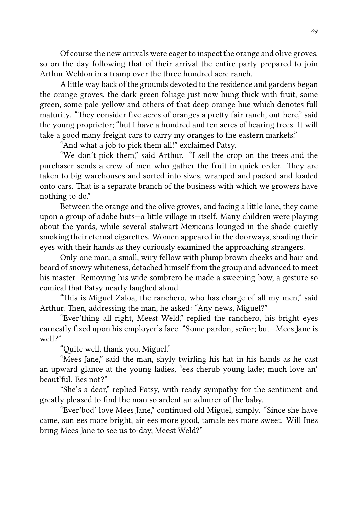Of course the new arrivals were eager to inspect the orange and olive groves, so on the day following that of their arrival the entire party prepared to join Arthur Weldon in a tramp over the three hundred acre ranch.

A little way back of the grounds devoted to the residence and gardens began the orange groves, the dark green foliage just now hung thick with fruit, some green, some pale yellow and others of that deep orange hue which denotes full maturity. "They consider five acres of oranges a pretty fair ranch, out here," said the young proprietor; "but I have a hundred and ten acres of bearing trees. It will take a good many freight cars to carry my oranges to the eastern markets."

"And what a job to pick them all!" exclaimed Patsy.

"We don't pick them," said Arthur. "I sell the crop on the trees and the purchaser sends a crew of men who gather the fruit in quick order. They are taken to big warehouses and sorted into sizes, wrapped and packed and loaded onto cars. That is a separate branch of the business with which we growers have nothing to do."

Between the orange and the olive groves, and facing a little lane, they came upon a group of adobe huts—a little village in itself. Many children were playing about the yards, while several stalwart Mexicans lounged in the shade quietly smoking their eternal cigarettes. Women appeared in the doorways, shading their eyes with their hands as they curiously examined the approaching strangers.

Only one man, a small, wiry fellow with plump brown cheeks and hair and beard of snowy whiteness, detached himself from the group and advanced to meet his master. Removing his wide sombrero he made a sweeping bow, a gesture so comical that Patsy nearly laughed aloud.

"This is Miguel Zaloa, the ranchero, who has charge of all my men," said Arthur. Then, addressing the man, he asked: "Any news, Miguel?"

"Ever'thing all right, Meest Weld," replied the ranchero, his bright eyes earnestly fixed upon his employer's face. "Some pardon, señor; but—Mees Jane is well?"

"Quite well, thank you, Miguel."

"Mees Jane," said the man, shyly twirling his hat in his hands as he cast an upward glance at the young ladies, "ees cherub young lade; much love an' beaut'ful. Ees not?"

"She's a dear," replied Patsy, with ready sympathy for the sentiment and greatly pleased to find the man so ardent an admirer of the baby.

"Ever'bod' love Mees Jane," continued old Miguel, simply. "Since she have came, sun ees more bright, air ees more good, tamale ees more sweet. Will Inez bring Mees Jane to see us to-day, Meest Weld?"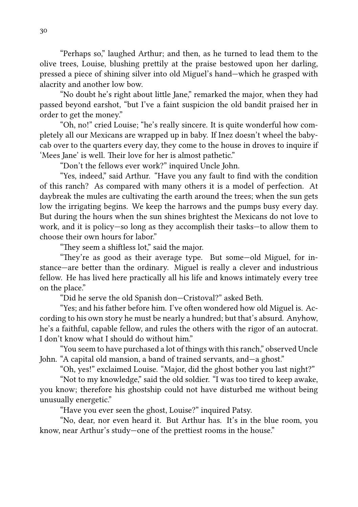"Perhaps so," laughed Arthur; and then, as he turned to lead them to the olive trees, Louise, blushing prettily at the praise bestowed upon her darling, pressed a piece of shining silver into old Miguel's hand—which he grasped with alacrity and another low bow.

"No doubt he's right about little Jane," remarked the major, when they had passed beyond earshot, "but I've a faint suspicion the old bandit praised her in order to get the money."

"Oh, no!" cried Louise; "he's really sincere. It is quite wonderful how completely all our Mexicans are wrapped up in baby. If Inez doesn't wheel the babycab over to the quarters every day, they come to the house in droves to inquire if 'Mees Jane' is well. Their love for her is almost pathetic."

"Don't the fellows ever work?" inquired Uncle John.

"Yes, indeed," said Arthur. "Have you any fault to find with the condition of this ranch? As compared with many others it is a model of perfection. At daybreak the mules are cultivating the earth around the trees; when the sun gets low the irrigating begins. We keep the harrows and the pumps busy every day. But during the hours when the sun shines brightest the Mexicans do not love to work, and it is policy—so long as they accomplish their tasks—to allow them to choose their own hours for labor."

"They seem a shiftless lot," said the major.

"They're as good as their average type. But some—old Miguel, for instance—are better than the ordinary. Miguel is really a clever and industrious fellow. He has lived here practically all his life and knows intimately every tree on the place."

"Did he serve the old Spanish don—Cristoval?" asked Beth.

"Yes; and his father before him. I've often wondered how old Miguel is. According to his own story he must be nearly a hundred; but that's absurd. Anyhow, he's a faithful, capable fellow, and rules the others with the rigor of an autocrat. I don't know what I should do without him."

"You seem to have purchased a lot of things with this ranch," observed Uncle John. "A capital old mansion, a band of trained servants, and—a ghost."

"Oh, yes!" exclaimed Louise. "Major, did the ghost bother you last night?"

"Not to my knowledge," said the old soldier. "I was too tired to keep awake, you know; therefore his ghostship could not have disturbed me without being unusually energetic."

"Have you ever seen the ghost, Louise?" inquired Patsy.

"No, dear, nor even heard it. But Arthur has. It's in the blue room, you know, near Arthur's study—one of the prettiest rooms in the house."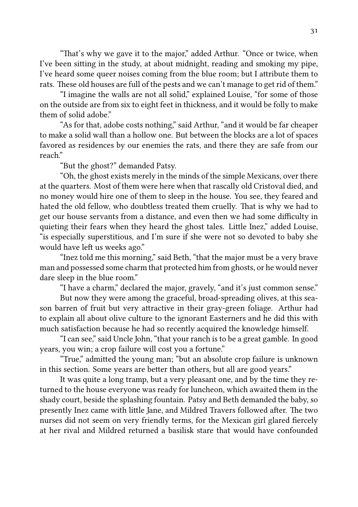"That's why we gave it to the major," added Arthur. "Once or twice, when I've been sitting in the study, at about midnight, reading and smoking my pipe, I've heard some queer noises coming from the blue room; but I attribute them to rats. These old houses are full of the pests and we can't manage to get rid of them."

"I imagine the walls are not all solid," explained Louise, "for some of those on the outside are from six to eight feet in thickness, and it would be folly to make them of solid adobe."

"As for that, adobe costs nothing," said Arthur, "and it would be far cheaper to make a solid wall than a hollow one. But between the blocks are a lot of spaces favored as residences by our enemies the rats, and there they are safe from our reach."

"But the ghost?" demanded Patsy.

"Oh, the ghost exists merely in the minds of the simple Mexicans, over there at the quarters. Most of them were here when that rascally old Cristoval died, and no money would hire one of them to sleep in the house. You see, they feared and hated the old fellow, who doubtless treated them cruelly. That is why we had to get our house servants from a distance, and even then we had some difficulty in quieting their fears when they heard the ghost tales. Little Inez," added Louise, "is especially superstitious, and I'm sure if she were not so devoted to baby she would have left us weeks ago."

"Inez told me this morning," said Beth, "that the major must be a very brave man and possessed some charm that protected him from ghosts, or he would never dare sleep in the blue room."

"I have a charm," declared the major, gravely, "and it's just common sense."

But now they were among the graceful, broad-spreading olives, at this season barren of fruit but very attractive in their gray-green foliage. Arthur had to explain all about olive culture to the ignorant Easterners and he did this with much satisfaction because he had so recently acquired the knowledge himself.

"I can see," said Uncle John, "that your ranch is to be a great gamble. In good years, you win; a crop failure will cost you a fortune."

"True," admitted the young man; "but an absolute crop failure is unknown in this section. Some years are better than others, but all are good years."

It was quite a long tramp, but a very pleasant one, and by the time they returned to the house everyone was ready for luncheon, which awaited them in the shady court, beside the splashing fountain. Patsy and Beth demanded the baby, so presently Inez came with little Jane, and Mildred Travers followed after. The two nurses did not seem on very friendly terms, for the Mexican girl glared fiercely at her rival and Mildred returned a basilisk stare that would have confounded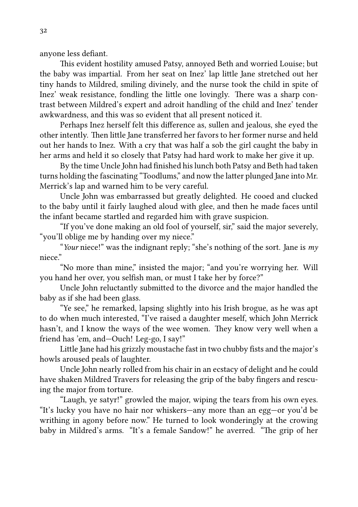anyone less defiant.

This evident hostility amused Patsy, annoyed Beth and worried Louise; but the baby was impartial. From her seat on Inez' lap lile Jane stretched out her tiny hands to Mildred, smiling divinely, and the nurse took the child in spite of Inez' weak resistance, fondling the little one lovingly. There was a sharp contrast between Mildred's expert and adroit handling of the child and Inez' tender awkwardness, and this was so evident that all present noticed it.

Perhaps Inez herself felt this difference as, sullen and jealous, she eyed the other intently. Then little Jane transferred her favors to her former nurse and held out her hands to Inez. With a cry that was half a sob the girl caught the baby in her arms and held it so closely that Patsy had hard work to make her give it up.

By the time Uncle John had finished his lunch both Patsy and Beth had taken turns holding the fascinating "Toodlums," and now the latter plunged Jane into Mr. Merrick's lap and warned him to be very careful.

Uncle John was embarrassed but greatly delighted. He cooed and clucked to the baby until it fairly laughed aloud with glee, and then he made faces until the infant became startled and regarded him with grave suspicion.

"If you've done making an old fool of yourself, sir," said the major severely, "you'll oblige me by handing over my niece."

"*Your* niece!" was the indignant reply; "she's nothing of the sort. Jane is *my* niece"

"No more than mine," insisted the major; "and you're worrying her. Will you hand her over, you selfish man, or must I take her by force?"

Uncle John reluctantly submitted to the divorce and the major handled the baby as if she had been glass.

"Ye see," he remarked, lapsing slightly into his Irish brogue, as he was apt to do when much interested, "I've raised a daughter meself, which John Merrick hasn't, and I know the ways of the wee women. They know very well when a friend has 'em, and—Ouch! Leg-go, I say!"

Little Jane had his grizzly moustache fast in two chubby fists and the major's howls aroused peals of laughter.

Uncle John nearly rolled from his chair in an ecstacy of delight and he could have shaken Mildred Travers for releasing the grip of the baby fingers and rescuing the major from torture.

"Laugh, ye satyr!" growled the major, wiping the tears from his own eyes. "It's lucky you have no hair nor whiskers—any more than an egg—or you'd be writhing in agony before now." He turned to look wonderingly at the crowing baby in Mildred's arms. "It's a female Sandow!" he averred. "The grip of her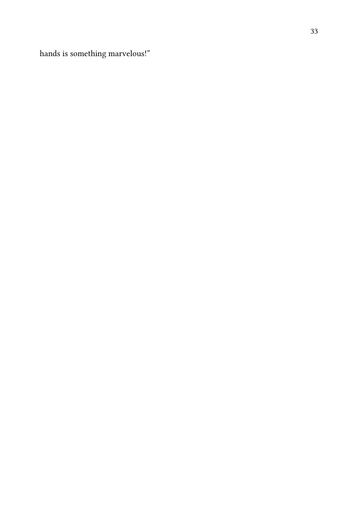hands is something marvelous!"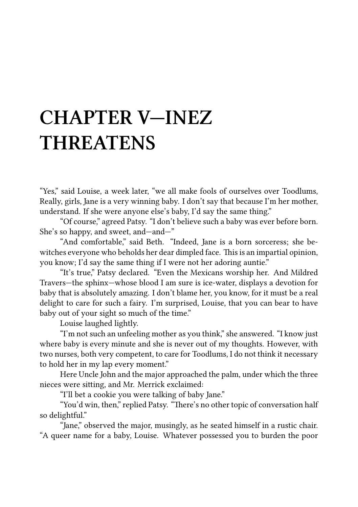### **CHAPTER V—INEZ THREATENS**

"Yes," said Louise, a week later, "we all make fools of ourselves over Toodlums, Really, girls, Jane is a very winning baby. I don't say that because I'm her mother, understand. If she were anyone else's baby, I'd say the same thing."

"Of course," agreed Patsy. "I don't believe such a baby was ever before born. She's so happy, and sweet, and—and—"

"And comfortable," said Beth. "Indeed, Jane is a born sorceress; she bewitches everyone who beholds her dear dimpled face. This is an impartial opinion, you know; I'd say the same thing if I were not her adoring auntie."

"It's true," Patsy declared. "Even the Mexicans worship her. And Mildred Travers—the sphinx—whose blood I am sure is ice-water, displays a devotion for baby that is absolutely amazing. I don't blame her, you know, for it must be a real delight to care for such a fairy. I'm surprised, Louise, that you can bear to have baby out of your sight so much of the time."

Louise laughed lightly.

"I'm not such an unfeeling mother as you think," she answered. "I know just where baby is every minute and she is never out of my thoughts. However, with two nurses, both very competent, to care for Toodlums, I do not think it necessary to hold her in my lap every moment."

Here Uncle John and the major approached the palm, under which the three nieces were sitting, and Mr. Merrick exclaimed:

"I'll bet a cookie you were talking of baby Jane."

"You'd win, then," replied Patsy. "There's no other topic of conversation half so delightful."

"Jane," observed the major, musingly, as he seated himself in a rustic chair. "A queer name for a baby, Louise. Whatever possessed you to burden the poor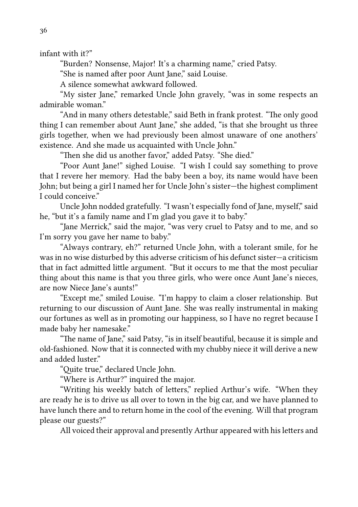infant with it?"

"Burden? Nonsense, Major! It's a charming name," cried Patsy.

"She is named after poor Aunt Jane," said Louise.

A silence somewhat awkward followed.

"My sister Jane," remarked Uncle John gravely, "was in some respects an admirable woman."

"And in many others detestable," said Beth in frank protest. "The only good thing I can remember about Aunt Jane," she added, "is that she brought us three girls together, when we had previously been almost unaware of one anothers' existence. And she made us acquainted with Uncle John."

"Then she did us another favor," added Patsy. "She died."

"Poor Aunt Jane!" sighed Louise. "I wish I could say something to prove that I revere her memory. Had the baby been a boy, its name would have been John; but being a girl I named her for Uncle John's sister—the highest compliment I could conceive."

Uncle John nodded gratefully. "I wasn't especially fond of Jane, myself," said he, "but it's a family name and I'm glad you gave it to baby."

"Jane Merrick," said the major, "was very cruel to Patsy and to me, and so I'm sorry you gave her name to baby."

"Always contrary, eh?" returned Uncle John, with a tolerant smile, for he was in no wise disturbed by this adverse criticism of his defunct sister—a criticism that in fact admitted little argument. "But it occurs to me that the most peculiar thing about this name is that you three girls, who were once Aunt Jane's nieces, are now Niece Jane's aunts!"

"Except me," smiled Louise. "I'm happy to claim a closer relationship. But returning to our discussion of Aunt Jane. She was really instrumental in making our fortunes as well as in promoting our happiness, so I have no regret because I made baby her namesake."

"The name of Jane," said Patsy, "is in itself beautiful, because it is simple and old-fashioned. Now that it is connected with my chubby niece it will derive a new and added luster."

"Quite true," declared Uncle John.

"Where is Arthur?" inquired the major.

"Writing his weekly batch of letters," replied Arthur's wife. "When they are ready he is to drive us all over to town in the big car, and we have planned to have lunch there and to return home in the cool of the evening. Will that program please our guests?"

All voiced their approval and presently Arthur appeared with his letters and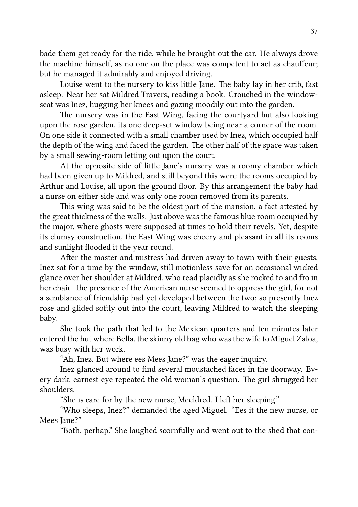bade them get ready for the ride, while he brought out the car. He always drove the machine himself, as no one on the place was competent to act as chauffeur; but he managed it admirably and enjoyed driving.

Louise went to the nursery to kiss little Jane. The baby lay in her crib, fast asleep. Near her sat Mildred Travers, reading a book. Crouched in the windowseat was Inez, hugging her knees and gazing moodily out into the garden.

The nursery was in the East Wing, facing the courtyard but also looking upon the rose garden, its one deep-set window being near a corner of the room. On one side it connected with a small chamber used by Inez, which occupied half the depth of the wing and faced the garden. The other half of the space was taken by a small sewing-room letting out upon the court.

At the opposite side of little Jane's nursery was a roomy chamber which had been given up to Mildred, and still beyond this were the rooms occupied by Arthur and Louise, all upon the ground floor. By this arrangement the baby had a nurse on either side and was only one room removed from its parents.

This wing was said to be the oldest part of the mansion, a fact attested by the great thickness of the walls. Just above was the famous blue room occupied by the major, where ghosts were supposed at times to hold their revels. Yet, despite its clumsy construction, the East Wing was cheery and pleasant in all its rooms and sunlight flooded it the year round.

After the master and mistress had driven away to town with their guests, Inez sat for a time by the window, still motionless save for an occasional wicked glance over her shoulder at Mildred, who read placidly as she rocked to and fro in her chair. The presence of the American nurse seemed to oppress the girl, for not a semblance of friendship had yet developed between the two; so presently Inez rose and glided softly out into the court, leaving Mildred to watch the sleeping baby.

She took the path that led to the Mexican quarters and ten minutes later entered the hut where Bella, the skinny old hag who was the wife to Miguel Zaloa, was busy with her work.

"Ah, Inez. But where ees Mees Jane?" was the eager inquiry.

Inez glanced around to find several moustached faces in the doorway. Every dark, earnest eye repeated the old woman's question. The girl shrugged her shoulders.

"She is care for by the new nurse, Meeldred. I left her sleeping."

"Who sleeps, Inez?" demanded the aged Miguel. "Ees it the new nurse, or Mees Jane?"

"Both, perhap." She laughed scornfully and went out to the shed that con-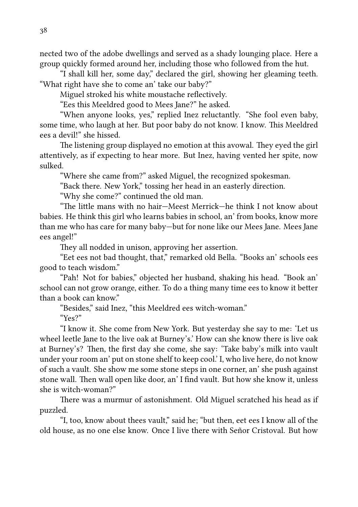nected two of the adobe dwellings and served as a shady lounging place. Here a group quickly formed around her, including those who followed from the hut.

"I shall kill her, some day," declared the girl, showing her gleaming teeth. "What right have she to come an' take our baby?"

Miguel stroked his white moustache reflectively.

"Ees this Meeldred good to Mees Jane?" he asked.

"When anyone looks, yes," replied Inez reluctantly. "She fool even baby, some time, who laugh at her. But poor baby do not know. I know. This Meeldred ees a devil!" she hissed.

The listening group displayed no emotion at this avowal. They eyed the girl attentively, as if expecting to hear more. But Inez, having vented her spite, now sulked.

"Where she came from?" asked Miguel, the recognized spokesman.

"Back there. New York," tossing her head in an easterly direction.

"Why she come?" continued the old man.

"The little mans with no hair-Meest Merrick-he think I not know about babies. He think this girl who learns babies in school, an' from books, know more than me who has care for many baby—but for none like our Mees Jane. Mees Jane ees angel!"

They all nodded in unison, approving her assertion.

"Eet ees not bad thought, that," remarked old Bella. "Books an' schools ees good to teach wisdom."

"Pah! Not for babies," objected her husband, shaking his head. "Book an' school can not grow orange, either. To do a thing many time ees to know it better than a book can know."

"Besides," said Inez, "this Meeldred ees witch-woman."

"Yes?"

"I know it. She come from New York. But yesterday she say to me: 'Let us wheel leetle Jane to the live oak at Burney's.' How can she know there is live oak at Burney's? Then, the first day she come, she say: 'Take baby's milk into vault under your room an' put on stone shelf to keep cool.' I, who live here, do not know of such a vault. She show me some stone steps in one corner, an' she push against stone wall. Then wall open like door, an' I find vault. But how she know it, unless she is witch-woman?"

There was a murmur of astonishment. Old Miguel scratched his head as if puzzled.

"I, too, know about thees vault," said he; "but then, eet ees I know all of the old house, as no one else know. Once I live there with Señor Cristoval. But how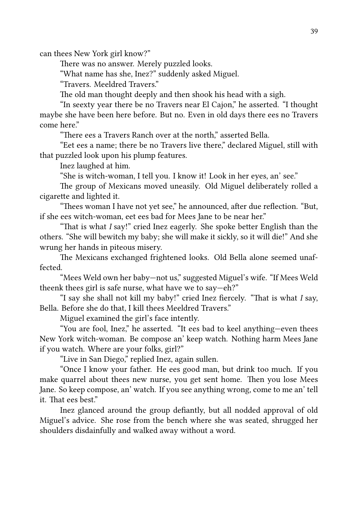can thees New York girl know?"

There was no answer. Merely puzzled looks.

"What name has she, Inez?" suddenly asked Miguel.

"Travers. Meeldred Travers."

The old man thought deeply and then shook his head with a sigh.

"In seexty year there be no Travers near El Cajon," he asserted. "I thought maybe she have been here before. But no. Even in old days there ees no Travers come here"

"There ees a Travers Ranch over at the north," asserted Bella.

"Eet ees a name; there be no Travers live there," declared Miguel, still with that puzzled look upon his plump features.

Inez laughed at him.

"She is witch-woman, I tell you. I know it! Look in her eyes, an' see."

The group of Mexicans moved uneasily. Old Miguel deliberately rolled a cigarette and lighted it.

"Thees woman I have not yet see," he announced, after due reflection. "But, if she ees witch-woman, eet ees bad for Mees Jane to be near her."

"That is what *I* say!" cried Inez eagerly. She spoke better English than the others. "She will bewitch my baby; she will make it sickly, so it will die!" And she wrung her hands in piteous misery.

The Mexicans exchanged frightened looks. Old Bella alone seemed unaffected.

"Mees Weld own her baby—not us," suggested Miguel's wife. "If Mees Weld theenk thees girl is safe nurse, what have we to say—eh?"

"I say she shall not kill my baby!" cried Inez fiercely. "That is what *I* say, Bella. Before she do that, I kill thees Meeldred Travers."

Miguel examined the girl's face intently.

"You are fool, Inez," he asserted. "It ees bad to keel anything—even thees New York witch-woman. Be compose an' keep watch. Nothing harm Mees Jane if you watch. Where are your folks, girl?"

"Live in San Diego," replied Inez, again sullen.

"Once I know your father. He ees good man, but drink too much. If you make quarrel about thees new nurse, you get sent home. Then you lose Mees Jane. So keep compose, an' watch. If you see anything wrong, come to me an' tell it. That ees best."

Inez glanced around the group defiantly, but all nodded approval of old Miguel's advice. She rose from the bench where she was seated, shrugged her shoulders disdainfully and walked away without a word.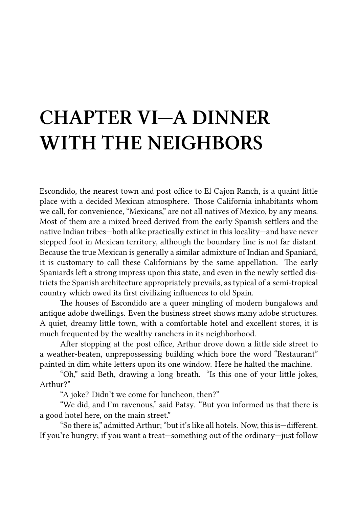## **CHAPTER VI—A DINNER WITH THE NEIGHBORS**

Escondido, the nearest town and post office to El Cajon Ranch, is a quaint little place with a decided Mexican atmosphere. Those California inhabitants whom we call, for convenience, "Mexicans," are not all natives of Mexico, by any means. Most of them are a mixed breed derived from the early Spanish settlers and the native Indian tribes—both alike practically extinct in this locality—and have never stepped foot in Mexican territory, although the boundary line is not far distant. Because the true Mexican is generally a similar admixture of Indian and Spaniard, it is customary to call these Californians by the same appellation. The early Spaniards left a strong impress upon this state, and even in the newly settled districts the Spanish architecture appropriately prevails, as typical of a semi-tropical country which owed its first civilizing influences to old Spain.

The houses of Escondido are a queer mingling of modern bungalows and antique adobe dwellings. Even the business street shows many adobe structures. A quiet, dreamy little town, with a comfortable hotel and excellent stores, it is much frequented by the wealthy ranchers in its neighborhood.

After stopping at the post office, Arthur drove down a little side street to a weather-beaten, unprepossessing building which bore the word "Restaurant" painted in dim white letters upon its one window. Here he halted the machine.

"Oh," said Beth, drawing a long breath. "Is this one of your little jokes, Arthur?"

"A joke? Didn't we come for luncheon, then?"

"We did, and I'm ravenous," said Patsy. "But you informed us that there is a good hotel here, on the main street."

"So there is," admitted Arthur: "but it's like all hotels. Now, this is-different. If you're hungry; if you want a treat—something out of the ordinary—just follow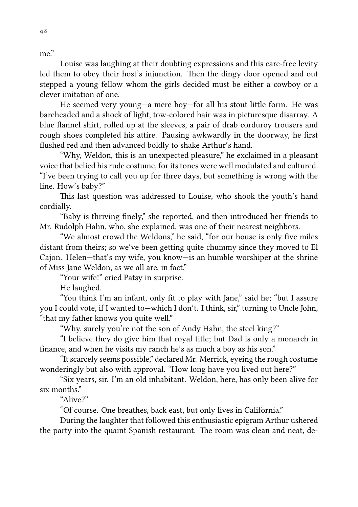me."

Louise was laughing at their doubting expressions and this care-free levity led them to obey their host's injunction. Then the dingy door opened and out stepped a young fellow whom the girls decided must be either a cowboy or a clever imitation of one.

He seemed very young-a mere boy-for all his stout little form. He was bareheaded and a shock of light, tow-colored hair was in picturesque disarray. A blue flannel shirt, rolled up at the sleeves, a pair of drab corduroy trousers and rough shoes completed his attire. Pausing awkwardly in the doorway, he first flushed red and then advanced boldly to shake Arthur's hand.

"Why, Weldon, this is an unexpected pleasure," he exclaimed in a pleasant voice that belied his rude costume, for its tones were well modulated and cultured. "I've been trying to call you up for three days, but something is wrong with the line. How's baby?"

This last question was addressed to Louise, who shook the youth's hand cordially.

"Baby is thriving finely," she reported, and then introduced her friends to Mr. Rudolph Hahn, who, she explained, was one of their nearest neighbors.

"We almost crowd the Weldons," he said, "for our house is only five miles distant from theirs; so we've been getting quite chummy since they moved to El Cajon. Helen—that's my wife, you know—is an humble worshiper at the shrine of Miss Jane Weldon, as we all are, in fact."

"Your wife!" cried Patsy in surprise.

He laughed.

"You think I'm an infant, only fit to play with Jane," said he; "but I assure you I could vote, if I wanted to—which I don't. I think, sir," turning to Uncle John, "that my father knows you quite well."

"Why, surely you're not the son of Andy Hahn, the steel king?"

"I believe they do give him that royal title; but Dad is only a monarch in finance, and when he visits my ranch he's as much a boy as his son."

"It scarcely seems possible," declared Mr. Merrick, eyeing the rough costume wonderingly but also with approval. "How long have you lived out here?"

"Six years, sir. I'm an old inhabitant. Weldon, here, has only been alive for six months."

"Alive?"

"Of course. One breathes, back east, but only lives in California."

During the laughter that followed this enthusiastic epigram Arthur ushered the party into the quaint Spanish restaurant. The room was clean and neat, de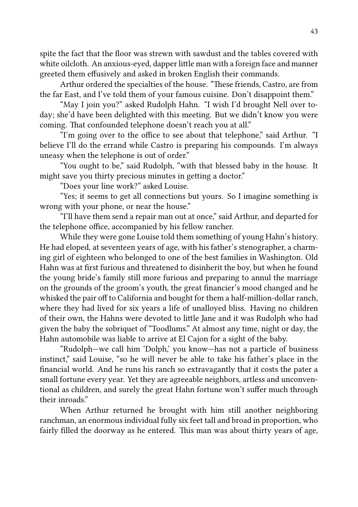spite the fact that the floor was strewn with sawdust and the tables covered with white oilcloth. An anxious-eyed, dapper little man with a foreign face and manner greeted them effusively and asked in broken English their commands.

Arthur ordered the specialties of the house. "These friends, Castro, are from the far East, and I've told them of your famous cuisine. Don't disappoint them."

"May I join you?" asked Rudolph Hahn. "I wish I'd brought Nell over today; she'd have been delighted with this meeting. But we didn't know you were coming. That confounded telephone doesn't reach you at all."

"I'm going over to the office to see about that telephone," said Arthur. "I believe I'll do the errand while Castro is preparing his compounds. I'm always uneasy when the telephone is out of order."

"You ought to be," said Rudolph, "with that blessed baby in the house. It might save you thirty precious minutes in getting a doctor."

"Does your line work?" asked Louise.

"Yes; it seems to get all connections but yours. So I imagine something is wrong with your phone, or near the house."

"I'll have them send a repair man out at once," said Arthur, and departed for the telephone office, accompanied by his fellow rancher.

While they were gone Louise told them something of young Hahn's history. He had eloped, at seventeen years of age, with his father's stenographer, a charming girl of eighteen who belonged to one of the best families in Washington. Old Hahn was at first furious and threatened to disinherit the boy, but when he found the young bride's family still more furious and preparing to annul the marriage on the grounds of the groom's youth, the great financier's mood changed and he whisked the pair off to California and bought for them a half-million-dollar ranch, where they had lived for six years a life of unalloyed bliss. Having no children of their own, the Hahns were devoted to little Jane and it was Rudolph who had given the baby the sobriquet of "Toodlums." At almost any time, night or day, the Hahn automobile was liable to arrive at El Cajon for a sight of the baby.

"Rudolph—we call him 'Dolph,' you know—has not a particle of business instinct," said Louise, "so he will never be able to take his father's place in the financial world. And he runs his ranch so extravagantly that it costs the pater a small fortune every year. Yet they are agreeable neighbors, artless and unconventional as children, and surely the great Hahn fortune won't suffer much through their inroads."

When Arthur returned he brought with him still another neighboring ranchman, an enormous individual fully six feet tall and broad in proportion, who fairly filled the doorway as he entered. This man was about thirty years of age,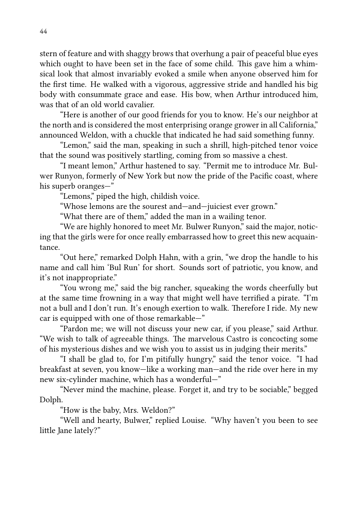stern of feature and with shaggy brows that overhung a pair of peaceful blue eyes which ought to have been set in the face of some child. This gave him a whimsical look that almost invariably evoked a smile when anyone observed him for the first time. He walked with a vigorous, aggressive stride and handled his big body with consummate grace and ease. His bow, when Arthur introduced him, was that of an old world cavalier.

"Here is another of our good friends for you to know. He's our neighbor at the north and is considered the most enterprising orange grower in all California," announced Weldon, with a chuckle that indicated he had said something funny.

"Lemon," said the man, speaking in such a shrill, high-pitched tenor voice that the sound was positively startling, coming from so massive a chest.

"I meant lemon," Arthur hastened to say. "Permit me to introduce Mr. Bulwer Runyon, formerly of New York but now the pride of the Pacific coast, where his superb oranges—"

"Lemons," piped the high, childish voice.

"Whose lemons are the sourest and—and—juiciest ever grown."

"What there are of them," added the man in a wailing tenor.

"We are highly honored to meet Mr. Bulwer Runyon," said the major, noticing that the girls were for once really embarrassed how to greet this new acquaintance.

"Out here," remarked Dolph Hahn, with a grin, "we drop the handle to his name and call him 'Bul Run' for short. Sounds sort of patriotic, you know, and it's not inappropriate."

"You wrong me," said the big rancher, squeaking the words cheerfully but at the same time frowning in a way that might well have terrified a pirate. "I'm not a bull and I don't run. It's enough exertion to walk. Therefore I ride. My new car is equipped with one of those remarkable—"

"Pardon me; we will not discuss your new car, if you please," said Arthur. "We wish to talk of agreeable things. The marvelous Castro is concocting some of his mysterious dishes and we wish you to assist us in judging their merits."

"I shall be glad to, for I'm pitifully hungry," said the tenor voice. "I had breakfast at seven, you know—like a working man—and the ride over here in my new six-cylinder machine, which has a wonderful—"

"Never mind the machine, please. Forget it, and try to be sociable," begged Dolph.

"How is the baby, Mrs. Weldon?"

"Well and hearty, Bulwer," replied Louise. "Why haven't you been to see little Jane lately?"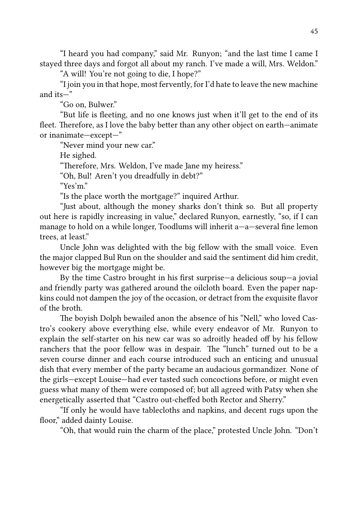"I heard you had company," said Mr. Runyon; "and the last time I came I stayed three days and forgot all about my ranch. I've made a will, Mrs. Weldon."

"A will! You're not going to die, I hope?"

"I join you in that hope, most fervently, for I'd hate to leave the new machine and its—"

"Go on, Bulwer."

"But life is fleeting, and no one knows just when it'll get to the end of its fleet. Therefore, as I love the baby better than any other object on earth—animate or inanimate—except—"

"Never mind your new car."

He sighed.

"Therefore, Mrs. Weldon, I've made Jane my heiress."

"Oh, Bul! Aren't you dreadfully in debt?"

"Yes'm."

"Is the place worth the mortgage?" inquired Arthur.

"Just about, although the money sharks don't think so. But all property out here is rapidly increasing in value," declared Runyon, earnestly, "so, if I can manage to hold on a while longer, Toodlums will inherit a—a—several fine lemon trees, at least."

Uncle John was delighted with the big fellow with the small voice. Even the major clapped Bul Run on the shoulder and said the sentiment did him credit, however big the mortgage might be.

By the time Castro brought in his first surprise—a delicious soup—a jovial and friendly party was gathered around the oilcloth board. Even the paper napkins could not dampen the joy of the occasion, or detract from the exquisite flavor of the broth.

The boyish Dolph bewailed anon the absence of his "Nell," who loved Castro's cookery above everything else, while every endeavor of Mr. Runyon to explain the self-starter on his new car was so adroitly headed off by his fellow ranchers that the poor fellow was in despair. The "lunch" turned out to be a seven course dinner and each course introduced such an enticing and unusual dish that every member of the party became an audacious gormandizer. None of the girls—except Louise—had ever tasted such concoctions before, or might even guess what many of them were composed of; but all agreed with Patsy when she energetically asserted that "Castro out-cheffed both Rector and Sherry."

"If only he would have tablecloths and napkins, and decent rugs upon the floor," added dainty Louise.

"Oh, that would ruin the charm of the place," protested Uncle John. "Don't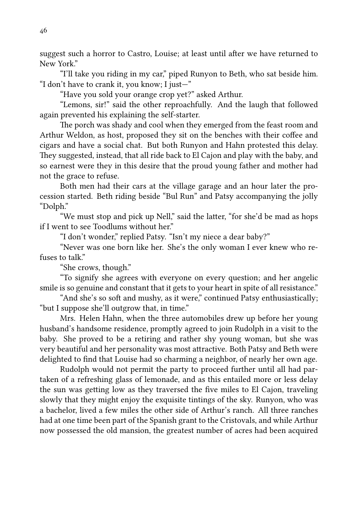suggest such a horror to Castro, Louise; at least until after we have returned to New York."

"I'll take you riding in my car," piped Runyon to Beth, who sat beside him. "I don't have to crank it, you know; I just—"

"Have you sold your orange crop yet?" asked Arthur.

"Lemons, sir!" said the other reproachfully. And the laugh that followed again prevented his explaining the self-starter.

The porch was shady and cool when they emerged from the feast room and Arthur Weldon, as host, proposed they sit on the benches with their coffee and cigars and have a social chat. But both Runyon and Hahn protested this delay. They suggested, instead, that all ride back to El Cajon and play with the baby, and so earnest were they in this desire that the proud young father and mother had not the grace to refuse.

Both men had their cars at the village garage and an hour later the procession started. Beth riding beside "Bul Run" and Patsy accompanying the jolly "Dolph."

"We must stop and pick up Nell," said the latter, "for she'd be mad as hops if I went to see Toodlums without her."

"I don't wonder," replied Patsy. "Isn't my niece a dear baby?"

"Never was one born like her. She's the only woman I ever knew who refuses to talk"

"She crows, though."

"To signify she agrees with everyone on every question; and her angelic smile is so genuine and constant that it gets to your heart in spite of all resistance."

"And she's so soft and mushy, as it were," continued Patsy enthusiastically; "but I suppose she'll outgrow that, in time."

Mrs. Helen Hahn, when the three automobiles drew up before her young husband's handsome residence, promptly agreed to join Rudolph in a visit to the baby. She proved to be a retiring and rather shy young woman, but she was very beautiful and her personality was most attractive. Both Patsy and Beth were delighted to find that Louise had so charming a neighbor, of nearly her own age.

Rudolph would not permit the party to proceed further until all had partaken of a refreshing glass of lemonade, and as this entailed more or less delay the sun was getting low as they traversed the five miles to El Cajon, traveling slowly that they might enjoy the exquisite tintings of the sky. Runyon, who was a bachelor, lived a few miles the other side of Arthur's ranch. All three ranches had at one time been part of the Spanish grant to the Cristovals, and while Arthur now possessed the old mansion, the greatest number of acres had been acquired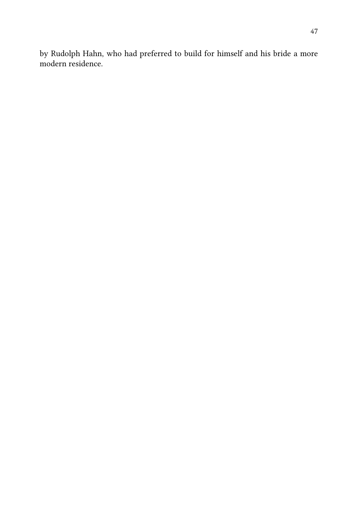by Rudolph Hahn, who had preferred to build for himself and his bride a more modern residence.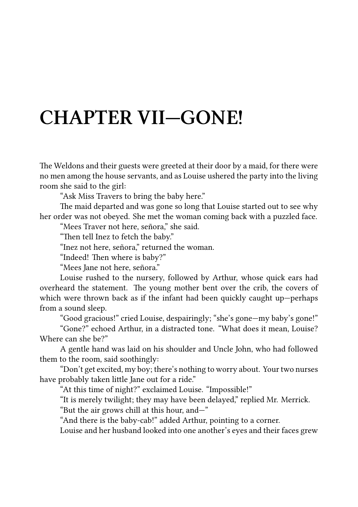### **CHAPTER VII—GONE!**

The Weldons and their guests were greeted at their door by a maid, for there were no men among the house servants, and as Louise ushered the party into the living room she said to the girl:

"Ask Miss Travers to bring the baby here."

The maid departed and was gone so long that Louise started out to see why her order was not obeyed. She met the woman coming back with a puzzled face.

"Mees Traver not here, señora," she said.

"Then tell Inez to fetch the baby."

"Inez not here, señora," returned the woman.

"Indeed! Then where is baby?"

"Mees Jane not here, señora."

Louise rushed to the nursery, followed by Arthur, whose quick ears had overheard the statement. The young mother bent over the crib, the covers of which were thrown back as if the infant had been quickly caught up—perhaps from a sound sleep.

"Good gracious!" cried Louise, despairingly; "she's gone—my baby's gone!"

"Gone?" echoed Arthur, in a distracted tone. "What does it mean, Louise? Where can she be?"

A gentle hand was laid on his shoulder and Uncle John, who had followed them to the room, said soothingly:

"Don't get excited, my boy; there's nothing to worry about. Your two nurses have probably taken little Jane out for a ride."

"At this time of night?" exclaimed Louise. "Impossible!"

"It is merely twilight; they may have been delayed," replied Mr. Merrick.

"But the air grows chill at this hour, and—"

"And there is the baby-cab!" added Arthur, pointing to a corner.

Louise and her husband looked into one another's eyes and their faces grew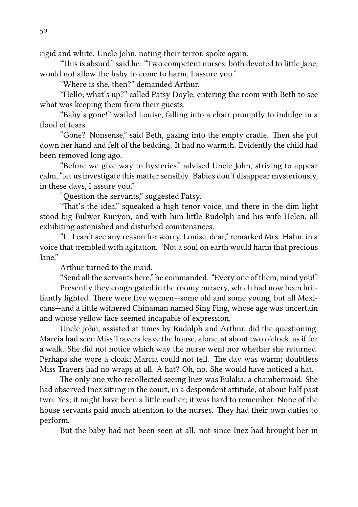rigid and white. Uncle John, noting their terror, spoke again.

"This is absurd," said he. "Two competent nurses, both devoted to little Jane, would not allow the baby to come to harm, I assure you."

"Where is she, then?" demanded Arthur.

"Hello; what's up?" called Patsy Doyle, entering the room with Beth to see what was keeping them from their guests.

"Baby's gone!" wailed Louise, falling into a chair promptly to indulge in a flood of tears.

"Gone? Nonsense," said Beth, gazing into the empty cradle. Then she put down her hand and felt of the bedding. It had no warmth. Evidently the child had been removed long ago.

"Before we give way to hysterics," advised Uncle John, striving to appear calm, "let us investigate this matter sensibly. Babies don't disappear mysteriously, in these days, I assure you."

"Ouestion the servants," suggested Patsy.

"That's the idea," squeaked a high tenor voice, and there in the dim light stood big Bulwer Runyon, and with him little Rudolph and his wife Helen, all exhibiting astonished and disturbed countenances.

"I—I can't see any reason for worry, Louise, dear," remarked Mrs. Hahn, in a voice that trembled with agitation. "Not a soul on earth would harm that precious Jane."

Arthur turned to the maid.

"Send all the servants here," he commanded. "Every one of them, mind you!"

Presently they congregated in the roomy nursery, which had now been brilliantly lighted. There were five women—some old and some young, but all Mexicans—and a little withered Chinaman named Sing Fing, whose age was uncertain and whose yellow face seemed incapable of expression.

Uncle John, assisted at times by Rudolph and Arthur, did the questioning. Marcia had seen Miss Travers leave the house, alone, at about two o'clock, as if for a walk. She did not notice which way the nurse went nor whether she returned. Perhaps she wore a cloak; Marcia could not tell. The day was warm; doubtless Miss Travers had no wraps at all. A hat? Oh, no. She would have noticed a hat.

The only one who recollected seeing Inez was Eulalia, a chambermaid. She had observed Inez sitting in the court, in a despondent attitude, at about half past two. Yes; it might have been a little earlier; it was hard to remember. None of the house servants paid much attention to the nurses. They had their own duties to perform.

But the baby had not been seen at all; not since Inez had brought her in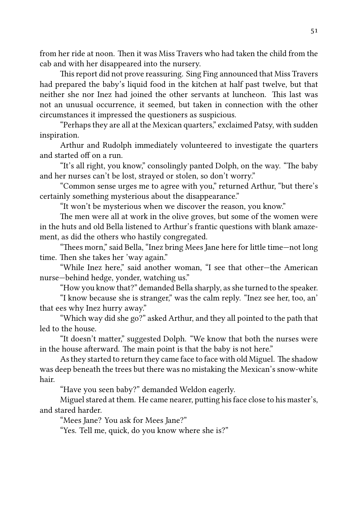from her ride at noon. Then it was Miss Travers who had taken the child from the cab and with her disappeared into the nursery.

This report did not prove reassuring. Sing Fing announced that Miss Travers had prepared the baby's liquid food in the kitchen at half past twelve, but that neither she nor Inez had joined the other servants at luncheon. This last was not an unusual occurrence, it seemed, but taken in connection with the other circumstances it impressed the questioners as suspicious.

"Perhaps they are all at the Mexican quarters," exclaimed Patsy, with sudden inspiration.

Arthur and Rudolph immediately volunteered to investigate the quarters and started off on a run.

"It's all right, you know," consolingly panted Dolph, on the way. "The baby and her nurses can't be lost, strayed or stolen, so don't worry."

"Common sense urges me to agree with you," returned Arthur, "but there's certainly something mysterious about the disappearance."

"It won't be mysterious when we discover the reason, you know."

The men were all at work in the olive groves, but some of the women were in the huts and old Bella listened to Arthur's frantic questions with blank amazement, as did the others who hastily congregated.

"Thees morn," said Bella, "Inez bring Mees Jane here for little time-not long time. Then she takes her 'way again."

"While Inez here," said another woman, "I see that other—the American nurse—behind hedge, yonder, watching us."

"How you know that?" demanded Bella sharply, as she turned to the speaker.

"I know because she is stranger," was the calm reply. "Inez see her, too, an' that ees why Inez hurry away."

"Which way did she go?" asked Arthur, and they all pointed to the path that led to the house.

"It doesn't matter," suggested Dolph. "We know that both the nurses were in the house afterward. The main point is that the baby is not here."

As they started to return they came face to face with old Miguel. The shadow was deep beneath the trees but there was no mistaking the Mexican's snow-white hair.

"Have you seen baby?" demanded Weldon eagerly.

Miguel stared at them. He came nearer, putting his face close to his master's, and stared harder.

"Mees Jane? You ask for Mees Jane?"

"Yes. Tell me, quick, do you know where she is?"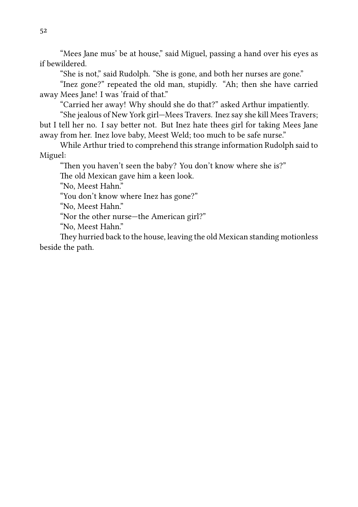"Mees Jane mus' be at house," said Miguel, passing a hand over his eyes as if bewildered.

"She is not," said Rudolph. "She is gone, and both her nurses are gone."

"Inez gone?" repeated the old man, stupidly. "Ah; then she have carried away Mees Jane! I was 'fraid of that."

"Carried her away! Why should she do that?" asked Arthur impatiently.

"She jealous of New York girl—Mees Travers. Inez say she kill Mees Travers; but I tell her no. I say better not. But Inez hate thees girl for taking Mees Jane away from her. Inez love baby, Meest Weld; too much to be safe nurse."

While Arthur tried to comprehend this strange information Rudolph said to Miguel:

"Then you haven't seen the baby? You don't know where she is?"

The old Mexican gave him a keen look.

"No, Meest Hahn."

"You don't know where Inez has gone?"

"No, Meest Hahn."

"Nor the other nurse—the American girl?"

"No, Meest Hahn."

They hurried back to the house, leaving the old Mexican standing motionless beside the path.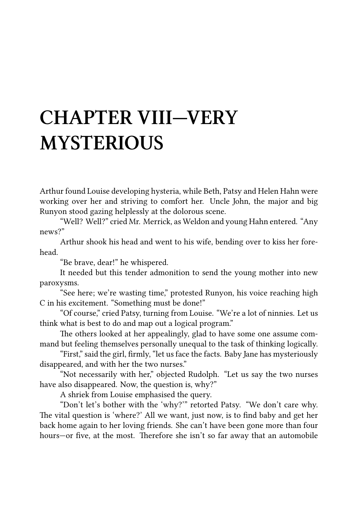### **CHAPTER VIII—VERY MYSTERIOUS**

Arthur found Louise developing hysteria, while Beth, Patsy and Helen Hahn were working over her and striving to comfort her. Uncle John, the major and big Runyon stood gazing helplessly at the dolorous scene.

"Well? Well?" cried Mr. Merrick, as Weldon and young Hahn entered. "Any news?"

Arthur shook his head and went to his wife, bending over to kiss her forehead.

"Be brave, dear!" he whispered.

It needed but this tender admonition to send the young mother into new paroxysms.

"See here; we're wasting time," protested Runyon, his voice reaching high C in his excitement. "Something must be done!"

"Of course," cried Patsy, turning from Louise. "We're a lot of ninnies. Let us think what is best to do and map out a logical program."

The others looked at her appealingly, glad to have some one assume command but feeling themselves personally unequal to the task of thinking logically.

"First," said the girl, firmly, "let us face the facts. Baby Jane has mysteriously disappeared, and with her the two nurses."

"Not necessarily with her," objected Rudolph. "Let us say the two nurses have also disappeared. Now, the question is, why?"

A shriek from Louise emphasised the query.

"Don't let's bother with the 'why?'" retorted Patsy. "We don't care why. The vital question is 'where?' All we want, just now, is to find baby and get her back home again to her loving friends. She can't have been gone more than four hours-or five, at the most. Therefore she isn't so far away that an automobile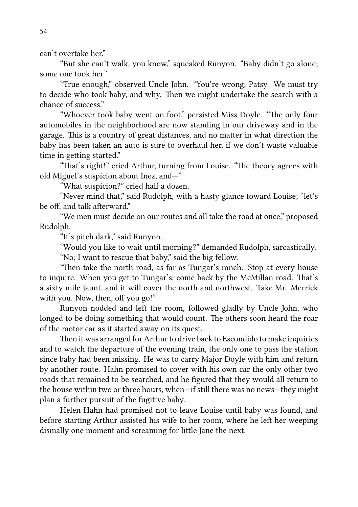can't overtake her."

"But she can't walk, you know," squeaked Runyon. "Baby didn't go alone; some one took her."

"True enough," observed Uncle John. "You're wrong, Patsy. We must try to decide who took baby, and why. Then we might undertake the search with a chance of success."

"Whoever took baby went on foot," persisted Miss Doyle. "The only four automobiles in the neighborhood are now standing in our driveway and in the garage. This is a country of great distances, and no matter in what direction the baby has been taken an auto is sure to overhaul her, if we don't waste valuable time in getting started."

"That's right!" cried Arthur, turning from Louise. "The theory agrees with old Miguel's suspicion about Inez, and—"

"What suspicion?" cried half a dozen.

"Never mind that," said Rudolph, with a hasty glance toward Louise; "let's be off, and talk afterward."

"We men must decide on our routes and all take the road at once," proposed Rudolph.

"It's pitch dark," said Runyon.

"Would you like to wait until morning?" demanded Rudolph, sarcastically.

"No; I want to rescue that baby," said the big fellow.

"Then take the north road, as far as Tungar's ranch. Stop at every house to inquire. When you get to Tungar's, come back by the McMillan road. That's a sixty mile jaunt, and it will cover the north and northwest. Take Mr. Merrick with you. Now, then, off you go!"

Runyon nodded and left the room, followed gladly by Uncle John, who longed to be doing something that would count. The others soon heard the roar of the motor car as it started away on its quest.

Then it was arranged for Arthur to drive back to Escondido to make inquiries and to watch the departure of the evening train, the only one to pass the station since baby had been missing. He was to carry Major Doyle with him and return by another route. Hahn promised to cover with his own car the only other two roads that remained to be searched, and he figured that they would all return to the house within two or three hours, when—if still there was no news—they might plan a further pursuit of the fugitive baby.

Helen Hahn had promised not to leave Louise until baby was found, and before starting Arthur assisted his wife to her room, where he left her weeping dismally one moment and screaming for little Jane the next.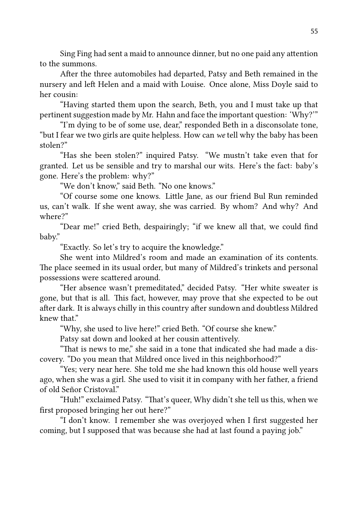Sing Fing had sent a maid to announce dinner, but no one paid any attention to the summons.

After the three automobiles had departed, Patsy and Beth remained in the nursery and left Helen and a maid with Louise. Once alone, Miss Doyle said to her cousin:

"Having started them upon the search, Beth, you and I must take up that pertinent suggestion made by Mr. Hahn and face the important question: 'Why?'"

"I'm dying to be of some use, dear," responded Beth in a disconsolate tone, "but I fear we two girls are quite helpless. How can *we* tell why the baby has been stolen?"

"Has she been stolen?" inquired Patsy. "We mustn't take even that for granted. Let us be sensible and try to marshal our wits. Here's the fact: baby's gone. Here's the problem: why?"

"We don't know," said Beth. "No one knows."

"Of course some one knows. Lile Jane, as our friend Bul Run reminded us, can't walk. If she went away, she was carried. By whom? And why? And where?"

"Dear me!" cried Beth, despairingly; "if we knew all that, we could find baby."

"Exactly. So let's try to acquire the knowledge."

She went into Mildred's room and made an examination of its contents. The place seemed in its usual order, but many of Mildred's trinkets and personal possessions were scattered around.

"Her absence wasn't premeditated," decided Patsy. "Her white sweater is gone, but that is all. This fact, however, may prove that she expected to be out after dark. It is always chilly in this country after sundown and doubtless Mildred knew that"

"Why, she used to live here!" cried Beth. "Of course she knew."

Patsy sat down and looked at her cousin attentively.

"That is news to me," she said in a tone that indicated she had made a discovery. "Do you mean that Mildred once lived in this neighborhood?"

"Yes; very near here. She told me she had known this old house well years ago, when she was a girl. She used to visit it in company with her father, a friend of old Señor Cristoval."

"Huh!" exclaimed Patsy. "That's queer, Why didn't she tell us this, when we first proposed bringing her out here?"

"I don't know. I remember she was overjoyed when I first suggested her coming, but I supposed that was because she had at last found a paying job."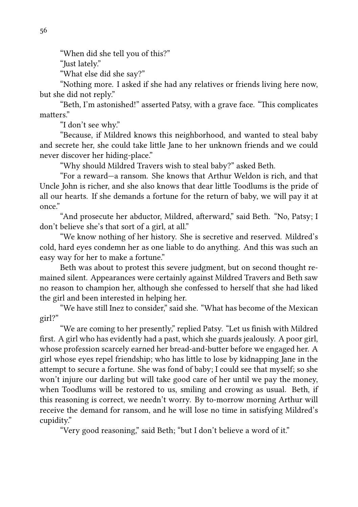"When did she tell you of this?"

"Just lately."

"What else did she say?"

"Nothing more. I asked if she had any relatives or friends living here now, but she did not reply."

"Beth, I'm astonished!" asserted Patsy, with a grave face. "This complicates matters"

"I don't see why."

"Because, if Mildred knows this neighborhood, and wanted to steal baby and secrete her, she could take little Jane to her unknown friends and we could never discover her hiding-place."

"Why should Mildred Travers wish to steal baby?" asked Beth.

"For a reward—a ransom. She knows that Arthur Weldon is rich, and that Uncle John is richer, and she also knows that dear little Toodlums is the pride of all our hearts. If she demands a fortune for the return of baby, we will pay it at once."

"And prosecute her abductor, Mildred, afterward," said Beth. "No, Patsy: I don't believe she's that sort of a girl, at all."

"We know nothing of her history. She is secretive and reserved. Mildred's cold, hard eyes condemn her as one liable to do anything. And this was such an easy way for her to make a fortune."

Beth was about to protest this severe judgment, but on second thought remained silent. Appearances were certainly against Mildred Travers and Beth saw no reason to champion her, although she confessed to herself that she had liked the girl and been interested in helping her.

"We have still Inez to consider," said she. "What has become of the Mexican girl?"

"We are coming to her presently," replied Patsy. "Let us finish with Mildred first. A girl who has evidently had a past, which she guards jealously. A poor girl, whose profession scarcely earned her bread-and-butter before we engaged her. A girl whose eyes repel friendship; who has lile to lose by kidnapping Jane in the attempt to secure a fortune. She was fond of baby; I could see that myself; so she won't injure our darling but will take good care of her until we pay the money, when Toodlums will be restored to us, smiling and crowing as usual. Beth, if this reasoning is correct, we needn't worry. By to-morrow morning Arthur will receive the demand for ransom, and he will lose no time in satisfying Mildred's cupidity."

"Very good reasoning," said Beth; "but I don't believe a word of it."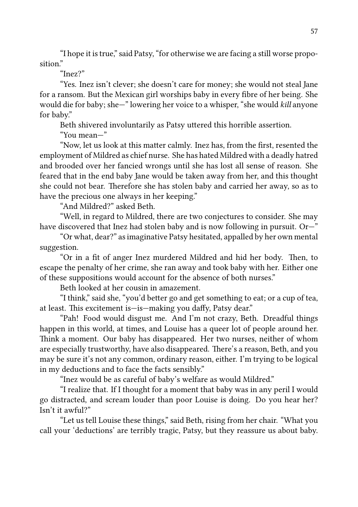"I hope it is true," said Patsy, "for otherwise we are facing a still worse proposition"

#### "Inez?"

"Yes. Inez isn't clever; she doesn't care for money; she would not steal Jane for a ransom. But the Mexican girl worships baby in every fibre of her being. She would die for baby; she—" lowering her voice to a whisper, "she would *kill* anyone for baby."

Beth shivered involuntarily as Patsy uttered this horrible assertion.

"You mean—"

"Now, let us look at this matter calmly. Inez has, from the first, resented the employment of Mildred as chief nurse. She has hated Mildred with a deadly hatred and brooded over her fancied wrongs until she has lost all sense of reason. She feared that in the end baby Jane would be taken away from her, and this thought she could not bear. Therefore she has stolen baby and carried her away, so as to have the precious one always in her keeping."

"And Mildred?" asked Beth.

"Well, in regard to Mildred, there are two conjectures to consider. She may have discovered that Inez had stolen baby and is now following in pursuit. Or—"

"Or what, dear?" as imaginative Patsy hesitated, appalled by her own mental suggestion.

"Or in a fit of anger Inez murdered Mildred and hid her body. Then, to escape the penalty of her crime, she ran away and took baby with her. Either one of these suppositions would account for the absence of both nurses."

Beth looked at her cousin in amazement.

"I think," said she, "you'd better go and get something to eat; or a cup of tea, at least. This excitement is—is—making you daffy, Patsy dear."

"Pah! Food would disgust me. And I'm not crazy, Beth. Dreadful things happen in this world, at times, and Louise has a queer lot of people around her. Think a moment. Our baby has disappeared. Her two nurses, neither of whom are especially trustworthy, have also disappeared. There's a reason, Beth, and you may be sure it's not any common, ordinary reason, either. I'm trying to be logical in my deductions and to face the facts sensibly."

"Inez would be as careful of baby's welfare as would Mildred."

"I realize that. If I thought for a moment that baby was in any peril I would go distracted, and scream louder than poor Louise is doing. Do you hear her? Isn't it awful?"

"Let us tell Louise these things," said Beth, rising from her chair. "What you call your 'deductions' are terribly tragic, Patsy, but they reassure us about baby.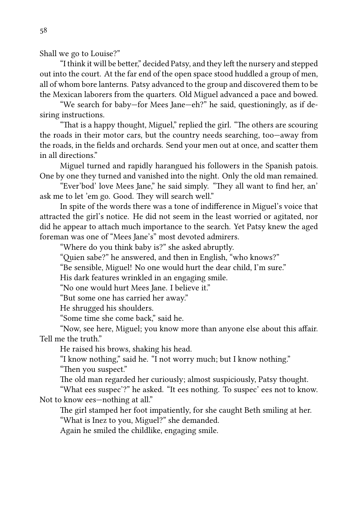Shall we go to Louise?"

"I think it will be better," decided Patsy, and they left the nursery and stepped out into the court. At the far end of the open space stood huddled a group of men, all of whom bore lanterns. Patsy advanced to the group and discovered them to be the Mexican laborers from the quarters. Old Miguel advanced a pace and bowed.

"We search for baby—for Mees Jane—eh?" he said, questioningly, as if desiring instructions.

"That is a happy thought, Miguel," replied the girl. "The others are scouring the roads in their motor cars, but the country needs searching, too—away from the roads, in the fields and orchards. Send your men out at once, and scatter them in all directions."

Miguel turned and rapidly harangued his followers in the Spanish patois. One by one they turned and vanished into the night. Only the old man remained.

"Ever'bod' love Mees Jane," he said simply. "They all want to find her, an' ask me to let 'em go. Good. They will search well."

In spite of the words there was a tone of indifference in Miguel's voice that aracted the girl's notice. He did not seem in the least worried or agitated, nor did he appear to attach much importance to the search. Yet Patsy knew the aged foreman was one of "Mees Jane's" most devoted admirers.

"Where do you think baby is?" she asked abruptly.

"Ouien sabe?" he answered, and then in English, "who knows?"

"Be sensible, Miguel! No one would hurt the dear child, I'm sure."

His dark features wrinkled in an engaging smile.

"No one would hurt Mees Jane. I believe it."

"But some one has carried her away."

He shrugged his shoulders.

"Some time she come back," said he.

"Now, see here, Miguel; you know more than anyone else about this affair. Tell me the truth."

He raised his brows, shaking his head.

"I know nothing," said he. "I not worry much; but I know nothing." "Then you suspect."

The old man regarded her curiously; almost suspiciously, Patsy thought.

"What ees suspec'?" he asked. "It ees nothing. To suspec' ees not to know. Not to know ees—nothing at all."

The girl stamped her foot impatiently, for she caught Beth smiling at her. "What is Inez to you, Miguel?" she demanded.

Again he smiled the childlike, engaging smile.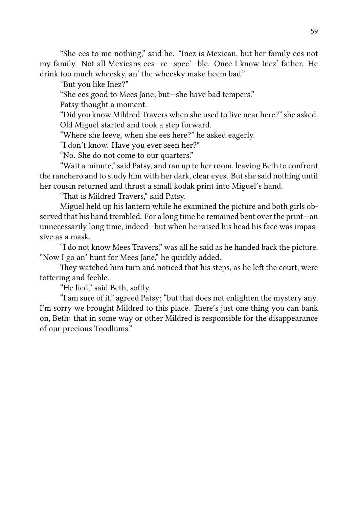"She ees to me nothing," said he. "Inez is Mexican, but her family ees not my family. Not all Mexicans ees—re—spec'—ble. Once I know Inez' father. He drink too much wheesky, an' the wheesky make heem bad."

"But you like Inez?"

"She ees good to Mees Jane; but—she have bad tempers."

Patsy thought a moment.

"Did you know Mildred Travers when she used to live near here?" she asked. Old Miguel started and took a step forward.

"Where she leeve, when she ees here?" he asked eagerly.

"I don't know. Have you ever seen her?"

"No. She do not come to our quarters."

"Wait a minute," said Patsy, and ran up to her room, leaving Beth to confront the ranchero and to study him with her dark, clear eyes. But she said nothing until her cousin returned and thrust a small kodak print into Miguel's hand.

"That is Mildred Travers," said Patsy.

Miguel held up his lantern while he examined the picture and both girls observed that his hand trembled. For a long time he remained bent over the print—an unnecessarily long time, indeed—but when he raised his head his face was impassive as a mask.

"I do not know Mees Travers," was all he said as he handed back the picture. "Now I go an' hunt for Mees Jane," he quickly added.

They watched him turn and noticed that his steps, as he left the court, were tottering and feeble.

"He lied," said Beth, softly.

"I am sure of it," agreed Patsy; "but that does not enlighten the mystery any. I'm sorry we brought Mildred to this place. There's just one thing you can bank on, Beth: that in some way or other Mildred is responsible for the disappearance of our precious Toodlums."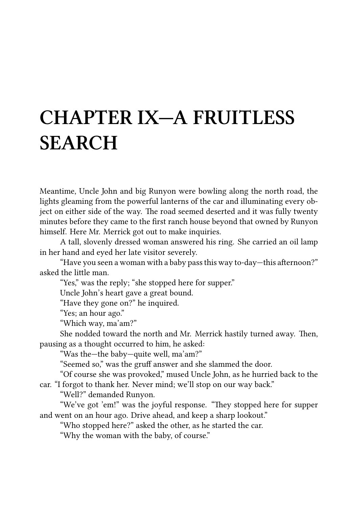## **CHAPTER IX—A FRUITLESS SEARCH**

Meantime, Uncle John and big Runyon were bowling along the north road, the lights gleaming from the powerful lanterns of the car and illuminating every object on either side of the way. The road seemed deserted and it was fully twenty minutes before they came to the first ranch house beyond that owned by Runyon himself. Here Mr. Merrick got out to make inquiries.

A tall, slovenly dressed woman answered his ring. She carried an oil lamp in her hand and eyed her late visitor severely.

"Have you seen a woman with a baby pass this way to-day-this afternoon?" asked the little man

"Yes," was the reply; "she stopped here for supper."

Uncle John's heart gave a great bound.

"Have they gone on?" he inquired.

"Yes; an hour ago."

"Which way, ma'am?"

She nodded toward the north and Mr. Merrick hastily turned away. Then, pausing as a thought occurred to him, he asked:

"Was the—the baby—quite well, ma'am?"

"Seemed so," was the gruff answer and she slammed the door.

"Of course she was provoked," mused Uncle John, as he hurried back to the car. "I forgot to thank her. Never mind; we'll stop on our way back."

"Well?" demanded Runyon.

"We've got 'em!" was the joyful response. "They stopped here for supper and went on an hour ago. Drive ahead, and keep a sharp lookout."

"Who stopped here?" asked the other, as he started the car.

"Why the woman with the baby, of course."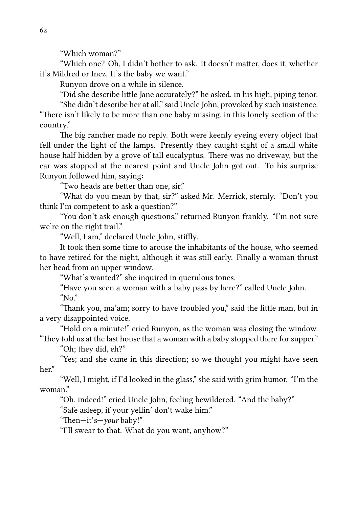"Which woman?"

"Which one? Oh, I didn't bother to ask. It doesn't matter, does it, whether it's Mildred or Inez. It's the baby we want."

Runyon drove on a while in silence.

"Did she describe little Jane accurately?" he asked, in his high, piping tenor.

"She didn't describe her at all," said Uncle John, provoked by such insistence. "There isn't likely to be more than one baby missing, in this lonely section of the country."

The big rancher made no reply. Both were keenly eyeing every object that fell under the light of the lamps. Presently they caught sight of a small white house half hidden by a grove of tall eucalyptus. There was no driveway, but the car was stopped at the nearest point and Uncle John got out. To his surprise Runyon followed him, saying:

"Two heads are better than one, sir."

"What do you mean by that, sir?" asked Mr. Merrick, sternly. "Don't you think I'm competent to ask a question?"

"You don't ask enough questions," returned Runyon frankly. "I'm not sure we're on the right trail."

"Well, I am," declared Uncle John, stiffly.

It took then some time to arouse the inhabitants of the house, who seemed to have retired for the night, although it was still early. Finally a woman thrust her head from an upper window.

"What's wanted?" she inquired in querulous tones.

"Have you seen a woman with a baby pass by here?" called Uncle John. " $No$ "

"Thank you, ma'am; sorry to have troubled you," said the little man, but in a very disappointed voice.

"Hold on a minute!" cried Runyon, as the woman was closing the window. "They told us at the last house that a woman with a baby stopped there for supper."

"Oh; they did, eh?"

"Yes; and she came in this direction; so we thought you might have seen her."

"Well, I might, if I'd looked in the glass," she said with grim humor. "I'm the woman."

"Oh, indeed!" cried Uncle John, feeling bewildered. "And the baby?"

"Safe asleep, if your yellin' don't wake him."

"Then-it's-*your* baby!"

"I'll swear to that. What do you want, anyhow?"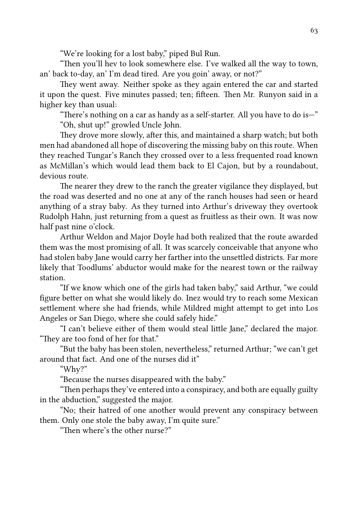"We're looking for a lost baby," piped Bul Run.

"Then you'll hev to look somewhere else. I've walked all the way to town, an' back to-day, an' I'm dead tired. Are you goin' away, or not?"

They went away. Neither spoke as they again entered the car and started it upon the quest. Five minutes passed; ten; fifteen. Then Mr. Runyon said in a higher key than usual:

"There's nothing on a car as handy as a self-starter. All you have to do is—" "Oh, shut up!" growled Uncle John.

They drove more slowly, after this, and maintained a sharp watch; but both men had abandoned all hope of discovering the missing baby on this route. When they reached Tungar's Ranch they crossed over to a less frequented road known as McMillan's which would lead them back to El Cajon, but by a roundabout, devious route.

The nearer they drew to the ranch the greater vigilance they displayed, but the road was deserted and no one at any of the ranch houses had seen or heard anything of a stray baby. As they turned into Arthur's driveway they overtook Rudolph Hahn, just returning from a quest as fruitless as their own. It was now half past nine o'clock.

Arthur Weldon and Major Doyle had both realized that the route awarded them was the most promising of all. It was scarcely conceivable that anyone who had stolen baby Jane would carry her farther into the unsettled districts. Far more likely that Toodlums' abductor would make for the nearest town or the railway station.

"If we know which one of the girls had taken baby," said Arthur, "we could figure better on what she would likely do. Inez would try to reach some Mexican settlement where she had friends, while Mildred might attempt to get into Los Angeles or San Diego, where she could safely hide."

"I can't believe either of them would steal little Jane," declared the major. "They are too fond of her for that."

"But the baby has been stolen, nevertheless," returned Arthur; "we can't get around that fact. And one of the nurses did it"

"Why?"

"Because the nurses disappeared with the baby."

"Then perhaps they've entered into a conspiracy, and both are equally guilty in the abduction," suggested the major.

"No; their hatred of one another would prevent any conspiracy between them. Only one stole the baby away, I'm quite sure."

"Then where's the other nurse?"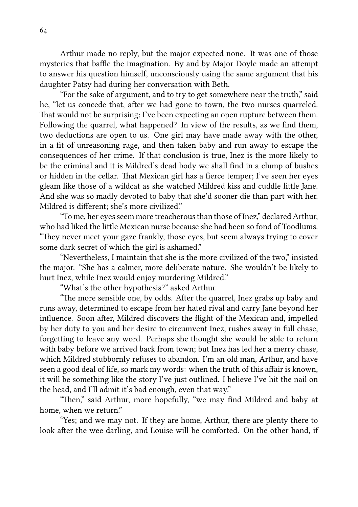Arthur made no reply, but the major expected none. It was one of those mysteries that baffle the imagination. By and by Major Doyle made an attempt to answer his question himself, unconsciously using the same argument that his daughter Patsy had during her conversation with Beth.

"For the sake of argument, and to try to get somewhere near the truth," said he, "let us concede that, after we had gone to town, the two nurses quarreled. That would not be surprising; I've been expecting an open rupture between them. Following the quarrel, what happened? In view of the results, as we find them, two deductions are open to us. One girl may have made away with the other, in a fit of unreasoning rage, and then taken baby and run away to escape the consequences of her crime. If that conclusion is true, Inez is the more likely to be the criminal and it is Mildred's dead body we shall find in a clump of bushes or hidden in the cellar. That Mexican girl has a fierce temper; I've seen her eyes gleam like those of a wildcat as she watched Mildred kiss and cuddle little Jane. And she was so madly devoted to baby that she'd sooner die than part with her. Mildred is different; she's more civilized."

"To me, her eyes seem more treacherous than those of Inez," declared Arthur, who had liked the little Mexican nurse because she had been so fond of Toodlums. "They never meet your gaze frankly, those eyes, but seem always trying to cover some dark secret of which the girl is ashamed."

"Nevertheless, I maintain that she is the more civilized of the two," insisted the major. "She has a calmer, more deliberate nature. She wouldn't be likely to hurt Inez, while Inez would enjoy murdering Mildred."

"What's the other hypothesis?" asked Arthur.

"The more sensible one, by odds. After the quarrel, Inez grabs up baby and runs away, determined to escape from her hated rival and carry Jane beyond her influence. Soon after, Mildred discovers the flight of the Mexican and, impelled by her duty to you and her desire to circumvent Inez, rushes away in full chase, forgeing to leave any word. Perhaps she thought she would be able to return with baby before we arrived back from town; but Inez has led her a merry chase, which Mildred stubbornly refuses to abandon. I'm an old man, Arthur, and have seen a good deal of life, so mark my words: when the truth of this affair is known, it will be something like the story I've just outlined. I believe I've hit the nail on the head, and I'll admit it's bad enough, even that way."

"Then," said Arthur, more hopefully, "we may find Mildred and baby at home, when we return."

"Yes; and we may not. If they are home, Arthur, there are plenty there to look after the wee darling, and Louise will be comforted. On the other hand, if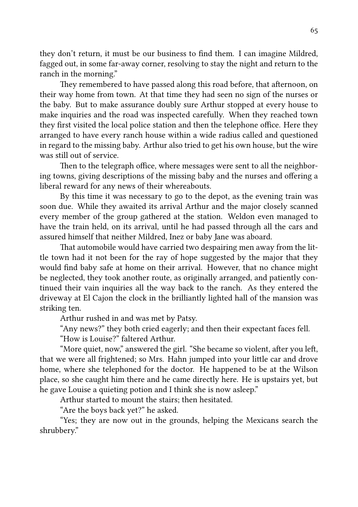they don't return, it must be our business to find them. I can imagine Mildred, fagged out, in some far-away corner, resolving to stay the night and return to the ranch in the morning."

They remembered to have passed along this road before, that afternoon, on their way home from town. At that time they had seen no sign of the nurses or the baby. But to make assurance doubly sure Arthur stopped at every house to make inquiries and the road was inspected carefully. When they reached town they first visited the local police station and then the telephone office. Here they arranged to have every ranch house within a wide radius called and questioned in regard to the missing baby. Arthur also tried to get his own house, but the wire was still out of service.

Then to the telegraph office, where messages were sent to all the neighboring towns, giving descriptions of the missing baby and the nurses and offering a liberal reward for any news of their whereabouts.

By this time it was necessary to go to the depot, as the evening train was soon due. While they awaited its arrival Arthur and the major closely scanned every member of the group gathered at the station. Weldon even managed to have the train held, on its arrival, until he had passed through all the cars and assured himself that neither Mildred, Inez or baby Jane was aboard.

That automobile would have carried two despairing men away from the little town had it not been for the ray of hope suggested by the major that they would find baby safe at home on their arrival. However, that no chance might be neglected, they took another route, as originally arranged, and patiently continued their vain inquiries all the way back to the ranch. As they entered the driveway at El Cajon the clock in the brilliantly lighted hall of the mansion was striking ten.

Arthur rushed in and was met by Patsy.

"Any news?" they both cried eagerly; and then their expectant faces fell.

"How is Louise?" faltered Arthur.

"More quiet, now," answered the girl. "She became so violent, after you left, that we were all frightened; so Mrs. Hahn jumped into your little car and drove home, where she telephoned for the doctor. He happened to be at the Wilson place, so she caught him there and he came directly here. He is upstairs yet, but he gave Louise a quieting potion and I think she is now asleep."

Arthur started to mount the stairs; then hesitated.

"Are the boys back yet?" he asked.

"Yes; they are now out in the grounds, helping the Mexicans search the shrubbery."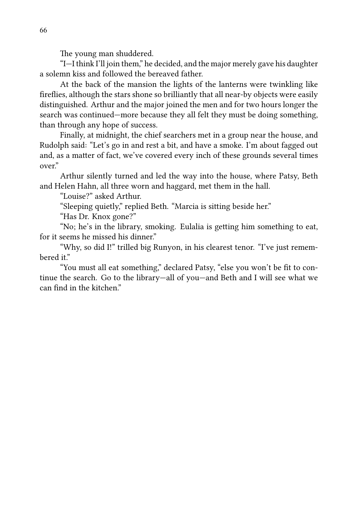The young man shuddered.

"I—I think I'll join them," he decided, and the major merely gave his daughter a solemn kiss and followed the bereaved father.

At the back of the mansion the lights of the lanterns were twinkling like fireflies, although the stars shone so brilliantly that all near-by objects were easily distinguished. Arthur and the major joined the men and for two hours longer the search was continued—more because they all felt they must be doing something, than through any hope of success.

Finally, at midnight, the chief searchers met in a group near the house, and Rudolph said: "Let's go in and rest a bit, and have a smoke. I'm about fagged out and, as a matter of fact, we've covered every inch of these grounds several times over."

Arthur silently turned and led the way into the house, where Patsy, Beth and Helen Hahn, all three worn and haggard, met them in the hall.

"Louise?" asked Arthur.

"Sleeping quietly," replied Beth. "Marcia is sitting beside her."

"Has Dr. Knox gone?"

"No; he's in the library, smoking. Eulalia is getting him something to eat. for it seems he missed his dinner."

"Why, so did I!" trilled big Runyon, in his clearest tenor. "I've just remembered it"

"You must all eat something," declared Patsy, "else you won't be fit to continue the search. Go to the library—all of you—and Beth and I will see what we can find in the kitchen."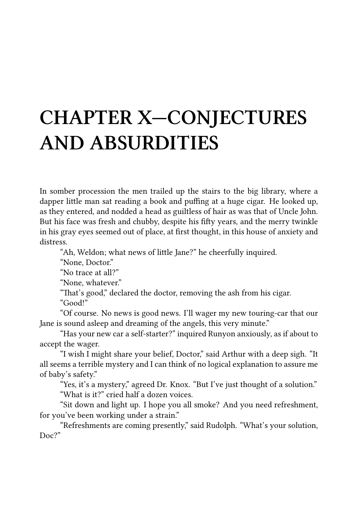# **CHAPTER X—CONJECTURES AND ABSURDITIES**

In somber procession the men trailed up the stairs to the big library, where a dapper little man sat reading a book and puffing at a huge cigar. He looked up, as they entered, and nodded a head as guiltless of hair as was that of Uncle John. But his face was fresh and chubby, despite his fifty years, and the merry twinkle in his gray eyes seemed out of place, at first thought, in this house of anxiety and distress.

"Ah, Weldon; what news of little Jane?" he cheerfully inquired.

"None, Doctor."

"No trace at all?"

"None, whatever."

"That's good," declared the doctor, removing the ash from his cigar. "Good!"

"Of course. No news is good news. I'll wager my new touring-car that our Jane is sound asleep and dreaming of the angels, this very minute."

"Has your new car a self-starter?" inquired Runyon anxiously, as if about to accept the wager.

"I wish I might share your belief, Doctor," said Arthur with a deep sigh. "It all seems a terrible mystery and I can think of no logical explanation to assure me of baby's safety."

"Yes, it's a mystery," agreed Dr. Knox. "But I've just thought of a solution." "What is it?" cried half a dozen voices.

"Sit down and light up. I hope you all smoke? And you need refreshment, for you've been working under a strain."

"Refreshments are coming presently," said Rudolph. "What's your solution, Doc?"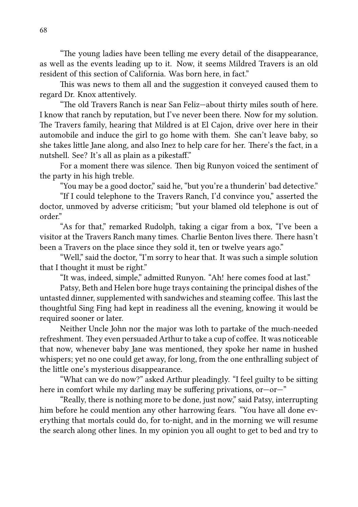"The young ladies have been telling me every detail of the disappearance, as well as the events leading up to it. Now, it seems Mildred Travers is an old resident of this section of California. Was born here, in fact."

This was news to them all and the suggestion it conveyed caused them to regard Dr. Knox attentively.

"The old Travers Ranch is near San Feliz-about thirty miles south of here. I know that ranch by reputation, but I've never been there. Now for my solution. The Travers family, hearing that Mildred is at El Cajon, drive over here in their automobile and induce the girl to go home with them. She can't leave baby, so she takes little Jane along, and also Inez to help care for her. There's the fact, in a nutshell. See? It's all as plain as a pikestaff."

For a moment there was silence. Then big Runyon voiced the sentiment of the party in his high treble.

"You may be a good doctor," said he, "but you're a thunderin' bad detective."

"If I could telephone to the Travers Ranch, I'd convince you," asserted the doctor, unmoved by adverse criticism; "but your blamed old telephone is out of order."

"As for that," remarked Rudolph, taking a cigar from a box, "I've been a visitor at the Travers Ranch many times. Charlie Benton lives there. There hasn't been a Travers on the place since they sold it, ten or twelve years ago."

"Well," said the doctor, "I'm sorry to hear that. It was such a simple solution that I thought it must be right."

"It was, indeed, simple," admitted Runyon. "Ah! here comes food at last."

Patsy, Beth and Helen bore huge trays containing the principal dishes of the untasted dinner, supplemented with sandwiches and steaming coffee. This last the thoughtful Sing Fing had kept in readiness all the evening, knowing it would be required sooner or later.

Neither Uncle John nor the major was loth to partake of the much-needed refreshment. They even persuaded Arthur to take a cup of coffee. It was noticeable that now, whenever baby Jane was mentioned, they spoke her name in hushed whispers; yet no one could get away, for long, from the one enthralling subject of the little one's mysterious disappearance.

"What can we do now?" asked Arthur pleadingly. "I feel guilty to be sitting here in comfort while my darling may be suffering privations, or—or—"

"Really, there is nothing more to be done, just now," said Patsy, interrupting him before he could mention any other harrowing fears. "You have all done everything that mortals could do, for to-night, and in the morning we will resume the search along other lines. In my opinion you all ought to get to bed and try to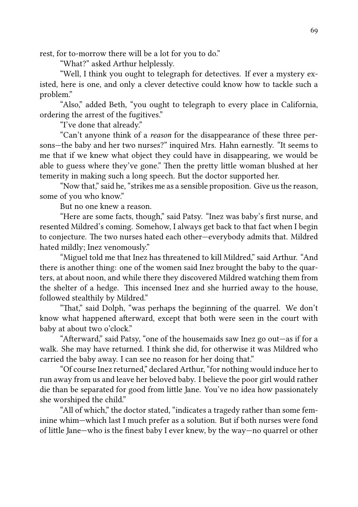rest, for to-morrow there will be a lot for you to do."

"What?" asked Arthur helplessly.

"Well, I think you ought to telegraph for detectives. If ever a mystery existed, here is one, and only a clever detective could know how to tackle such a problem."

"Also," added Beth, "you ought to telegraph to every place in California, ordering the arrest of the fugitives."

"I've done that already."

"Can't anyone think of a *reason* for the disappearance of these three persons—the baby and her two nurses?" inquired Mrs. Hahn earnestly. "It seems to me that if we knew what object they could have in disappearing, we would be able to guess where they've gone." Then the pretty little woman blushed at her temerity in making such a long speech. But the doctor supported her.

"Now that," said he, "strikes me as a sensible proposition. Give us the reason, some of you who know."

But no one knew a reason.

"Here are some facts, though," said Patsy. "Inez was baby's first nurse, and resented Mildred's coming. Somehow, I always get back to that fact when I begin to conjecture. The two nurses hated each other-everybody admits that. Mildred hated mildly; Inez venomously."

"Miguel told me that Inez has threatened to kill Mildred," said Arthur. "And there is another thing: one of the women said Inez brought the baby to the quarters, at about noon, and while there they discovered Mildred watching them from the shelter of a hedge. This incensed Inez and she hurried away to the house, followed stealthily by Mildred."

"That," said Dolph, "was perhaps the beginning of the quarrel. We don't know what happened afterward, except that both were seen in the court with baby at about two o'clock."

"Afterward," said Patsy, "one of the housemaids saw Inez go out—as if for a walk. She may have returned. I think she did, for otherwise it was Mildred who carried the baby away. I can see no reason for her doing that."

"Of course Inez returned," declared Arthur, "for nothing would induce her to run away from us and leave her beloved baby. I believe the poor girl would rather die than be separated for good from little Jane. You've no idea how passionately she worshiped the child."

"All of which," the doctor stated, "indicates a tragedy rather than some feminine whim—which last I much prefer as a solution. But if both nurses were fond of lile Jane—who is the finest baby I ever knew, by the way—no quarrel or other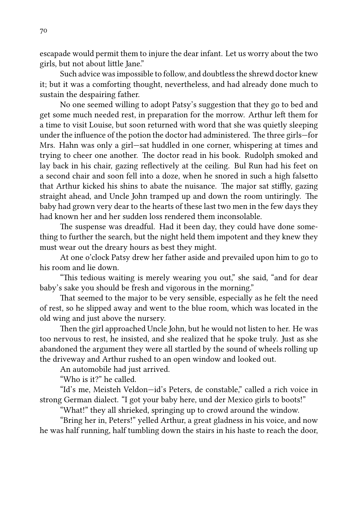escapade would permit them to injure the dear infant. Let us worry about the two girls, but not about little Jane."

Such advice was impossible to follow, and doubtless the shrewd doctor knew it; but it was a comforting thought, nevertheless, and had already done much to sustain the despairing father.

No one seemed willing to adopt Patsy's suggestion that they go to bed and get some much needed rest, in preparation for the morrow. Arthur left them for a time to visit Louise, but soon returned with word that she was quietly sleeping under the influence of the potion the doctor had administered. The three girls—for Mrs. Hahn was only a girl—sat huddled in one corner, whispering at times and trying to cheer one another. The doctor read in his book. Rudolph smoked and lay back in his chair, gazing reflectively at the ceiling. Bul Run had his feet on a second chair and soon fell into a doze, when he snored in such a high falsetto that Arthur kicked his shins to abate the nuisance. The major sat stiffly, gazing straight ahead, and Uncle John tramped up and down the room untiringly. The baby had grown very dear to the hearts of these last two men in the few days they had known her and her sudden loss rendered them inconsolable.

The suspense was dreadful. Had it been day, they could have done something to further the search, but the night held them impotent and they knew they must wear out the dreary hours as best they might.

At one o'clock Patsy drew her father aside and prevailed upon him to go to his room and lie down.

"This tedious waiting is merely wearing you out," she said, "and for dear baby's sake you should be fresh and vigorous in the morning."

That seemed to the major to be very sensible, especially as he felt the need of rest, so he slipped away and went to the blue room, which was located in the old wing and just above the nursery.

Then the girl approached Uncle John, but he would not listen to her. He was too nervous to rest, he insisted, and she realized that he spoke truly. Just as she abandoned the argument they were all startled by the sound of wheels rolling up the driveway and Arthur rushed to an open window and looked out.

An automobile had just arrived.

"Who is it?" he called.

"Id's me, Meisteh Veldon—id's Peters, de constable," called a rich voice in strong German dialect. "I got your baby here, und der Mexico girls to boots!"

"What!" they all shrieked, springing up to crowd around the window.

"Bring her in, Peters!" yelled Arthur, a great gladness in his voice, and now he was half running, half tumbling down the stairs in his haste to reach the door,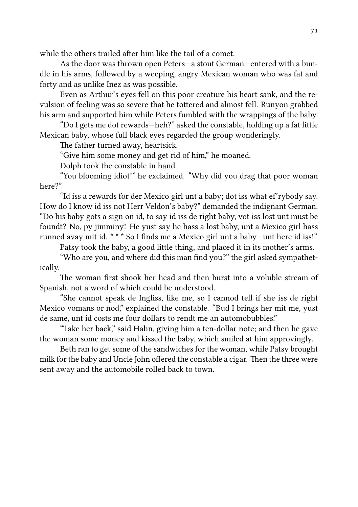while the others trailed after him like the tail of a comet.

As the door was thrown open Peters—a stout German—entered with a bundle in his arms, followed by a weeping, angry Mexican woman who was fat and forty and as unlike Inez as was possible.

Even as Arthur's eyes fell on this poor creature his heart sank, and the revulsion of feeling was so severe that he tottered and almost fell. Runyon grabbed his arm and supported him while Peters fumbled with the wrappings of the baby.

"Do I gets me dot rewards—heh?" asked the constable, holding up a fat little Mexican baby, whose full black eyes regarded the group wonderingly.

The father turned away, heartsick.

"Give him some money and get rid of him," he moaned.

Dolph took the constable in hand.

"You blooming idiot!" he exclaimed. "Why did you drag that poor woman here?"

"Id iss a rewards for der Mexico girl unt a baby; dot iss what e'rybody say. How do I know id iss not Herr Veldon's baby?" demanded the indignant German. "Do his baby gots a sign on id, to say id iss de right baby, vot iss lost unt must be foundt? No, py jimminy! He yust say he hass a lost baby, unt a Mexico girl hass runned avay mit id. \* \* \* So I finds me a Mexico girl unt a baby—unt here id iss!"

Patsy took the baby, a good little thing, and placed it in its mother's arms.

"Who are you, and where did this man find you?" the girl asked sympathetically.

The woman first shook her head and then burst into a voluble stream of Spanish, not a word of which could be understood.

"She cannot speak de Ingliss, like me, so I cannod tell if she iss de right Mexico vomans or nod," explained the constable. "Bud I brings her mit me, yust de same, unt id costs me four dollars to rendt me an automobubbles."

"Take her back," said Hahn, giving him a ten-dollar note; and then he gave the woman some money and kissed the baby, which smiled at him approvingly.

Beth ran to get some of the sandwiches for the woman, while Patsy brought milk for the baby and Uncle John offered the constable a cigar. Then the three were sent away and the automobile rolled back to town.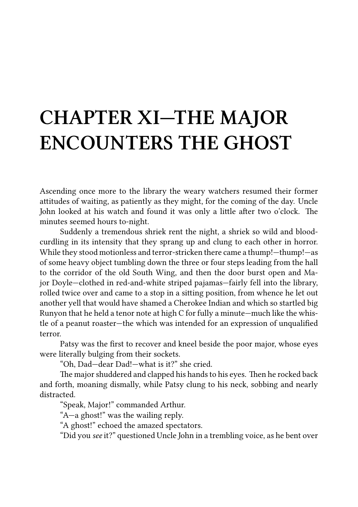## **CHAPTER XI—THE MAJOR ENCOUNTERS THE GHOST**

Ascending once more to the library the weary watchers resumed their former attitudes of waiting, as patiently as they might, for the coming of the day. Uncle John looked at his watch and found it was only a little after two o'clock. The minutes seemed hours to-night.

Suddenly a tremendous shriek rent the night, a shriek so wild and bloodcurdling in its intensity that they sprang up and clung to each other in horror. While they stood motionless and terror-stricken there came a thump!—thump!—as of some heavy object tumbling down the three or four steps leading from the hall to the corridor of the old South Wing, and then the door burst open and Major Doyle—clothed in red-and-white striped pajamas—fairly fell into the library, rolled twice over and came to a stop in a sitting position, from whence he let out another yell that would have shamed a Cherokee Indian and which so startled big Runyon that he held a tenor note at high C for fully a minute—much like the whistle of a peanut roaster—the which was intended for an expression of unqualified terror.

Patsy was the first to recover and kneel beside the poor major, whose eyes were literally bulging from their sockets.

"Oh, Dad—dear Dad!—what is it?" she cried.

The major shuddered and clapped his hands to his eyes. Then he rocked back and forth, moaning dismally, while Patsy clung to his neck, sobbing and nearly distracted.

"Speak, Major!" commanded Arthur.

"A—a ghost!" was the wailing reply.

"A ghost!" echoed the amazed spectators.

"Did you *see* it?" questioned Uncle John in a trembling voice, as he bent over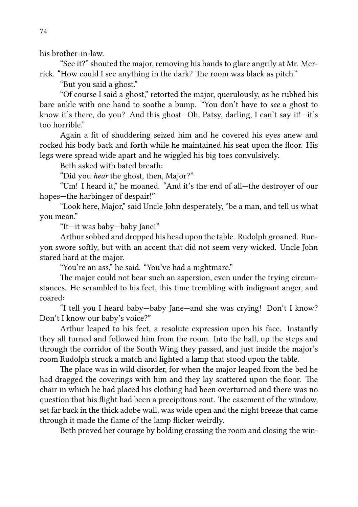his brother-in-law.

"See it?" shouted the major, removing his hands to glare angrily at Mr. Merrick. "How could I see anything in the dark? The room was black as pitch."

"But you said a ghost."

"Of course I said a ghost," retorted the major, querulously, as he rubbed his bare ankle with one hand to soothe a bump. "You don't have to *see* a ghost to know it's there, do you? And this ghost—Oh, Patsy, darling, I can't say it!—it's too horrible"

Again a fit of shuddering seized him and he covered his eyes anew and rocked his body back and forth while he maintained his seat upon the floor. His legs were spread wide apart and he wiggled his big toes convulsively.

Beth asked with bated breath:

"Did you *hear* the ghost, then, Major?"

"Um! I heard it," he moaned. "And it's the end of all—the destroyer of our hopes—the harbinger of despair!"

"Look here, Major," said Uncle John desperately, "be a man, and tell us what you mean."

"It—it was baby—baby Jane!"

Arthur sobbed and dropped his head upon the table. Rudolph groaned. Runyon swore softly, but with an accent that did not seem very wicked. Uncle John stared hard at the major.

"You're an ass," he said. "You've had a nightmare."

The major could not bear such an aspersion, even under the trying circumstances. He scrambled to his feet, this time trembling with indignant anger, and roared:

"I tell you I heard baby—baby Jane—and she was crying! Don't I know? Don't I know our baby's voice?"

Arthur leaped to his feet, a resolute expression upon his face. Instantly they all turned and followed him from the room. Into the hall, up the steps and through the corridor of the South Wing they passed, and just inside the major's room Rudolph struck a match and lighted a lamp that stood upon the table.

The place was in wild disorder, for when the major leaped from the bed he had dragged the coverings with him and they lay scattered upon the floor. The chair in which he had placed his clothing had been overturned and there was no question that his flight had been a precipitous rout. The casement of the window, set far back in the thick adobe wall, was wide open and the night breeze that came through it made the flame of the lamp flicker weirdly.

Beth proved her courage by bolding crossing the room and closing the win-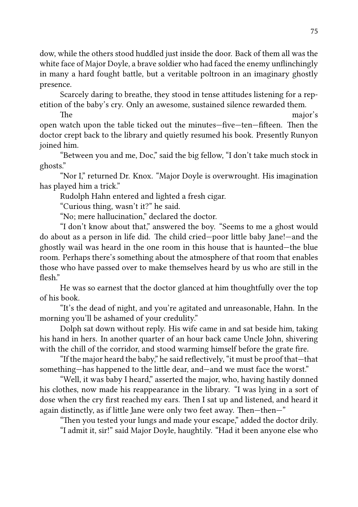dow, while the others stood huddled just inside the door. Back of them all was the white face of Major Doyle, a brave soldier who had faced the enemy unflinchingly in many a hard fought battle, but a veritable poltroon in an imaginary ghostly presence.

Scarcely daring to breathe, they stood in tense attitudes listening for a repetition of the baby's cry. Only an awesome, sustained silence rewarded them.

**The** major's open watch upon the table ticked out the minutes—five—ten—fifteen. Then the doctor crept back to the library and quietly resumed his book. Presently Runyon joined him.

"Between you and me, Doc," said the big fellow, "I don't take much stock in ghosts."

"Nor I," returned Dr. Knox. "Major Doyle is overwrought. His imagination has played him a trick."

Rudolph Hahn entered and lighted a fresh cigar.

"Curious thing, wasn't it?" he said.

"No; mere hallucination," declared the doctor.

"I don't know about that," answered the boy. "Seems to me a ghost would do about as a person in life did. The child cried-poor little baby Jane!-and the ghostly wail was heard in the one room in this house that is haunted—the blue room. Perhaps there's something about the atmosphere of that room that enables those who have passed over to make themselves heard by us who are still in the flesh"

He was so earnest that the doctor glanced at him thoughtfully over the top of his book.

"It's the dead of night, and you're agitated and unreasonable, Hahn. In the morning you'll be ashamed of your credulity."

Dolph sat down without reply. His wife came in and sat beside him, taking his hand in hers. In another quarter of an hour back came Uncle John, shivering with the chill of the corridor, and stood warming himself before the grate fire.

"If the major heard the baby," he said reflectively, "it must be proof that—that something—has happened to the little dear, and—and we must face the worst."

"Well, it was baby I heard," asserted the major, who, having hastily donned his clothes, now made his reappearance in the library. "I was lying in a sort of dose when the cry first reached my ears. Then I sat up and listened, and heard it again distinctly, as if little Jane were only two feet away. Then—then—"

"Then you tested your lungs and made your escape," added the doctor drily. "I admit it, sir!" said Major Doyle, haughtily. "Had it been anyone else who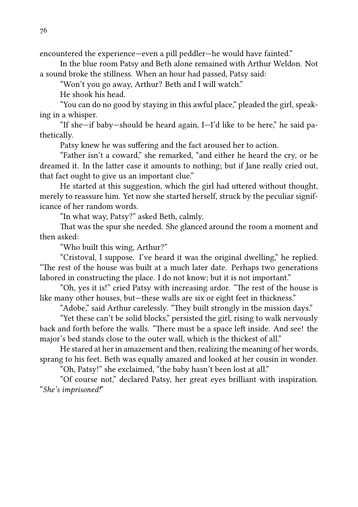encountered the experience—even a pill peddler—he would have fainted."

In the blue room Patsy and Beth alone remained with Arthur Weldon. Not a sound broke the stillness. When an hour had passed, Patsy said:

"Won't you go away, Arthur? Beth and I will watch."

He shook his head.

"You can do no good by staying in this awful place," pleaded the girl, speaking in a whisper.

"If she—if baby—should be heard again, I—I'd like to be here," he said pathetically.

Patsy knew he was suffering and the fact aroused her to action.

"Father isn't a coward," she remarked, "and either he heard the cry, or he dreamed it. In the latter case it amounts to nothing; but if Jane really cried out, that fact ought to give us an important clue."

He started at this suggestion, which the girl had uttered without thought, merely to reassure him. Yet now she started herself, struck by the peculiar significance of her random words.

"In what way, Patsy?" asked Beth, calmly.

That was the spur she needed. She glanced around the room a moment and then asked:

"Who built this wing, Arthur?"

"Cristoval, I suppose. I've heard it was the original dwelling," he replied. "The rest of the house was built at a much later date. Perhaps two generations labored in constructing the place. I do not know; but it is not important."

"Oh, yes it is!" cried Patsy with increasing ardor. "The rest of the house is like many other houses, but—these walls are six or eight feet in thickness."

"Adobe," said Arthur carelessly. "They built strongly in the mission days."

"Yet these can't be solid blocks," persisted the girl, rising to walk nervously back and forth before the walls. "There must be a space left inside. And see! the major's bed stands close to the outer wall, which is the thickest of all."

He stared at her in amazement and then, realizing the meaning of her words, sprang to his feet. Beth was equally amazed and looked at her cousin in wonder.

"Oh, Patsy!" she exclaimed, "the baby hasn't been lost at all."

"Of course not," declared Patsy, her great eyes brilliant with inspiration. "*She's imprisoned!*"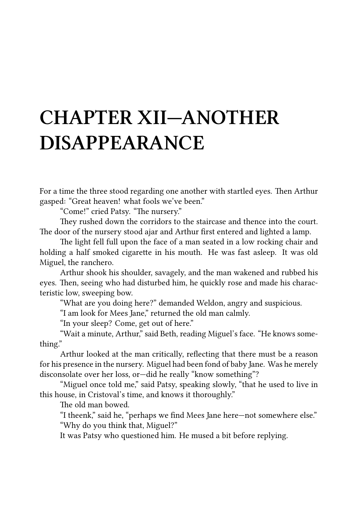# **CHAPTER XII—ANOTHER DISAPPEARANCE**

For a time the three stood regarding one another with startled eyes. Then Arthur gasped: "Great heaven! what fools we've been."

"Come!" cried Patsy. "The nursery."

They rushed down the corridors to the staircase and thence into the court. The door of the nursery stood ajar and Arthur first entered and lighted a lamp.

The light fell full upon the face of a man seated in a low rocking chair and holding a half smoked cigarette in his mouth. He was fast asleep. It was old Miguel, the ranchero.

Arthur shook his shoulder, savagely, and the man wakened and rubbed his eyes. Then, seeing who had disturbed him, he quickly rose and made his characteristic low, sweeping bow.

"What are you doing here?" demanded Weldon, angry and suspicious.

"I am look for Mees Jane," returned the old man calmly.

"In your sleep? Come, get out of here."

"Wait a minute, Arthur," said Beth, reading Miguel's face. "He knows something."

Arthur looked at the man critically, reflecting that there must be a reason for his presence in the nursery. Miguel had been fond of baby Jane. Was he merely disconsolate over her loss, or—did he really "know something"?

"Miguel once told me," said Patsy, speaking slowly, "that he used to live in this house, in Cristoval's time, and knows it thoroughly."

The old man bowed.

"I theenk," said he, "perhaps we find Mees Jane here—not somewhere else." "Why do you think that, Miguel?"

It was Patsy who questioned him. He mused a bit before replying.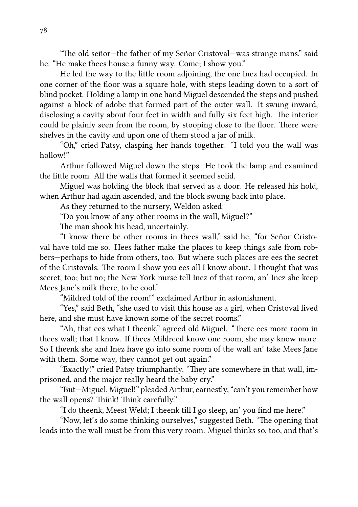"The old señor—the father of my Señor Cristoval—was strange mans," said he. "He make thees house a funny way. Come; I show you."

He led the way to the little room adjoining, the one Inez had occupied. In one corner of the floor was a square hole, with steps leading down to a sort of blind pocket. Holding a lamp in one hand Miguel descended the steps and pushed against a block of adobe that formed part of the outer wall. It swung inward, disclosing a cavity about four feet in width and fully six feet high. The interior could be plainly seen from the room, by stooping close to the floor. There were shelves in the cavity and upon one of them stood a jar of milk.

"Oh," cried Patsy, clasping her hands together. "I told you the wall was hollow!"

Arthur followed Miguel down the steps. He took the lamp and examined the little room. All the walls that formed it seemed solid.

Miguel was holding the block that served as a door. He released his hold, when Arthur had again ascended, and the block swung back into place.

As they returned to the nursery, Weldon asked:

"Do you know of any other rooms in the wall, Miguel?"

The man shook his head, uncertainly.

"I know there be other rooms in thees wall," said he, "for Señor Cristoval have told me so. Hees father make the places to keep things safe from robbers—perhaps to hide from others, too. But where such places are ees the secret of the Cristovals. The room I show you ees all I know about. I thought that was secret, too; but no; the New York nurse tell Inez of that room, an' Inez she keep Mees Jane's milk there, to be cool."

"Mildred told of the room!" exclaimed Arthur in astonishment.

"Yes," said Beth, "she used to visit this house as a girl, when Cristoval lived here, and she must have known some of the secret rooms."

"Ah, that ees what I theenk," agreed old Miguel. "There ees more room in thees wall; that I know. If thees Mildreed know one room, she may know more. So I theenk she and Inez have go into some room of the wall an' take Mees Jane with them. Some way, they cannot get out again."

"Exactly!" cried Patsy triumphantly. "They are somewhere in that wall, imprisoned, and the major really heard the baby cry."

"But—Miguel, Miguel!" pleaded Arthur, earnestly, "can't you remember how the wall opens? Think! Think carefully."

"I do theenk, Meest Weld; I theenk till I go sleep, an' you find me here."

"Now, let's do some thinking ourselves," suggested Beth. "The opening that leads into the wall must be from this very room. Miguel thinks so, too, and that's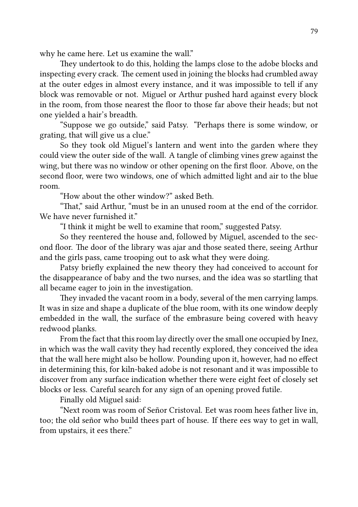why he came here. Let us examine the wall."

They undertook to do this, holding the lamps close to the adobe blocks and inspecting every crack. The cement used in joining the blocks had crumbled away at the outer edges in almost every instance, and it was impossible to tell if any block was removable or not. Miguel or Arthur pushed hard against every block in the room, from those nearest the floor to those far above their heads; but not one yielded a hair's breadth.

"Suppose we go outside," said Patsy. "Perhaps there is some window, or grating, that will give us a clue."

So they took old Miguel's lantern and went into the garden where they could view the outer side of the wall. A tangle of climbing vines grew against the wing, but there was no window or other opening on the first floor. Above, on the second floor, were two windows, one of which admitted light and air to the blue room.

 $H_{\rm{OW}}$  about the other window?" asked Beth.

"That," said Arthur, "must be in an unused room at the end of the corridor. We have never furnished it"

"I think it might be well to examine that room," suggested Patsy.

So they reentered the house and, followed by Miguel, ascended to the second floor. The door of the library was ajar and those seated there, seeing Arthur and the girls pass, came trooping out to ask what they were doing.

Patsy briefly explained the new theory they had conceived to account for the disappearance of baby and the two nurses, and the idea was so startling that all became eager to join in the investigation.

They invaded the vacant room in a body, several of the men carrying lamps. It was in size and shape a duplicate of the blue room, with its one window deeply embedded in the wall, the surface of the embrasure being covered with heavy redwood planks.

From the fact that this room lay directly over the small one occupied by Inez, in which was the wall cavity they had recently explored, they conceived the idea that the wall here might also be hollow. Pounding upon it, however, had no effect in determining this, for kiln-baked adobe is not resonant and it was impossible to discover from any surface indication whether there were eight feet of closely set blocks or less. Careful search for any sign of an opening proved futile.

Finally old Miguel said:

"Next room was room of Señor Cristoval. Eet was room hees father live in, too; the old señor who build thees part of house. If there ees way to get in wall, from upstairs, it ees there."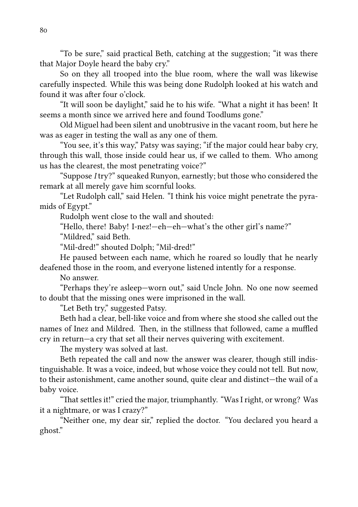"To be sure," said practical Beth, catching at the suggestion; "it was there that Major Doyle heard the baby cry."

So on they all trooped into the blue room, where the wall was likewise carefully inspected. While this was being done Rudolph looked at his watch and found it was after four o'clock.

"It will soon be daylight," said he to his wife. "What a night it has been! It seems a month since we arrived here and found Toodlums gone."

Old Miguel had been silent and unobtrusive in the vacant room, but here he was as eager in testing the wall as any one of them.

"You see, it's this way," Patsy was saying; "if the major could hear baby cry, through this wall, those inside could hear us, if we called to them. Who among us has the clearest, the most penetrating voice?"

"Suppose *I* try?" squeaked Runyon, earnestly; but those who considered the remark at all merely gave him scornful looks.

"Let Rudolph call," said Helen. "I think his voice might penetrate the pyramids of Egypt."

Rudolph went close to the wall and shouted:

"Hello, there! Baby! I-nez!—eh—eh—what's the other girl's name?"

"Mildred," said Beth.

"Mil-dred!" shouted Dolph; "Mil-dred!"

He paused between each name, which he roared so loudly that he nearly deafened those in the room, and everyone listened intently for a response.

No answer.

"Perhaps they're asleep—worn out," said Uncle John. No one now seemed to doubt that the missing ones were imprisoned in the wall.

"Let Beth try," suggested Patsy.

Beth had a clear, bell-like voice and from where she stood she called out the names of Inez and Mildred. Then, in the stillness that followed, came a muffled cry in return—a cry that set all their nerves quivering with excitement.

The mystery was solved at last.

Beth repeated the call and now the answer was clearer, though still indistinguishable. It was a voice, indeed, but whose voice they could not tell. But now, to their astonishment, came another sound, quite clear and distinct—the wail of a baby voice.

"That settles it!" cried the major, triumphantly. "Was I right, or wrong? Was it a nightmare, or was I crazy?"

"Neither one, my dear sir," replied the doctor. "You declared you heard a ghost."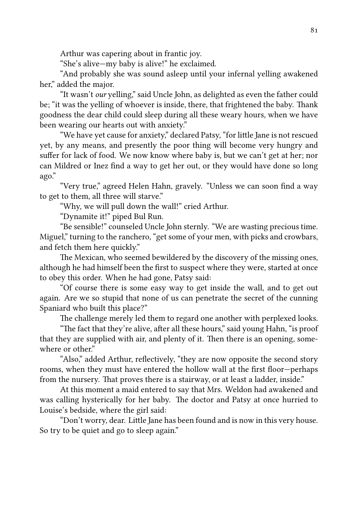Arthur was capering about in frantic joy.

"She's alive—my baby is alive!" he exclaimed.

"And probably she was sound asleep until your infernal yelling awakened her," added the major.

"It wasn't *our* yelling," said Uncle John, as delighted as even the father could be; "it was the yelling of whoever is inside, there, that frightened the baby. Thank goodness the dear child could sleep during all these weary hours, when we have been wearing our hearts out with anxiety."

"We have yet cause for anxiety," declared Patsy, "for little Jane is not rescued yet, by any means, and presently the poor thing will become very hungry and suffer for lack of food. We now know where baby is, but we can't get at her; nor can Mildred or Inez find a way to get her out, or they would have done so long ago."

"Very true," agreed Helen Hahn, gravely. "Unless we can soon find a way to get to them, all three will starve."

"Why, we will pull down the wall!" cried Arthur.

"Dynamite it!" piped Bul Run.

"Be sensible!" counseled Uncle John sternly. "We are wasting precious time. Miguel," turning to the ranchero, "get some of your men, with picks and crowbars, and fetch them here quickly."

The Mexican, who seemed bewildered by the discovery of the missing ones, although he had himself been the first to suspect where they were, started at once to obey this order. When he had gone, Patsy said:

"Of course there is some easy way to get inside the wall, and to get out again. Are we so stupid that none of us can penetrate the secret of the cunning Spaniard who built this place?"

The challenge merely led them to regard one another with perplexed looks.

"The fact that they're alive, after all these hours," said young Hahn, "is proof that they are supplied with air, and plenty of it. Then there is an opening, somewhere or other."

"Also," added Arthur, reflectively, "they are now opposite the second story rooms, when they must have entered the hollow wall at the first floor—perhaps from the nursery. That proves there is a stairway, or at least a ladder, inside."

At this moment a maid entered to say that Mrs. Weldon had awakened and was calling hysterically for her baby. The doctor and Patsy at once hurried to Louise's bedside, where the girl said:

"Don't worry, dear. Little Jane has been found and is now in this very house. So try to be quiet and go to sleep again."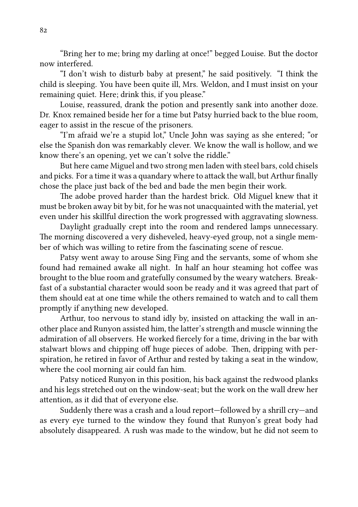"Bring her to me; bring my darling at once!" begged Louise. But the doctor now interfered.

"I don't wish to disturb baby at present," he said positively. "I think the child is sleeping. You have been quite ill, Mrs. Weldon, and I must insist on your remaining quiet. Here; drink this, if you please."

Louise, reassured, drank the potion and presently sank into another doze. Dr. Knox remained beside her for a time but Patsy hurried back to the blue room, eager to assist in the rescue of the prisoners.

"I'm afraid we're a stupid lot," Uncle John was saying as she entered; "or else the Spanish don was remarkably clever. We know the wall is hollow, and we know there's an opening, yet we can't solve the riddle."

But here came Miguel and two strong men laden with steel bars, cold chisels and picks. For a time it was a quandary where to attack the wall, but Arthur finally chose the place just back of the bed and bade the men begin their work.

The adobe proved harder than the hardest brick. Old Miguel knew that it must be broken away bit by bit, for he was not unacquainted with the material, yet even under his skillful direction the work progressed with aggravating slowness.

Daylight gradually crept into the room and rendered lamps unnecessary. The morning discovered a very disheveled, heavy-eyed group, not a single member of which was willing to retire from the fascinating scene of rescue.

Patsy went away to arouse Sing Fing and the servants, some of whom she found had remained awake all night. In half an hour steaming hot coffee was brought to the blue room and gratefully consumed by the weary watchers. Breakfast of a substantial character would soon be ready and it was agreed that part of them should eat at one time while the others remained to watch and to call them promptly if anything new developed.

Arthur, too nervous to stand idly by, insisted on attacking the wall in another place and Runyon assisted him, the latter's strength and muscle winning the admiration of all observers. He worked fiercely for a time, driving in the bar with stalwart blows and chipping off huge pieces of adobe. Then, dripping with perspiration, he retired in favor of Arthur and rested by taking a seat in the window, where the cool morning air could fan him.

Patsy noticed Runyon in this position, his back against the redwood planks and his legs stretched out on the window-seat; but the work on the wall drew her attention, as it did that of everyone else.

Suddenly there was a crash and a loud report—followed by a shrill cry—and as every eye turned to the window they found that Runyon's great body had absolutely disappeared. A rush was made to the window, but he did not seem to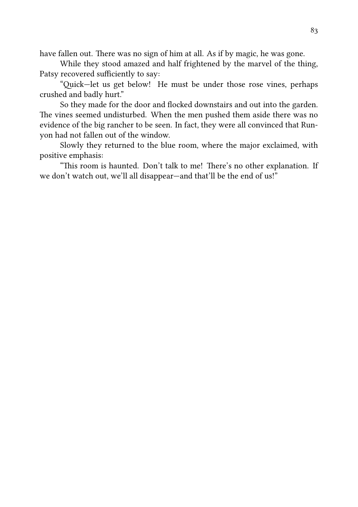have fallen out. There was no sign of him at all. As if by magic, he was gone.

While they stood amazed and half frightened by the marvel of the thing, Patsy recovered sufficiently to say:

"Quick-let us get below! He must be under those rose vines, perhaps crushed and badly hurt."

So they made for the door and flocked downstairs and out into the garden. The vines seemed undisturbed. When the men pushed them aside there was no evidence of the big rancher to be seen. In fact, they were all convinced that Runyon had not fallen out of the window.

Slowly they returned to the blue room, where the major exclaimed, with positive emphasis:

"This room is haunted. Don't talk to me! There's no other explanation. If we don't watch out, we'll all disappear—and that'll be the end of us!"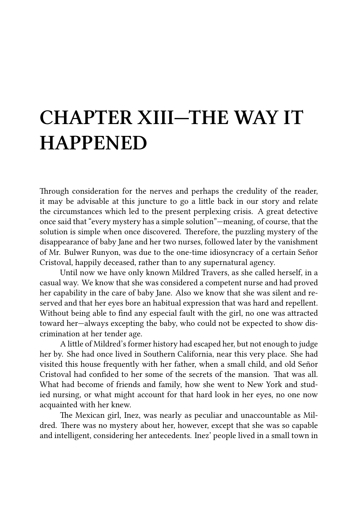### **CHAPTER XIII—THE WAY IT HAPPENED**

Through consideration for the nerves and perhaps the credulity of the reader, it may be advisable at this juncture to go a little back in our story and relate the circumstances which led to the present perplexing crisis. A great detective once said that "every mystery has a simple solution"—meaning, of course, that the solution is simple when once discovered. Therefore, the puzzling mystery of the disappearance of baby Jane and her two nurses, followed later by the vanishment of Mr. Bulwer Runyon, was due to the one-time idiosyncracy of a certain Señor Cristoval, happily deceased, rather than to any supernatural agency.

Until now we have only known Mildred Travers, as she called herself, in a casual way. We know that she was considered a competent nurse and had proved her capability in the care of baby Jane. Also we know that she was silent and reserved and that her eyes bore an habitual expression that was hard and repellent. Without being able to find any especial fault with the girl, no one was attracted toward her—always excepting the baby, who could not be expected to show discrimination at her tender age.

A little of Mildred's former history had escaped her, but not enough to judge her by. She had once lived in Southern California, near this very place. She had visited this house frequently with her father, when a small child, and old Señor Cristoval had confided to her some of the secrets of the mansion. That was all. What had become of friends and family, how she went to New York and studied nursing, or what might account for that hard look in her eyes, no one now acquainted with her knew.

The Mexican girl, Inez, was nearly as peculiar and unaccountable as Mildred. There was no mystery about her, however, except that she was so capable and intelligent, considering her antecedents. Inez' people lived in a small town in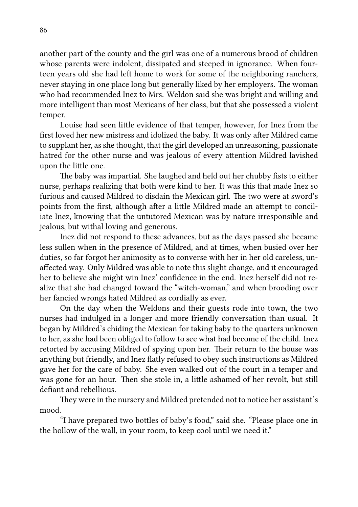another part of the county and the girl was one of a numerous brood of children whose parents were indolent, dissipated and steeped in ignorance. When fourteen years old she had left home to work for some of the neighboring ranchers, never staying in one place long but generally liked by her employers. The woman who had recommended Inez to Mrs. Weldon said she was bright and willing and more intelligent than most Mexicans of her class, but that she possessed a violent temper.

Louise had seen little evidence of that temper, however, for Inez from the first loved her new mistress and idolized the baby. It was only after Mildred came to supplant her, as she thought, that the girl developed an unreasoning, passionate hatred for the other nurse and was jealous of every attention Mildred lavished upon the little one.

The baby was impartial. She laughed and held out her chubby fists to either nurse, perhaps realizing that both were kind to her. It was this that made Inez so furious and caused Mildred to disdain the Mexican girl. The two were at sword's points from the first, although after a little Mildred made an attempt to conciliate Inez, knowing that the untutored Mexican was by nature irresponsible and jealous, but withal loving and generous.

Inez did not respond to these advances, but as the days passed she became less sullen when in the presence of Mildred, and at times, when busied over her duties, so far forgot her animosity as to converse with her in her old careless, unaffected way. Only Mildred was able to note this slight change, and it encouraged her to believe she might win Inez' confidence in the end. Inez herself did not realize that she had changed toward the "witch-woman," and when brooding over her fancied wrongs hated Mildred as cordially as ever.

On the day when the Weldons and their guests rode into town, the two nurses had indulged in a longer and more friendly conversation than usual. It began by Mildred's chiding the Mexican for taking baby to the quarters unknown to her, as she had been obliged to follow to see what had become of the child. Inez retorted by accusing Mildred of spying upon her. Their return to the house was anything but friendly, and Inez flatly refused to obey such instructions as Mildred gave her for the care of baby. She even walked out of the court in a temper and was gone for an hour. Then she stole in, a little ashamed of her revolt, but still defiant and rebellious.

They were in the nursery and Mildred pretended not to notice her assistant's mood.

"I have prepared two bottles of baby's food," said she. "Please place one in the hollow of the wall, in your room, to keep cool until we need it."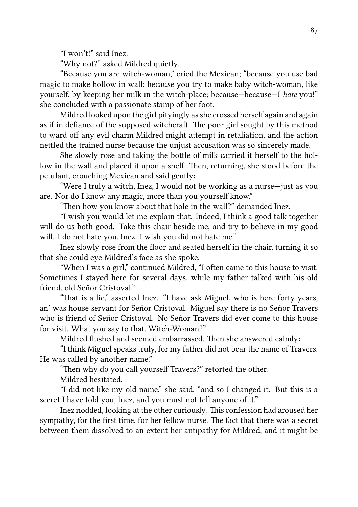"I won't!" said Inez.

"Why not?" asked Mildred quietly.

"Because you are witch-woman," cried the Mexican; "because you use bad magic to make hollow in wall; because you try to make baby witch-woman, like yourself, by keeping her milk in the witch-place; because—because—I *hate* you!" she concluded with a passionate stamp of her foot.

Mildred looked upon the girl pityingly as she crossed herself again and again as if in defiance of the supposed witchcraft. The poor girl sought by this method to ward off any evil charm Mildred might attempt in retaliation, and the action nettled the trained nurse because the unjust accusation was so sincerely made.

She slowly rose and taking the bottle of milk carried it herself to the hollow in the wall and placed it upon a shelf. Then, returning, she stood before the petulant, crouching Mexican and said gently:

"Were I truly a witch, Inez, I would not be working as a nurse—just as you are. Nor do I know any magic, more than you yourself know."

"Then how you know about that hole in the wall?" demanded Inez.

"I wish you would let me explain that. Indeed, I think a good talk together will do us both good. Take this chair beside me, and try to believe in my good will. I do not hate you, Inez. I wish you did not hate me."

Inez slowly rose from the floor and seated herself in the chair, turning it so that she could eye Mildred's face as she spoke.

"When I was a girl," continued Mildred, "I often came to this house to visit. Sometimes I stayed here for several days, while my father talked with his old friend, old Señor Cristoval."

"That is a lie," asserted Inez. "I have ask Miguel, who is here forty years, an' was house servant for Señor Cristoval. Miguel say there is no Señor Travers who is friend of Señor Cristoval. No Señor Travers did ever come to this house for visit. What you say to that, Witch-Woman?"

Mildred flushed and seemed embarrassed. Then she answered calmly:

"I think Miguel speaks truly, for my father did not bear the name of Travers. He was called by another name."

"Then why do you call yourself Travers?" retorted the other.

Mildred hesitated.

"I did not like my old name," she said, "and so I changed it. But this is a secret I have told you, Inez, and you must not tell anyone of it."

Inez nodded, looking at the other curiously. This confession had aroused her sympathy, for the first time, for her fellow nurse. The fact that there was a secret between them dissolved to an extent her antipathy for Mildred, and it might be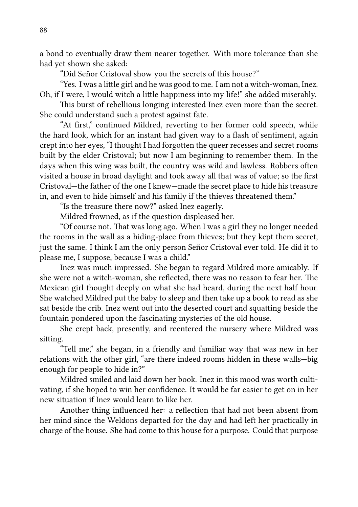a bond to eventually draw them nearer together. With more tolerance than she had yet shown she asked:

"Did Señor Cristoval show you the secrets of this house?"

"Yes. I was a little girl and he was good to me. I am not a witch-woman, Inez. Oh, if I were, I would witch a little happiness into my life!" she added miserably.

This burst of rebellious longing interested Inez even more than the secret. She could understand such a protest against fate.

"At first," continued Mildred, reverting to her former cold speech, while the hard look, which for an instant had given way to a flash of sentiment, again crept into her eyes, "I thought I had forgotten the queer recesses and secret rooms built by the elder Cristoval; but now I am beginning to remember them. In the days when this wing was built, the country was wild and lawless. Robbers often visited a house in broad daylight and took away all that was of value; so the first Cristoval—the father of the one I knew—made the secret place to hide his treasure in, and even to hide himself and his family if the thieves threatened them."

"Is the treasure there now?" asked Inez eagerly.

Mildred frowned, as if the question displeased her.

"Of course not. That was long ago. When I was a girl they no longer needed the rooms in the wall as a hiding-place from thieves; but they kept them secret, just the same. I think I am the only person Señor Cristoval ever told. He did it to please me, I suppose, because I was a child."

Inez was much impressed. She began to regard Mildred more amicably. If she were not a witch-woman, she reflected, there was no reason to fear her. The Mexican girl thought deeply on what she had heard, during the next half hour. She watched Mildred put the baby to sleep and then take up a book to read as she sat beside the crib. Inez went out into the deserted court and squatting beside the fountain pondered upon the fascinating mysteries of the old house.

She crept back, presently, and reentered the nursery where Mildred was sitting.

"Tell me," she began, in a friendly and familiar way that was new in her relations with the other girl, "are there indeed rooms hidden in these walls—big enough for people to hide in?"

Mildred smiled and laid down her book. Inez in this mood was worth cultivating, if she hoped to win her confidence. It would be far easier to get on in her new situation if Inez would learn to like her.

Another thing influenced her: a reflection that had not been absent from her mind since the Weldons departed for the day and had left her practically in charge of the house. She had come to this house for a purpose. Could that purpose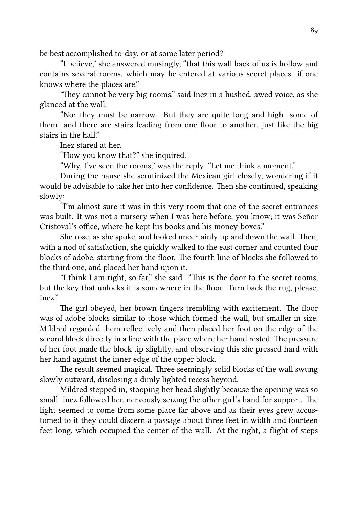be best accomplished to-day, or at some later period?

"I believe," she answered musingly, "that this wall back of us is hollow and contains several rooms, which may be entered at various secret places—if one knows where the places are."

"They cannot be very big rooms," said Inez in a hushed, awed voice, as she glanced at the wall.

"No; they must be narrow. But they are quite long and high—some of them—and there are stairs leading from one floor to another, just like the big stairs in the hall"

Inez stared at her.

"How you know that?" she inquired.

"Why, I've seen the rooms," was the reply. "Let me think a moment."

During the pause she scrutinized the Mexican girl closely, wondering if it would be advisable to take her into her confidence. Then she continued, speaking slowly:

"I'm almost sure it was in this very room that one of the secret entrances was built. It was not a nursery when I was here before, you know; it was Señor Cristoval's office, where he kept his books and his money-boxes."

She rose, as she spoke, and looked uncertainly up and down the wall. Then, with a nod of satisfaction, she quickly walked to the east corner and counted four blocks of adobe, starting from the floor. The fourth line of blocks she followed to the third one, and placed her hand upon it.

"I think I am right, so far," she said. "This is the door to the secret rooms, but the key that unlocks it is somewhere in the floor. Turn back the rug, please, Inez."

The girl obeyed, her brown fingers trembling with excitement. The floor was of adobe blocks similar to those which formed the wall, but smaller in size. Mildred regarded them reflectively and then placed her foot on the edge of the second block directly in a line with the place where her hand rested. The pressure of her foot made the block tip slightly, and observing this she pressed hard with her hand against the inner edge of the upper block.

The result seemed magical. Three seemingly solid blocks of the wall swung slowly outward, disclosing a dimly lighted recess beyond.

Mildred stepped in, stooping her head slightly because the opening was so small. Inez followed her, nervously seizing the other girl's hand for support. The light seemed to come from some place far above and as their eyes grew accustomed to it they could discern a passage about three feet in width and fourteen feet long, which occupied the center of the wall. At the right, a flight of steps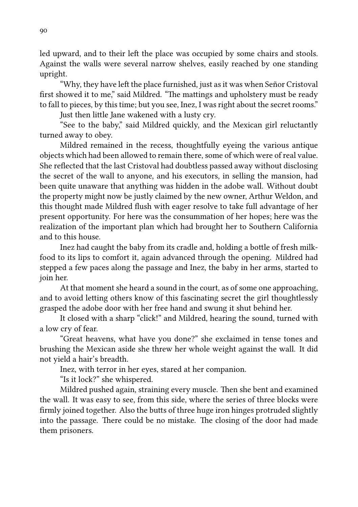led upward, and to their left the place was occupied by some chairs and stools. Against the walls were several narrow shelves, easily reached by one standing upright.

"Why, they have left the place furnished, just as it was when Señor Cristoval first showed it to me," said Mildred. "The mattings and upholstery must be ready to fall to pieces, by this time; but you see, Inez, I was right about the secret rooms."

Just then little Jane wakened with a lusty cry.

"See to the baby," said Mildred quickly, and the Mexican girl reluctantly turned away to obey.

Mildred remained in the recess, thoughtfully eyeing the various antique objects which had been allowed to remain there, some of which were of real value. She reflected that the last Cristoval had doubtless passed away without disclosing the secret of the wall to anyone, and his executors, in selling the mansion, had been quite unaware that anything was hidden in the adobe wall. Without doubt the property might now be justly claimed by the new owner, Arthur Weldon, and this thought made Mildred flush with eager resolve to take full advantage of her present opportunity. For here was the consummation of her hopes; here was the realization of the important plan which had brought her to Southern California and to this house.

Inez had caught the baby from its cradle and, holding a bottle of fresh milkfood to its lips to comfort it, again advanced through the opening. Mildred had stepped a few paces along the passage and Inez, the baby in her arms, started to join her.

At that moment she heard a sound in the court, as of some one approaching, and to avoid letting others know of this fascinating secret the girl thoughtlessly grasped the adobe door with her free hand and swung it shut behind her.

It closed with a sharp "click!" and Mildred, hearing the sound, turned with a low cry of fear.

"Great heavens, what have you done?" she exclaimed in tense tones and brushing the Mexican aside she threw her whole weight against the wall. It did not yield a hair's breadth.

Inez, with terror in her eyes, stared at her companion.

"Is it lock?" she whispered.

Mildred pushed again, straining every muscle. Then she bent and examined the wall. It was easy to see, from this side, where the series of three blocks were firmly joined together. Also the butts of three huge iron hinges protruded slightly into the passage. There could be no mistake. The closing of the door had made them prisoners.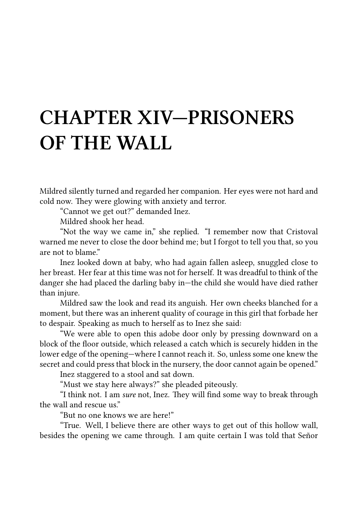## **CHAPTER XIV—PRISONERS OF THE WALL**

Mildred silently turned and regarded her companion. Her eyes were not hard and cold now. They were glowing with anxiety and terror.

"Cannot we get out?" demanded Inez.

Mildred shook her head.

"Not the way we came in," she replied. "I remember now that Cristoval warned me never to close the door behind me; but I forgot to tell you that, so you are not to blame."

Inez looked down at baby, who had again fallen asleep, snuggled close to her breast. Her fear at this time was not for herself. It was dreadful to think of the danger she had placed the darling baby in—the child she would have died rather than injure.

Mildred saw the look and read its anguish. Her own cheeks blanched for a moment, but there was an inherent quality of courage in this girl that forbade her to despair. Speaking as much to herself as to Inez she said:

"We were able to open this adobe door only by pressing downward on a block of the floor outside, which released a catch which is securely hidden in the lower edge of the opening—where I cannot reach it. So, unless some one knew the secret and could press that block in the nursery, the door cannot again be opened."

Inez staggered to a stool and sat down.

"Must we stay here always?" she pleaded piteously.

"I think not. I am *sure* not, Inez. They will find some way to break through the wall and rescue us."

"But no one knows we are here!"

"True. Well, I believe there are other ways to get out of this hollow wall, besides the opening we came through. I am quite certain I was told that Señor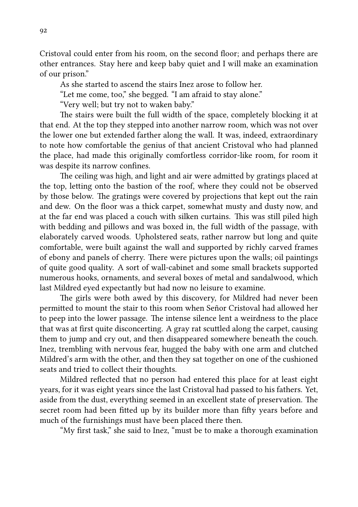Cristoval could enter from his room, on the second floor; and perhaps there are other entrances. Stay here and keep baby quiet and I will make an examination of our prison."

As she started to ascend the stairs Inez arose to follow her.

"Let me come, too," she begged. "I am afraid to stay alone."

"Very well; but try not to waken baby."

The stairs were built the full width of the space, completely blocking it at that end. At the top they stepped into another narrow room, which was not over the lower one but extended farther along the wall. It was, indeed, extraordinary to note how comfortable the genius of that ancient Cristoval who had planned the place, had made this originally comfortless corridor-like room, for room it was despite its narrow confines.

The ceiling was high, and light and air were admitted by gratings placed at the top, letting onto the bastion of the roof, where they could not be observed by those below. The gratings were covered by projections that kept out the rain and dew. On the floor was a thick carpet, somewhat musty and dusty now, and at the far end was placed a couch with silken curtains. This was still piled high with bedding and pillows and was boxed in, the full width of the passage, with elaborately carved woods. Upholstered seats, rather narrow but long and quite comfortable, were built against the wall and supported by richly carved frames of ebony and panels of cherry. There were pictures upon the walls; oil paintings of quite good quality. A sort of wall-cabinet and some small brackets supported numerous hooks, ornaments, and several boxes of metal and sandalwood, which last Mildred eyed expectantly but had now no leisure to examine.

The girls were both awed by this discovery, for Mildred had never been permitted to mount the stair to this room when Señor Cristoval had allowed her to peep into the lower passage. The intense silence lent a weirdness to the place that was at first quite disconcerting. A gray rat sculed along the carpet, causing them to jump and cry out, and then disappeared somewhere beneath the couch. Inez, trembling with nervous fear, hugged the baby with one arm and clutched Mildred's arm with the other, and then they sat together on one of the cushioned seats and tried to collect their thoughts.

Mildred reflected that no person had entered this place for at least eight years, for it was eight years since the last Cristoval had passed to his fathers. Yet, aside from the dust, everything seemed in an excellent state of preservation. The secret room had been fitted up by its builder more than fifty years before and much of the furnishings must have been placed there then.

"My first task," she said to Inez, "must be to make a thorough examination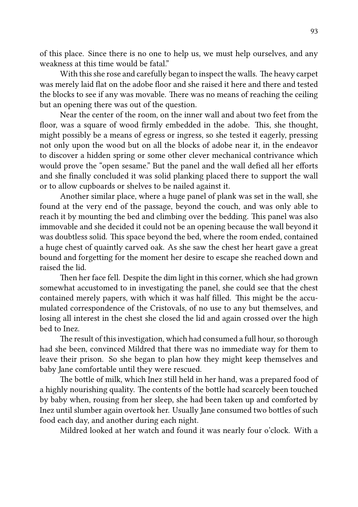of this place. Since there is no one to help us, we must help ourselves, and any weakness at this time would be fatal."

With this she rose and carefully began to inspect the walls. The heavy carpet was merely laid flat on the adobe floor and she raised it here and there and tested the blocks to see if any was movable. There was no means of reaching the ceiling but an opening there was out of the question.

Near the center of the room, on the inner wall and about two feet from the floor, was a square of wood firmly embedded in the adobe. This, she thought, might possibly be a means of egress or ingress, so she tested it eagerly, pressing not only upon the wood but on all the blocks of adobe near it, in the endeavor to discover a hidden spring or some other clever mechanical contrivance which would prove the "open sesame." But the panel and the wall defied all her efforts and she finally concluded it was solid planking placed there to support the wall or to allow cupboards or shelves to be nailed against it.

Another similar place, where a huge panel of plank was set in the wall, she found at the very end of the passage, beyond the couch, and was only able to reach it by mounting the bed and climbing over the bedding. This panel was also immovable and she decided it could not be an opening because the wall beyond it was doubtless solid. This space beyond the bed, where the room ended, contained a huge chest of quaintly carved oak. As she saw the chest her heart gave a great bound and forgetting for the moment her desire to escape she reached down and raised the lid.

Then her face fell. Despite the dim light in this corner, which she had grown somewhat accustomed to in investigating the panel, she could see that the chest contained merely papers, with which it was half filled. This might be the accumulated correspondence of the Cristovals, of no use to any but themselves, and losing all interest in the chest she closed the lid and again crossed over the high bed to Inez.

The result of this investigation, which had consumed a full hour, so thorough had she been, convinced Mildred that there was no immediate way for them to leave their prison. So she began to plan how they might keep themselves and baby Jane comfortable until they were rescued.

The bottle of milk, which Inez still held in her hand, was a prepared food of a highly nourishing quality. The contents of the bottle had scarcely been touched by baby when, rousing from her sleep, she had been taken up and comforted by Inez until slumber again overtook her. Usually Jane consumed two bottles of such food each day, and another during each night.

Mildred looked at her watch and found it was nearly four o'clock. With a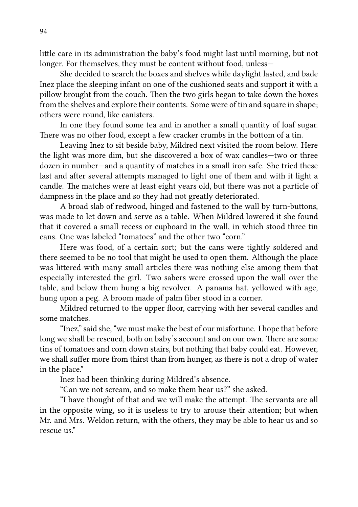little care in its administration the baby's food might last until morning, but not longer. For themselves, they must be content without food, unless—

She decided to search the boxes and shelves while daylight lasted, and bade Inez place the sleeping infant on one of the cushioned seats and support it with a pillow brought from the couch. Then the two girls began to take down the boxes from the shelves and explore their contents. Some were of tin and square in shape; others were round, like canisters.

In one they found some tea and in another a small quantity of loaf sugar. There was no other food, except a few cracker crumbs in the bottom of a tin.

Leaving Inez to sit beside baby, Mildred next visited the room below. Here the light was more dim, but she discovered a box of wax candles—two or three dozen in number—and a quantity of matches in a small iron safe. She tried these last and after several attempts managed to light one of them and with it light a candle. The matches were at least eight years old, but there was not a particle of dampness in the place and so they had not greatly deteriorated.

A broad slab of redwood, hinged and fastened to the wall by turn-buttons, was made to let down and serve as a table. When Mildred lowered it she found that it covered a small recess or cupboard in the wall, in which stood three tin cans. One was labeled "tomatoes" and the other two "corn."

Here was food, of a certain sort; but the cans were tightly soldered and there seemed to be no tool that might be used to open them. Although the place was littered with many small articles there was nothing else among them that especially interested the girl. Two sabers were crossed upon the wall over the table, and below them hung a big revolver. A panama hat, yellowed with age, hung upon a peg. A broom made of palm fiber stood in a corner.

Mildred returned to the upper floor, carrying with her several candles and some matches.

"Inez," said she, "we must make the best of our misfortune. I hope that before long we shall be rescued, both on baby's account and on our own. There are some tins of tomatoes and corn down stairs, but nothing that baby could eat. However, we shall suffer more from thirst than from hunger, as there is not a drop of water in the place."

Inez had been thinking during Mildred's absence.

"Can we not scream, and so make them hear us?" she asked.

"I have thought of that and we will make the attempt. The servants are all in the opposite wing, so it is useless to try to arouse their attention; but when Mr. and Mrs. Weldon return, with the others, they may be able to hear us and so rescue us."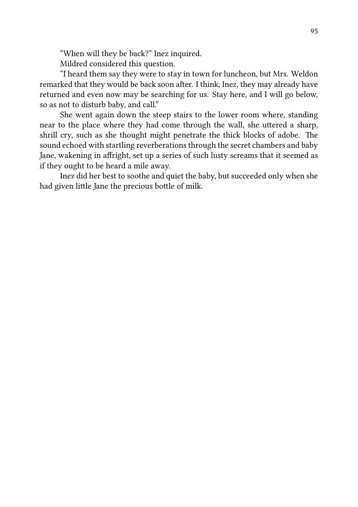"When will they be back?" Inez inquired.

Mildred considered this question.

"I heard them say they were to stay in town for luncheon, but Mrs. Weldon remarked that they would be back soon after. I think, Inez, they may already have returned and even now may be searching for us. Stay here, and I will go below, so as not to disturb baby, and call."

She went again down the steep stairs to the lower room where, standing near to the place where they had come through the wall, she uttered a sharp, shrill cry, such as she thought might penetrate the thick blocks of adobe. The sound echoed with startling reverberations through the secret chambers and baby Jane, wakening in affright, set up a series of such lusty screams that it seemed as if they ought to be heard a mile away.

Inez did her best to soothe and quiet the baby, but succeeded only when she had given little Jane the precious bottle of milk.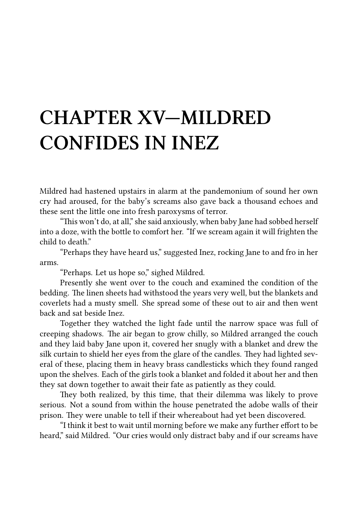## **CHAPTER XV—MILDRED CONFIDES IN INEZ**

Mildred had hastened upstairs in alarm at the pandemonium of sound her own cry had aroused, for the baby's screams also gave back a thousand echoes and these sent the little one into fresh paroxysms of terror.

"This won't do, at all," she said anxiously, when baby Jane had sobbed herself into a doze, with the bottle to comfort her. "If we scream again it will frighten the child to death"

"Perhaps they have heard us," suggested Inez, rocking Jane to and fro in her arms.

"Perhaps. Let us hope so," sighed Mildred.

Presently she went over to the couch and examined the condition of the bedding. The linen sheets had withstood the years very well, but the blankets and coverlets had a musty smell. She spread some of these out to air and then went back and sat beside Inez.

Together they watched the light fade until the narrow space was full of creeping shadows. The air began to grow chilly, so Mildred arranged the couch and they laid baby Jane upon it, covered her snugly with a blanket and drew the silk curtain to shield her eyes from the glare of the candles. They had lighted several of these, placing them in heavy brass candlesticks which they found ranged upon the shelves. Each of the girls took a blanket and folded it about her and then they sat down together to await their fate as patiently as they could.

They both realized, by this time, that their dilemma was likely to prove serious. Not a sound from within the house penetrated the adobe walls of their prison. They were unable to tell if their whereabout had yet been discovered.

"I think it best to wait until morning before we make any further effort to be heard," said Mildred. "Our cries would only distract baby and if our screams have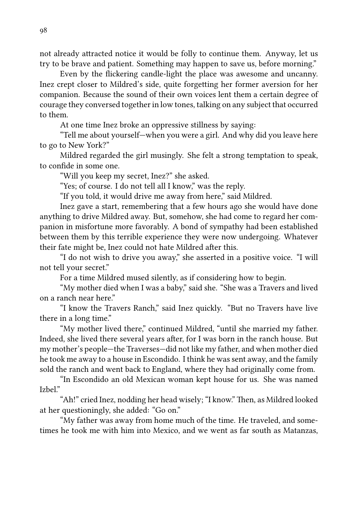not already attracted notice it would be folly to continue them. Anyway, let us try to be brave and patient. Something may happen to save us, before morning."

Even by the flickering candle-light the place was awesome and uncanny. Inez crept closer to Mildred's side, quite forgetting her former aversion for her companion. Because the sound of their own voices lent them a certain degree of courage they conversed together in low tones, talking on any subject that occurred to them.

At one time Inez broke an oppressive stillness by saying:

"Tell me about yourself—when you were a girl. And why did you leave here to go to New York?"

Mildred regarded the girl musingly. She felt a strong temptation to speak, to confide in some one.

"Will you keep my secret, Inez?" she asked.

"Yes; of course. I do not tell all I know," was the reply.

"If you told, it would drive me away from here," said Mildred.

Inez gave a start, remembering that a few hours ago she would have done anything to drive Mildred away. But, somehow, she had come to regard her companion in misfortune more favorably. A bond of sympathy had been established between them by this terrible experience they were now undergoing. Whatever their fate might be, Inez could not hate Mildred after this.

"I do not wish to drive you away," she asserted in a positive voice. "I will not tell your secret."

For a time Mildred mused silently, as if considering how to begin.

"My mother died when I was a baby," said she. "She was a Travers and lived on a ranch near here."

"I know the Travers Ranch," said Inez quickly. "But no Travers have live there in a long time."

"My mother lived there," continued Mildred, "until she married my father. Indeed, she lived there several years after, for I was born in the ranch house. But my mother's people—the Traverses—did not like my father, and when mother died he took me away to a house in Escondido. I think he was sent away, and the family sold the ranch and went back to England, where they had originally come from.

"In Escondido an old Mexican woman kept house for us. She was named Izbel."

"Ah!" cried Inez, nodding her head wisely; "I know." Then, as Mildred looked at her questioningly, she added: "Go on."

"My father was away from home much of the time. He traveled, and sometimes he took me with him into Mexico, and we went as far south as Matanzas,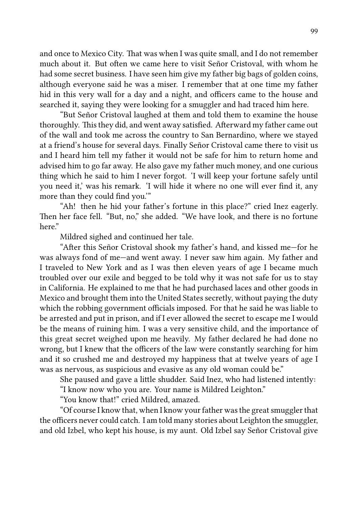and once to Mexico City. That was when I was quite small, and I do not remember much about it. But often we came here to visit Señor Cristoval, with whom he had some secret business. I have seen him give my father big bags of golden coins, although everyone said he was a miser. I remember that at one time my father hid in this very wall for a day and a night, and officers came to the house and searched it, saying they were looking for a smuggler and had traced him here.

"But Señor Cristoval laughed at them and told them to examine the house thoroughly. This they did, and went away satisfied. Afterward my father came out of the wall and took me across the country to San Bernardino, where we stayed at a friend's house for several days. Finally Señor Cristoval came there to visit us and I heard him tell my father it would not be safe for him to return home and advised him to go far away. He also gave my father much money, and one curious thing which he said to him I never forgot. 'I will keep your fortune safely until you need it,' was his remark. 'I will hide it where no one will ever find it, any more than they could find you.'"

"Ah! then he hid your father's fortune in this place?" cried Inez eagerly. Then her face fell. "But, no," she added. "We have look, and there is no fortune here"

Mildred sighed and continued her tale.

"After this Señor Cristoval shook my father's hand, and kissed me-for he was always fond of me—and went away. I never saw him again. My father and I traveled to New York and as I was then eleven years of age I became much troubled over our exile and begged to be told why it was not safe for us to stay in California. He explained to me that he had purchased laces and other goods in Mexico and brought them into the United States secretly, without paying the duty which the robbing government officials imposed. For that he said he was liable to be arrested and put in prison, and if I ever allowed the secret to escape me I would be the means of ruining him. I was a very sensitive child, and the importance of this great secret weighed upon me heavily. My father declared he had done no wrong, but I knew that the officers of the law were constantly searching for him and it so crushed me and destroyed my happiness that at twelve years of age I was as nervous, as suspicious and evasive as any old woman could be."

She paused and gave a little shudder. Said Inez, who had listened intently:

"I know now who you are. Your name is Mildred Leighton."

"You know that!" cried Mildred, amazed.

"Of course I know that, when I know your father was the great smuggler that the officers never could catch. I am told many stories about Leighton the smuggler, and old Izbel, who kept his house, is my aunt. Old Izbel say Señor Cristoval give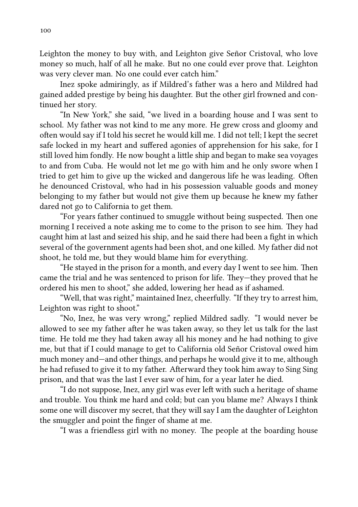Leighton the money to buy with, and Leighton give Señor Cristoval, who love money so much, half of all he make. But no one could ever prove that. Leighton was very clever man. No one could ever catch him."

Inez spoke admiringly, as if Mildred's father was a hero and Mildred had gained added prestige by being his daughter. But the other girl frowned and continued her story.

"In New York," she said, "we lived in a boarding house and I was sent to school. My father was not kind to me any more. He grew cross and gloomy and often would say if I told his secret he would kill me. I did not tell; I kept the secret safe locked in my heart and suffered agonies of apprehension for his sake, for I still loved him fondly. He now bought a little ship and began to make sea voyages to and from Cuba. He would not let me go with him and he only swore when I tried to get him to give up the wicked and dangerous life he was leading. Often he denounced Cristoval, who had in his possession valuable goods and money belonging to my father but would not give them up because he knew my father dared not go to California to get them.

"For years father continued to smuggle without being suspected. Then one morning I received a note asking me to come to the prison to see him. They had caught him at last and seized his ship, and he said there had been a fight in which several of the government agents had been shot, and one killed. My father did not shoot, he told me, but they would blame him for everything.

"He stayed in the prison for a month, and every day I went to see him. Then came the trial and he was sentenced to prison for life. They—they proved that he ordered his men to shoot," she added, lowering her head as if ashamed.

"Well, that was right," maintained Inez, cheerfully. "If they try to arrest him, Leighton was right to shoot."

"No, Inez, he was very wrong," replied Mildred sadly. "I would never be allowed to see my father after he was taken away, so they let us talk for the last time. He told me they had taken away all his money and he had nothing to give me, but that if I could manage to get to California old Señor Cristoval owed him much money and—and other things, and perhaps he would give it to me, although he had refused to give it to my father. Afterward they took him away to Sing Sing prison, and that was the last I ever saw of him, for a year later he died.

"I do not suppose, Inez, any girl was ever left with such a heritage of shame and trouble. You think me hard and cold; but can you blame me? Always I think some one will discover my secret, that they will say I am the daughter of Leighton the smuggler and point the finger of shame at me.

"I was a friendless girl with no money. The people at the boarding house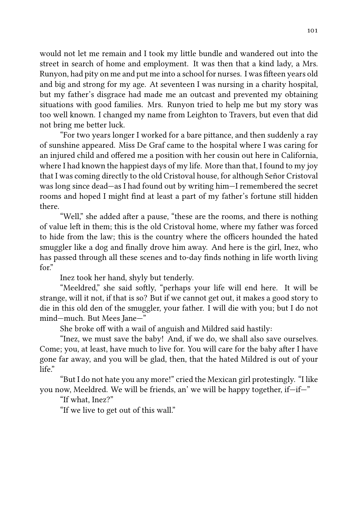would not let me remain and I took my little bundle and wandered out into the street in search of home and employment. It was then that a kind lady, a Mrs. Runyon, had pity on me and put me into a school for nurses. I was fifteen years old and big and strong for my age. At seventeen I was nursing in a charity hospital, but my father's disgrace had made me an outcast and prevented my obtaining situations with good families. Mrs. Runyon tried to help me but my story was too well known. I changed my name from Leighton to Travers, but even that did not bring me better luck.

"For two years longer I worked for a bare pittance, and then suddenly a ray of sunshine appeared. Miss De Graf came to the hospital where I was caring for an injured child and offered me a position with her cousin out here in California, where I had known the happiest days of my life. More than that, I found to my joy that I was coming directly to the old Cristoval house, for although Señor Cristoval was long since dead—as I had found out by writing him—I remembered the secret rooms and hoped I might find at least a part of my father's fortune still hidden there.

"Well," she added after a pause, "these are the rooms, and there is nothing of value le in them; this is the old Cristoval home, where my father was forced to hide from the law; this is the country where the officers hounded the hated smuggler like a dog and finally drove him away. And here is the girl, Inez, who has passed through all these scenes and to-day finds nothing in life worth living for"

Inez took her hand, shyly but tenderly.

"Meeldred," she said softly, "perhaps your life will end here. It will be strange, will it not, if that is so? But if we cannot get out, it makes a good story to die in this old den of the smuggler, your father. I will die with you; but I do not mind—much. But Mees Jane—"

She broke off with a wail of anguish and Mildred said hastily:

"Inez, we must save the baby! And, if we do, we shall also save ourselves. Come; you, at least, have much to live for. You will care for the baby after I have gone far away, and you will be glad, then, that the hated Mildred is out of your life."

"But I do not hate you any more!" cried the Mexican girl protestingly. "I like you now, Meeldred. We will be friends, an' we will be happy together, if—if—"

"If what, Inez?"

"If we live to get out of this wall."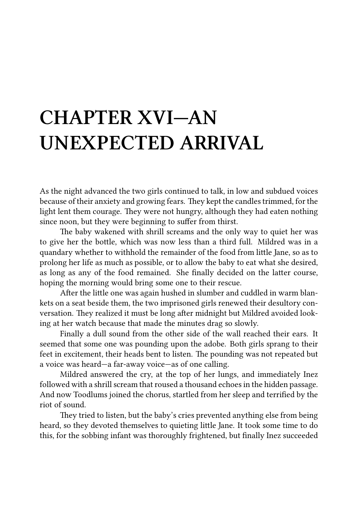## **CHAPTER XVI—AN UNEXPECTED ARRIVAL**

As the night advanced the two girls continued to talk, in low and subdued voices because of their anxiety and growing fears. They kept the candles trimmed, for the light lent them courage. They were not hungry, although they had eaten nothing since noon, but they were beginning to suffer from thirst.

The baby wakened with shrill screams and the only way to quiet her was to give her the bottle, which was now less than a third full. Mildred was in a quandary whether to withhold the remainder of the food from little Jane, so as to prolong her life as much as possible, or to allow the baby to eat what she desired, as long as any of the food remained. She finally decided on the latter course, hoping the morning would bring some one to their rescue.

After the little one was again hushed in slumber and cuddled in warm blankets on a seat beside them, the two imprisoned girls renewed their desultory conversation. They realized it must be long after midnight but Mildred avoided looking at her watch because that made the minutes drag so slowly.

Finally a dull sound from the other side of the wall reached their ears. It seemed that some one was pounding upon the adobe. Both girls sprang to their feet in excitement, their heads bent to listen. The pounding was not repeated but a voice was heard—a far-away voice—as of one calling.

Mildred answered the cry, at the top of her lungs, and immediately Inez followed with a shrill scream that roused a thousand echoes in the hidden passage. And now Toodlums joined the chorus, startled from her sleep and terrified by the riot of sound.

They tried to listen, but the baby's cries prevented anything else from being heard, so they devoted themselves to quieting little Jane. It took some time to do this, for the sobbing infant was thoroughly frightened, but finally Inez succeeded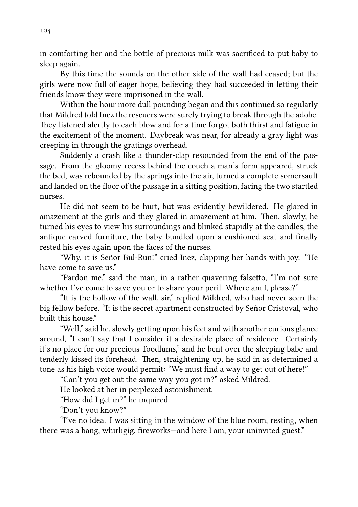in comforting her and the bottle of precious milk was sacrificed to put baby to sleep again.

By this time the sounds on the other side of the wall had ceased; but the girls were now full of eager hope, believing they had succeeded in leing their friends know they were imprisoned in the wall.

Within the hour more dull pounding began and this continued so regularly that Mildred told Inez the rescuers were surely trying to break through the adobe. They listened alertly to each blow and for a time forgot both thirst and fatigue in the excitement of the moment. Daybreak was near, for already a gray light was creeping in through the gratings overhead.

Suddenly a crash like a thunder-clap resounded from the end of the passage. From the gloomy recess behind the couch a man's form appeared, struck the bed, was rebounded by the springs into the air, turned a complete somersault and landed on the floor of the passage in a siing position, facing the two startled nurses.

He did not seem to be hurt, but was evidently bewildered. He glared in amazement at the girls and they glared in amazement at him. Then, slowly, he turned his eyes to view his surroundings and blinked stupidly at the candles, the antique carved furniture, the baby bundled upon a cushioned seat and finally rested his eyes again upon the faces of the nurses.

"Why, it is Señor Bul-Run!" cried Inez, clapping her hands with joy. "He have come to save us."

"Pardon me," said the man, in a rather quavering falsetto, "I'm not sure whether I've come to save you or to share your peril. Where am I, please?"

"It is the hollow of the wall, sir," replied Mildred, who had never seen the big fellow before. "It is the secret apartment constructed by Señor Cristoval, who built this house."

"Well," said he, slowly getting upon his feet and with another curious glance around, "I can't say that I consider it a desirable place of residence. Certainly it's no place for our precious Toodlums," and he bent over the sleeping babe and tenderly kissed its forehead. Then, straightening up, he said in as determined a tone as his high voice would permit: "We must find a way to get out of here!"

"Can't you get out the same way you got in?" asked Mildred.

He looked at her in perplexed astonishment.

"How did I get in?" he inquired.

"Don't you know?"

 $i$ <sup>"</sup>I've no idea. I was sitting in the window of the blue room, resting, when there was a bang, whirligig, fireworks—and here I am, your uninvited guest."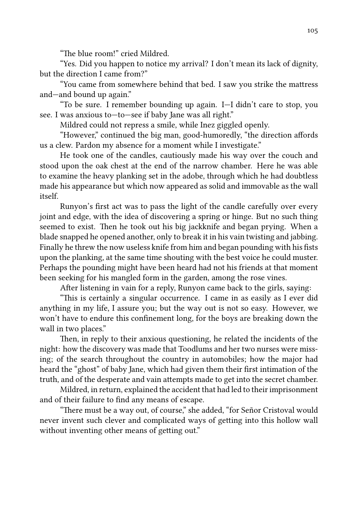"The blue room!" cried Mildred.

"Yes. Did you happen to notice my arrival? I don't mean its lack of dignity, but the direction I came from?"

"You came from somewhere behind that bed. I saw you strike the mattress and—and bound up again."

"To be sure. I remember bounding up again. I—I didn't care to stop, you see. I was anxious to—to—see if baby Jane was all right."

Mildred could not repress a smile, while Inez giggled openly.

"However," continued the big man, good-humoredly, "the direction affords us a clew. Pardon my absence for a moment while I investigate."

He took one of the candles, cautiously made his way over the couch and stood upon the oak chest at the end of the narrow chamber. Here he was able to examine the heavy planking set in the adobe, through which he had doubtless made his appearance but which now appeared as solid and immovable as the wall itself.

Runyon's first act was to pass the light of the candle carefully over every joint and edge, with the idea of discovering a spring or hinge. But no such thing seemed to exist. Then he took out his big jackknife and began prying. When a blade snapped he opened another, only to break it in his vain twisting and jabbing. Finally he threw the now useless knife from him and began pounding with his fists upon the planking, at the same time shouting with the best voice he could muster. Perhaps the pounding might have been heard had not his friends at that moment been seeking for his mangled form in the garden, among the rose vines.

After listening in vain for a reply, Runyon came back to the girls, saying:

"This is certainly a singular occurrence. I came in as easily as I ever did anything in my life, I assure you; but the way out is not so easy. However, we won't have to endure this confinement long, for the boys are breaking down the wall in two places."

Then, in reply to their anxious questioning, he related the incidents of the night: how the discovery was made that Toodlums and her two nurses were missing; of the search throughout the country in automobiles; how the major had heard the "ghost" of baby Jane, which had given them their first intimation of the truth, and of the desperate and vain attempts made to get into the secret chamber.

Mildred, in return, explained the accident that had led to their imprisonment and of their failure to find any means of escape.

"There must be a way out, of course," she added, "for Señor Cristoval would never invent such clever and complicated ways of getting into this hollow wall without inventing other means of getting out."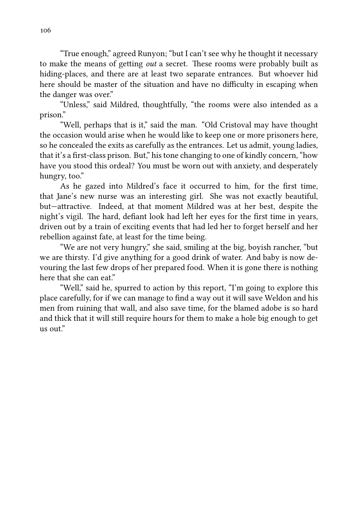"True enough," agreed Runyon; "but I can't see why he thought it necessary to make the means of getting *out* a secret. These rooms were probably built as hiding-places, and there are at least two separate entrances. But whoever hid here should be master of the situation and have no difficulty in escaping when the danger was over."

"Unless," said Mildred, thoughtfully, "the rooms were also intended as a prison."

"Well, perhaps that is it," said the man. "Old Cristoval may have thought the occasion would arise when he would like to keep one or more prisoners here, so he concealed the exits as carefully as the entrances. Let us admit, young ladies, that it's a first-class prison. But," his tone changing to one of kindly concern, "how have you stood this ordeal? You must be worn out with anxiety, and desperately hungry, too."

As he gazed into Mildred's face it occurred to him, for the first time, that Jane's new nurse was an interesting girl. She was not exactly beautiful, but—attractive. Indeed, at that moment Mildred was at her best, despite the night's vigil. The hard, defiant look had left her eyes for the first time in years, driven out by a train of exciting events that had led her to forget herself and her rebellion against fate, at least for the time being.

"We are not very hungry," she said, smiling at the big, boyish rancher, "but we are thirsty. I'd give anything for a good drink of water. And baby is now devouring the last few drops of her prepared food. When it is gone there is nothing here that she can eat."

"Well," said he, spurred to action by this report, "I'm going to explore this place carefully, for if we can manage to find a way out it will save Weldon and his men from ruining that wall, and also save time, for the blamed adobe is so hard and thick that it will still require hours for them to make a hole big enough to get us out."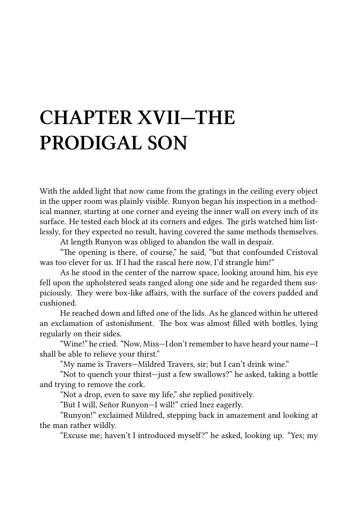# **CHAPTER XVII—THE PRODIGAL SON**

With the added light that now came from the gratings in the ceiling every object in the upper room was plainly visible. Runyon began his inspection in a methodical manner, starting at one corner and eyeing the inner wall on every inch of its surface. He tested each block at its corners and edges. The girls watched him listlessly, for they expected no result, having covered the same methods themselves.

At length Runyon was obliged to abandon the wall in despair.

"The opening is there, of course," he said, "but that confounded Cristoval was too clever for us. If I had the rascal here now, I'd strangle him!"

As he stood in the center of the narrow space, looking around him, his eye fell upon the upholstered seats ranged along one side and he regarded them suspiciously. They were box-like affairs, with the surface of the covers padded and cushioned.

He reached down and lifted one of the lids. As he glanced within he uttered an exclamation of astonishment. The box was almost filled with bottles, lying regularly on their sides.

"Wine!" he cried. "Now, Miss—I don't remember to have heard your name—I shall be able to relieve your thirst."

"My name is Travers—Mildred Travers, sir; but I can't drink wine."

"Not to quench your thirst-just a few swallows?" he asked, taking a bottle and trying to remove the cork.

"Not a drop, even to save my life," she replied positively.

"But I will, Señor Runyon—I will!" cried Inez eagerly.

"Runyon!" exclaimed Mildred, stepping back in amazement and looking at the man rather wildly.

"Excuse me; haven't I introduced mysel?" he asked, looking up. "Yes; my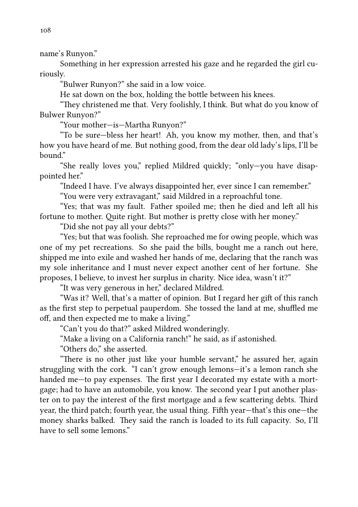name's Runyon."

Something in her expression arrested his gaze and he regarded the girl curiously.

"Bulwer Runyon?" she said in a low voice.

He sat down on the box, holding the bottle between his knees.

"They christened me that. Very foolishly, I think. But what do you know of Bulwer Runyon?"

"Your mother—is—Martha Runyon?"

"To be sure—bless her heart! Ah, you know my mother, then, and that's how you have heard of me. But nothing good, from the dear old lady's lips, I'll be bound."

"She really loves you," replied Mildred quickly; "only—you have disappointed her."

"Indeed I have. I've always disappointed her, ever since I can remember."

"You were very extravagant," said Mildred in a reproachful tone.

"Yes; that was my fault. Father spoiled me; then he died and left all his fortune to mother. Ouite right. But mother is pretty close with her money."

"Did she not pay all your debts?"

"Yes; but that was foolish. She reproached me for owing people, which was one of my pet recreations. So she paid the bills, bought me a ranch out here, shipped me into exile and washed her hands of me, declaring that the ranch was my sole inheritance and I must never expect another cent of her fortune. She proposes, I believe, to invest her surplus in charity. Nice idea, wasn't it?"

"It was very generous in her," declared Mildred.

"Was it? Well, that's a matter of opinion. But I regard her gift of this ranch as the first step to perpetual pauperdom. She tossed the land at me, shuffled me off, and then expected me to make a living."

"Can't you do that?" asked Mildred wonderingly.

"Make a living on a California ranch!" he said, as if astonished.

"Others do," she asserted.

"There is no other just like your humble servant," he assured her, again struggling with the cork. "I can't grow enough lemons—it's a lemon ranch she handed me—to pay expenses. The first year I decorated my estate with a mortgage; had to have an automobile, you know. The second year I put another plaster on to pay the interest of the first mortgage and a few scattering debts. Third year, the third patch; fourth year, the usual thing. Fifth year—that's this one—the money sharks balked. They said the ranch is loaded to its full capacity. So, I'll have to sell some lemons"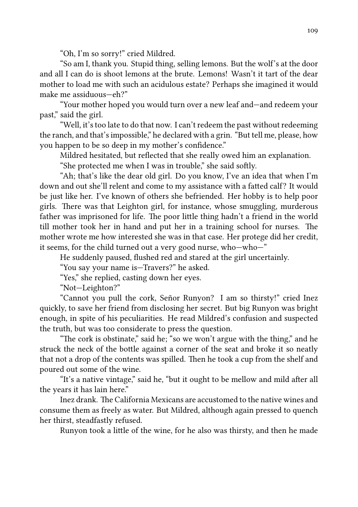"Oh, I'm so sorry!" cried Mildred.

"So am I, thank you. Stupid thing, selling lemons. But the wolf's at the door and all I can do is shoot lemons at the brute. Lemons! Wasn't it tart of the dear mother to load me with such an acidulous estate? Perhaps she imagined it would make me assiduous—eh?"

"Your mother hoped you would turn over a new leaf and—and redeem your past," said the girl.

"Well, it's too late to do that now. I can't redeem the past without redeeming the ranch, and that's impossible," he declared with a grin. "But tell me, please, how you happen to be so deep in my mother's confidence."

Mildred hesitated, but reflected that she really owed him an explanation.

"She protected me when I was in trouble," she said softly.

"Ah; that's like the dear old girl. Do you know, I've an idea that when I'm down and out she'll relent and come to my assistance with a fatted calf? It would be just like her. I've known of others she befriended. Her hobby is to help poor girls. There was that Leighton girl, for instance, whose smuggling, murderous father was imprisoned for life. The poor little thing hadn't a friend in the world till mother took her in hand and put her in a training school for nurses. The mother wrote me how interested she was in that case. Her protege did her credit, it seems, for the child turned out a very good nurse, who—who—"

He suddenly paused, flushed red and stared at the girl uncertainly.

"You say your name is—Travers?" he asked.

"Yes," she replied, casting down her eyes.

"Not—Leighton?"

"Cannot you pull the cork, Señor Runyon? I am so thirsty!" cried Inez quickly, to save her friend from disclosing her secret. But big Runyon was bright enough, in spite of his peculiarities. He read Mildred's confusion and suspected the truth, but was too considerate to press the question.

"The cork is obstinate," said he; "so we won't argue with the thing," and he struck the neck of the bottle against a corner of the seat and broke it so neatly that not a drop of the contents was spilled. Then he took a cup from the shelf and poured out some of the wine.

"It's a native vintage," said he, "but it ought to be mellow and mild after all the years it has lain here."

Inez drank. The California Mexicans are accustomed to the native wines and consume them as freely as water. But Mildred, although again pressed to quench her thirst, steadfastly refused.

Runyon took a little of the wine, for he also was thirsty, and then he made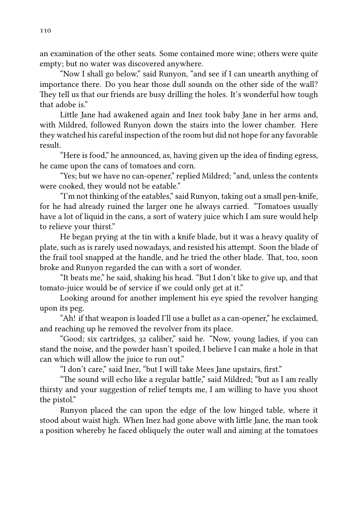an examination of the other seats. Some contained more wine; others were quite empty; but no water was discovered anywhere.

"Now I shall go below," said Runyon, "and see if I can unearth anything of importance there. Do you hear those dull sounds on the other side of the wall? They tell us that our friends are busy drilling the holes. It's wonderful how tough that adobe is."

Little Jane had awakened again and Inez took baby Jane in her arms and, with Mildred, followed Runyon down the stairs into the lower chamber. Here they watched his careful inspection of the room but did not hope for any favorable result.

"Here is food," he announced, as, having given up the idea of finding egress, he came upon the cans of tomatoes and corn.

"Yes; but we have no can-opener," replied Mildred; "and, unless the contents were cooked, they would not be eatable."

"I'm not thinking of the eatables," said Runyon, taking out a small pen-knife, for he had already ruined the larger one he always carried. "Tomatoes usually have a lot of liquid in the cans, a sort of watery juice which I am sure would help to relieve your thirst."

He began prying at the tin with a knife blade, but it was a heavy quality of plate, such as is rarely used nowadays, and resisted his attempt. Soon the blade of the frail tool snapped at the handle, and he tried the other blade. That, too, soon broke and Runyon regarded the can with a sort of wonder.

"It beats me," he said, shaking his head. "But I don't like to give up, and that tomato-juice would be of service if we could only get at it."

Looking around for another implement his eye spied the revolver hanging upon its peg.

"Ah! if that weapon is loaded I'll use a bullet as a can-opener," he exclaimed, and reaching up he removed the revolver from its place.

"Good; six cartridges, 32 caliber," said he. "Now, young ladies, if you can stand the noise, and the powder hasn't spoiled, I believe I can make a hole in that can which will allow the juice to run out."

"I don't care," said Inez, "but I will take Mees Jane upstairs, first."

"The sound will echo like a regular battle," said Mildred; "but as I am really thirsty and your suggestion of relief tempts me, I am willing to have you shoot the pistol."

Runyon placed the can upon the edge of the low hinged table, where it stood about waist high. When Inez had gone above with little Jane, the man took a position whereby he faced obliquely the outer wall and aiming at the tomatoes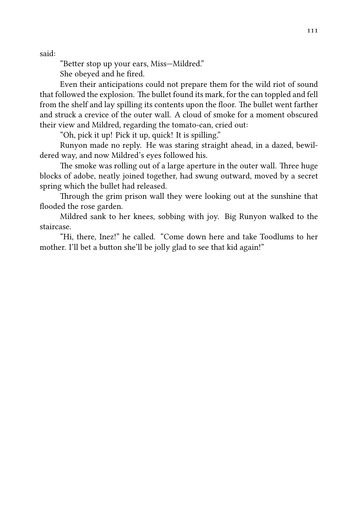said:

"Better stop up your ears, Miss-Mildred."

She obeyed and he fired.

Even their anticipations could not prepare them for the wild riot of sound that followed the explosion. The bullet found its mark, for the can toppled and fell from the shelf and lay spilling its contents upon the floor. The bullet went farther and struck a crevice of the outer wall. A cloud of smoke for a moment obscured their view and Mildred, regarding the tomato-can, cried out:

"Oh, pick it up! Pick it up, quick! It is spilling."

Runyon made no reply. He was staring straight ahead, in a dazed, bewildered way, and now Mildred's eyes followed his.

The smoke was rolling out of a large aperture in the outer wall. Three huge blocks of adobe, neatly joined together, had swung outward, moved by a secret spring which the bullet had released.

Through the grim prison wall they were looking out at the sunshine that flooded the rose garden.

Mildred sank to her knees, sobbing with joy. Big Runyon walked to the staircase.

"Hi, there, Inez!" he called. "Come down here and take Toodlums to her mother. I'll bet a button she'll be jolly glad to see that kid again!"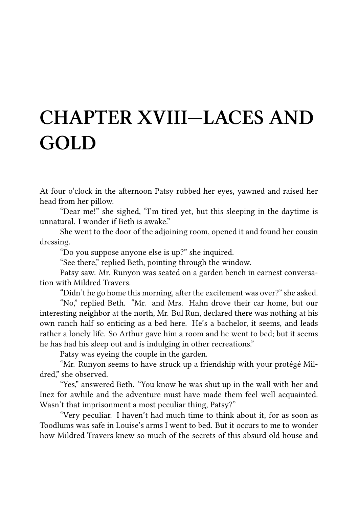#### **CHAPTER XVIII—LACES AND GOLD**

At four o'clock in the afternoon Patsy rubbed her eyes, yawned and raised her head from her pillow.

"Dear me!" she sighed, "I'm tired yet, but this sleeping in the daytime is unnatural. I wonder if Beth is awake."

She went to the door of the adjoining room, opened it and found her cousin dressing.

"Do you suppose anyone else is up?" she inquired.

"See there," replied Beth, pointing through the window.

Patsy saw. Mr. Runyon was seated on a garden bench in earnest conversation with Mildred Travers.

"Didn't he go home this morning, after the excitement was over?" she asked.

"No," replied Beth. "Mr. and Mrs. Hahn drove their car home, but our interesting neighbor at the north, Mr. Bul Run, declared there was nothing at his own ranch half so enticing as a bed here. He's a bachelor, it seems, and leads rather a lonely life. So Arthur gave him a room and he went to bed; but it seems he has had his sleep out and is indulging in other recreations."

Patsy was eyeing the couple in the garden.

"Mr. Runyon seems to have struck up a friendship with your protégé Mildred," she observed.

"Yes," answered Beth. "You know he was shut up in the wall with her and Inez for awhile and the adventure must have made them feel well acquainted. Wasn't that imprisonment a most peculiar thing, Patsy?"

"Very peculiar. I haven't had much time to think about it, for as soon as Toodlums was safe in Louise's arms I went to bed. But it occurs to me to wonder how Mildred Travers knew so much of the secrets of this absurd old house and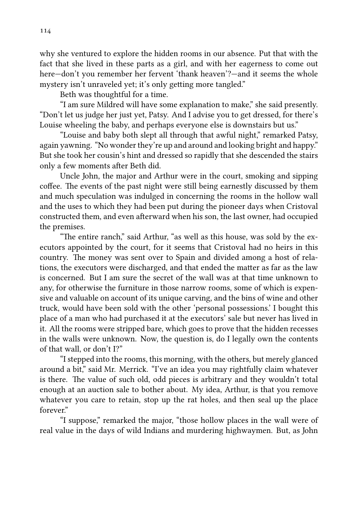why she ventured to explore the hidden rooms in our absence. Put that with the fact that she lived in these parts as a girl, and with her eagerness to come out here—don't you remember her fervent 'thank heaven'?—and it seems the whole mystery isn't unraveled yet; it's only getting more tangled."

Beth was thoughtful for a time.

"I am sure Mildred will have some explanation to make," she said presently. "Don't let us judge her just yet, Patsy. And I advise you to get dressed, for there's Louise wheeling the baby, and perhaps everyone else is downstairs but us."

"Louise and baby both slept all through that awful night," remarked Patsy, again yawning. "No wonder they're up and around and looking bright and happy." But she took her cousin's hint and dressed so rapidly that she descended the stairs only a few moments after Beth did.

Uncle John, the major and Arthur were in the court, smoking and sipping coffee. The events of the past night were still being earnestly discussed by them and much speculation was indulged in concerning the rooms in the hollow wall and the uses to which they had been put during the pioneer days when Cristoval constructed them, and even afterward when his son, the last owner, had occupied the premises.

"The entire ranch," said Arthur, "as well as this house, was sold by the executors appointed by the court, for it seems that Cristoval had no heirs in this country. The money was sent over to Spain and divided among a host of relations, the executors were discharged, and that ended the matter as far as the law is concerned. But I am sure the secret of the wall was at that time unknown to any, for otherwise the furniture in those narrow rooms, some of which is expensive and valuable on account of its unique carving, and the bins of wine and other truck, would have been sold with the other 'personal possessions.' I bought this place of a man who had purchased it at the executors' sale but never has lived in it. All the rooms were stripped bare, which goes to prove that the hidden recesses in the walls were unknown. Now, the question is, do I legally own the contents of that wall, or don't I?"

"I stepped into the rooms, this morning, with the others, but merely glanced around a bit," said Mr. Merrick. "I've an idea you may rightfully claim whatever is there. The value of such old, odd pieces is arbitrary and they wouldn't total enough at an auction sale to bother about. My idea, Arthur, is that you remove whatever you care to retain, stop up the rat holes, and then seal up the place forever"

"I suppose," remarked the major, "those hollow places in the wall were of real value in the days of wild Indians and murdering highwaymen. But, as John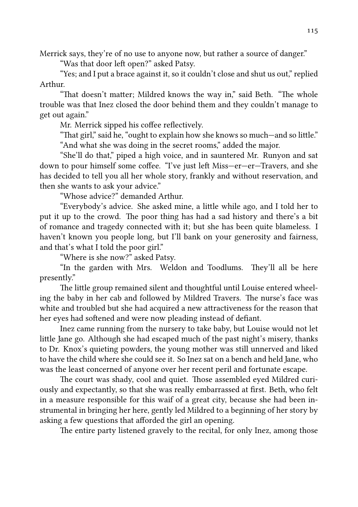Merrick says, they're of no use to anyone now, but rather a source of danger."

"Was that door left open?" asked Patsy.

"Yes; and I put a brace against it, so it couldn't close and shut us out," replied Arthur.

"That doesn't matter; Mildred knows the way in," said Beth. "The whole trouble was that Inez closed the door behind them and they couldn't manage to get out again."

Mr. Merrick sipped his coffee reflectively.

"That girl," said he, "ought to explain how she knows so much—and so little." "And what she was doing in the secret rooms," added the major.

"She'll do that," piped a high voice, and in sauntered Mr. Runyon and sat down to pour himself some coffee. "I've just left Miss—er—er—Travers, and she has decided to tell you all her whole story, frankly and without reservation, and then she wants to ask your advice."

"Whose advice?" demanded Arthur.

"Everybody's advice. She asked mine, a little while ago, and I told her to put it up to the crowd. The poor thing has had a sad history and there's a bit of romance and tragedy connected with it; but she has been quite blameless. I haven't known you people long, but I'll bank on your generosity and fairness, and that's what I told the poor girl."

"Where is she now?" asked Patsy.

"In the garden with Mrs. Weldon and Toodlums. They'll all be here presently."

The little group remained silent and thoughtful until Louise entered wheeling the baby in her cab and followed by Mildred Travers. The nurse's face was white and troubled but she had acquired a new attractiveness for the reason that her eyes had softened and were now pleading instead of defiant.

Inez came running from the nursery to take baby, but Louise would not let little Jane go. Although she had escaped much of the past night's misery, thanks to Dr. Knox's quieting powders, the young mother was still unnerved and liked to have the child where she could see it. So Inez sat on a bench and held Jane, who was the least concerned of anyone over her recent peril and fortunate escape.

The court was shady, cool and quiet. Those assembled eyed Mildred curiously and expectantly, so that she was really embarrassed at first. Beth, who felt in a measure responsible for this waif of a great city, because she had been instrumental in bringing her here, gently led Mildred to a beginning of her story by asking a few questions that afforded the girl an opening.

The entire party listened gravely to the recital, for only Inez, among those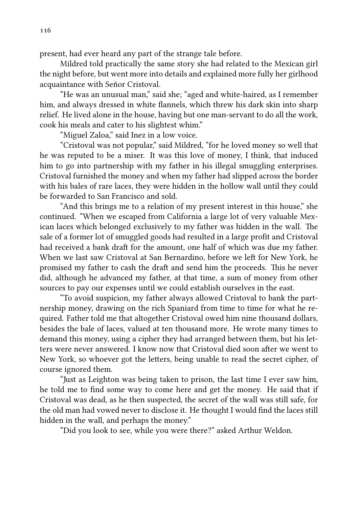present, had ever heard any part of the strange tale before.

Mildred told practically the same story she had related to the Mexican girl the night before, but went more into details and explained more fully her girlhood acquaintance with Señor Cristoval.

"He was an unusual man," said she; "aged and white-haired, as I remember him, and always dressed in white flannels, which threw his dark skin into sharp relief. He lived alone in the house, having but one man-servant to do all the work, cook his meals and cater to his slightest whim."

"Miguel Zaloa," said Inez in a low voice.

"Cristoval was not popular," said Mildred, "for he loved money so well that he was reputed to be a miser. It was this love of money, I think, that induced him to go into partnership with my father in his illegal smuggling enterprises. Cristoval furnished the money and when my father had slipped across the border with his bales of rare laces, they were hidden in the hollow wall until they could be forwarded to San Francisco and sold.

"And this brings me to a relation of my present interest in this house," she continued. "When we escaped from California a large lot of very valuable Mexican laces which belonged exclusively to my father was hidden in the wall. The sale of a former lot of smuggled goods had resulted in a large profit and Cristoval had received a bank draft for the amount, one half of which was due my father. When we last saw Cristoval at San Bernardino, before we left for New York, he promised my father to cash the draft and send him the proceeds. This he never did, although he advanced my father, at that time, a sum of money from other sources to pay our expenses until we could establish ourselves in the east.

"To avoid suspicion, my father always allowed Cristoval to bank the partnership money, drawing on the rich Spaniard from time to time for what he required. Father told me that altogether Cristoval owed him nine thousand dollars, besides the bale of laces, valued at ten thousand more. He wrote many times to demand this money, using a cipher they had arranged between them, but his letters were never answered. I know now that Cristoval died soon after we went to New York, so whoever got the letters, being unable to read the secret cipher, of course ignored them.

"Just as Leighton was being taken to prison, the last time I ever saw him, he told me to find some way to come here and get the money. He said that if Cristoval was dead, as he then suspected, the secret of the wall was still safe, for the old man had vowed never to disclose it. He thought I would find the laces still hidden in the wall, and perhaps the money."

"Did you look to see, while you were there?" asked Arthur Weldon.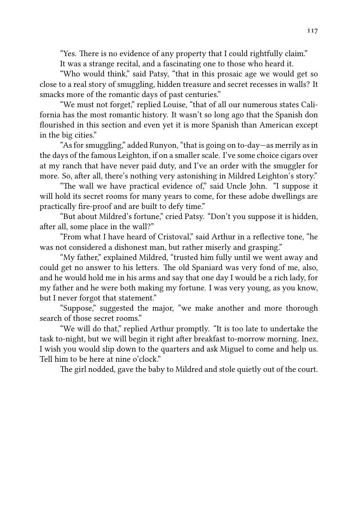"Yes. There is no evidence of any property that I could rightfully claim." It was a strange recital, and a fascinating one to those who heard it.

"Who would think," said Patsy, "that in this prosaic age we would get so close to a real story of smuggling, hidden treasure and secret recesses in walls? It smacks more of the romantic days of past centuries."

"We must not forget," replied Louise, "that of all our numerous states California has the most romantic history. It wasn't so long ago that the Spanish don flourished in this section and even yet it is more Spanish than American except in the big cities."

"As for smuggling," added Runyon, "that is going on to-day—as merrily as in the days of the famous Leighton, if on a smaller scale. I've some choice cigars over at my ranch that have never paid duty, and I've an order with the smuggler for more. So, after all, there's nothing very astonishing in Mildred Leighton's story."

"The wall we have practical evidence of," said Uncle John. "I suppose it will hold its secret rooms for many years to come, for these adobe dwellings are practically fire-proof and are built to defy time."

"But about Mildred's fortune," cried Patsy. "Don't you suppose it is hidden, after all, some place in the wall?"

"From what I have heard of Cristoval," said Arthur in a reflective tone, "he was not considered a dishonest man, but rather miserly and grasping."

"My father," explained Mildred, "trusted him fully until we went away and could get no answer to his letters. The old Spaniard was very fond of me, also, and he would hold me in his arms and say that one day I would be a rich lady, for my father and he were both making my fortune. I was very young, as you know, but I never forgot that statement."

"Suppose," suggested the major, "we make another and more thorough search of those secret rooms."

"We will do that," replied Arthur promptly. "It is too late to undertake the task to-night, but we will begin it right after breakfast to-morrow morning. Inez, I wish you would slip down to the quarters and ask Miguel to come and help us. Tell him to be here at nine o'clock."

The girl nodded, gave the baby to Mildred and stole quietly out of the court.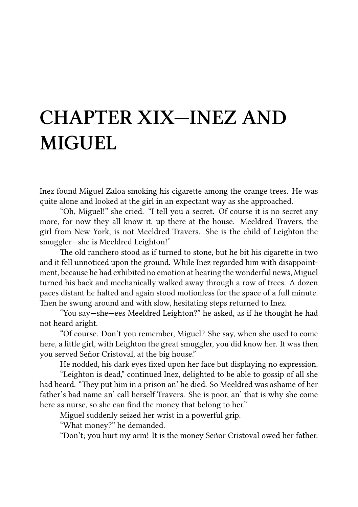#### **CHAPTER XIX—INEZ AND MIGUEL**

Inez found Miguel Zaloa smoking his cigarette among the orange trees. He was quite alone and looked at the girl in an expectant way as she approached.

"Oh, Miguel!" she cried. "I tell you a secret. Of course it is no secret any more, for now they all know it, up there at the house. Meeldred Travers, the girl from New York, is not Meeldred Travers. She is the child of Leighton the smuggler—she is Meeldred Leighton!"

The old ranchero stood as if turned to stone, but he bit his cigarette in two and it fell unnoticed upon the ground. While Inez regarded him with disappointment, because he had exhibited no emotion at hearing the wonderful news, Miguel turned his back and mechanically walked away through a row of trees. A dozen paces distant he halted and again stood motionless for the space of a full minute. Then he swung around and with slow, hesitating steps returned to Inez.

"You say—she—ees Meeldred Leighton?" he asked, as if he thought he had not heard aright.

"Of course. Don't you remember, Miguel? She say, when she used to come here, a little girl, with Leighton the great smuggler, you did know her. It was then you served Señor Cristoval, at the big house."

He nodded, his dark eyes fixed upon her face but displaying no expression.

"Leighton is dead," continued Inez, delighted to be able to gossip of all she had heard. "They put him in a prison an' he died. So Meeldred was ashame of her father's bad name an' call herself Travers. She is poor, an' that is why she come here as nurse, so she can find the money that belong to her."

Miguel suddenly seized her wrist in a powerful grip.

"What money?" he demanded.

"Don't; you hurt my arm! It is the money Señor Cristoval owed her father.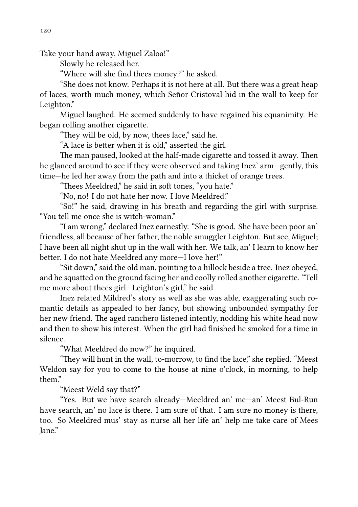Take your hand away, Miguel Zaloa!"

Slowly he released her.

"Where will she find thees money?" he asked.

"She does not know. Perhaps it is not here at all. But there was a great heap of laces, worth much money, which Señor Cristoval hid in the wall to keep for Leighton."

Miguel laughed. He seemed suddenly to have regained his equanimity. He began rolling another cigarette.

"They will be old, by now, thees lace," said he.

"A lace is better when it is old," asserted the girl.

The man paused, looked at the half-made cigarette and tossed it away. Then he glanced around to see if they were observed and taking Inez' arm—gently, this time—he led her away from the path and into a thicket of orange trees.

"Thees Meeldred," he said in soft tones, "you hate."

"No, no! I do not hate her now. I love Meeldred."

"So!" he said, drawing in his breath and regarding the girl with surprise. "You tell me once she is witch-woman."

"I am wrong," declared Inez earnestly. "She is good. She have been poor an' friendless, all because of her father, the noble smuggler Leighton. But see, Miguel; I have been all night shut up in the wall with her. We talk, an' I learn to know her better. I do not hate Meeldred any more-I love her!"

"Sit down," said the old man, pointing to a hillock beside a tree. Inez obeyed, and he squatted on the ground facing her and coolly rolled another cigarette. "Tell me more about thees girl—Leighton's girl," he said.

Inez related Mildred's story as well as she was able, exaggerating such romantic details as appealed to her fancy, but showing unbounded sympathy for her new friend. The aged ranchero listened intently, nodding his white head now and then to show his interest. When the girl had finished he smoked for a time in silence.

"What Meeldred do now?" he inquired.

"They will hunt in the wall, to-morrow, to find the lace," she replied. "Meest Weldon say for you to come to the house at nine o'clock, in morning, to help them."

"Meest Weld say that?"

"Yes. But we have search already—Meeldred an' me—an' Meest Bul-Run have search, an' no lace is there. I am sure of that. I am sure no money is there, too. So Meeldred mus' stay as nurse all her life an' help me take care of Mees Jane."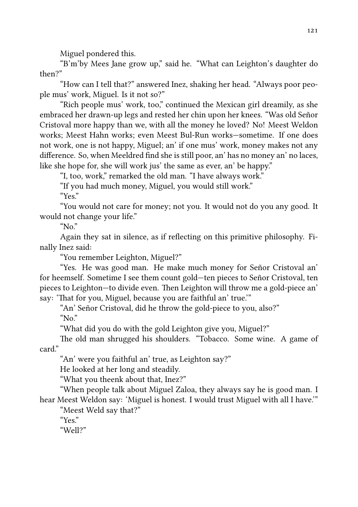Miguel pondered this.

"B'm'by Mees Jane grow up," said he. "What can Leighton's daughter do then?"

"How can I tell that?" answered Inez, shaking her head. "Always poor people mus' work, Miguel. Is it not so?"

"Rich people mus' work, too," continued the Mexican girl dreamily, as she embraced her drawn-up legs and rested her chin upon her knees. "Was old Señor Cristoval more happy than we, with all the money he loved? No! Meest Weldon works; Meest Hahn works; even Meest Bul-Run works—sometime. If one does not work, one is not happy, Miguel; an' if one mus' work, money makes not any difference. So, when Meeldred find she is still poor, an' has no money an' no laces, like she hope for, she will work jus' the same as ever, an' be happy."

"I, too, work," remarked the old man. "I have always work."

"If you had much money, Miguel, you would still work."

" $Y_{\text{ex}}$ "

"You would not care for money; not you. It would not do you any good. It would not change your life."

" $N_0$ "

Again they sat in silence, as if reflecting on this primitive philosophy. Finally Inez said:

"You remember Leighton, Miguel?"

"Yes. He was good man. He make much money for Señor Cristoval an' for heemself. Sometime I see them count gold—ten pieces to Señor Cristoval, ten pieces to Leighton-to divide even. Then Leighton will throw me a gold-piece an' say: 'That for you, Miguel, because you are faithful an' true.'"

"An' Señor Cristoval, did he throw the gold-piece to you, also?" " $N_0$ "

"What did you do with the gold Leighton give you, Miguel?"

The old man shrugged his shoulders. "Tobacco. Some wine. A game of card."

"An' were you faithful an' true, as Leighton say?"

He looked at her long and steadily.

"What you theenk about that, Inez?"

"When people talk about Miguel Zaloa, they always say he is good man. I hear Meest Weldon say: 'Miguel is honest. I would trust Miguel with all I have.'"

"Meest Weld say that?"

" $Y_{\text{ex}}$ "

"Well?"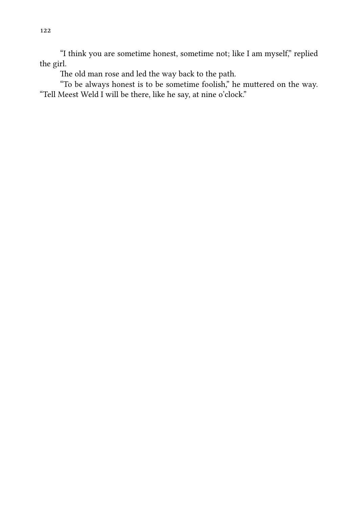"I think you are sometime honest, sometime not; like I am myself," replied the girl.

The old man rose and led the way back to the path.

"To be always honest is to be sometime foolish," he muttered on the way. "Tell Meest Weld I will be there, like he say, at nine o'clock."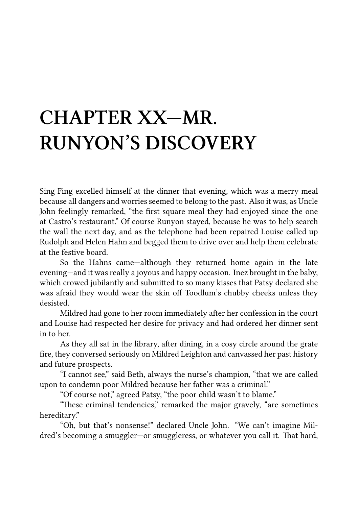# **CHAPTER XX—MR. RUNYON'S DISCOVERY**

Sing Fing excelled himself at the dinner that evening, which was a merry meal because all dangers and worries seemed to belong to the past. Also it was, as Uncle John feelingly remarked, "the first square meal they had enjoyed since the one at Castro's restaurant." Of course Runyon stayed, because he was to help search the wall the next day, and as the telephone had been repaired Louise called up Rudolph and Helen Hahn and begged them to drive over and help them celebrate at the festive board.

So the Hahns came—although they returned home again in the late evening—and it was really a joyous and happy occasion. Inez brought in the baby, which crowed jubilantly and submitted to so many kisses that Patsy declared she was afraid they would wear the skin off Toodlum's chubby cheeks unless they desisted.

Mildred had gone to her room immediately after her confession in the court and Louise had respected her desire for privacy and had ordered her dinner sent in to her.

As they all sat in the library, after dining, in a cosy circle around the grate fire, they conversed seriously on Mildred Leighton and canvassed her past history and future prospects.

"I cannot see," said Beth, always the nurse's champion, "that we are called upon to condemn poor Mildred because her father was a criminal."

"Of course not," agreed Patsy, "the poor child wasn't to blame."

"These criminal tendencies," remarked the major gravely, "are sometimes hereditary."

"Oh, but that's nonsense!" declared Uncle John. "We can't imagine Mildred's becoming a smuggler-or smuggleress, or whatever you call it. That hard,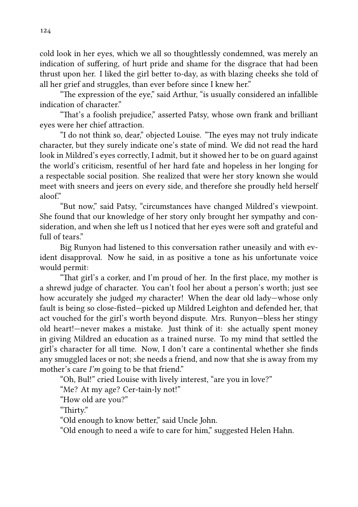cold look in her eyes, which we all so thoughtlessly condemned, was merely an indication of suffering, of hurt pride and shame for the disgrace that had been thrust upon her. I liked the girl better to-day, as with blazing cheeks she told of all her grief and struggles, than ever before since I knew her."

"The expression of the eye," said Arthur, "is usually considered an infallible indication of character."

"That's a foolish prejudice," asserted Patsy, whose own frank and brilliant eyes were her chief attraction.

"I do not think so, dear," objected Louise. "The eyes may not truly indicate character, but they surely indicate one's state of mind. We did not read the hard look in Mildred's eyes correctly, I admit, but it showed her to be on guard against the world's criticism, resentful of her hard fate and hopeless in her longing for a respectable social position. She realized that were her story known she would meet with sneers and jeers on every side, and therefore she proudly held herself  $alof$ "

"But now," said Patsy, "circumstances have changed Mildred's viewpoint. She found that our knowledge of her story only brought her sympathy and consideration, and when she left us I noticed that her eyes were soft and grateful and full of tears."

Big Runyon had listened to this conversation rather uneasily and with evident disapproval. Now he said, in as positive a tone as his unfortunate voice would permit:

"That girl's a corker, and I'm proud of her. In the first place, my mother is a shrewd judge of character. You can't fool her about a person's worth; just see how accurately she judged *my* character! When the dear old lady—whose only fault is being so close-fisted—picked up Mildred Leighton and defended her, that act vouched for the girl's worth beyond dispute. Mrs. Runyon—bless her stingy old heart!—never makes a mistake. Just think of it: she actually spent money in giving Mildred an education as a trained nurse. To my mind that settled the girl's character for all time. Now, I don't care a continental whether she finds any smuggled laces or not; she needs a friend, and now that she is away from my mother's care *I'm* going to be that friend."

"Oh, Bul!" cried Louise with lively interest, "are you in love?"

"Me? At my age? Cer-tain-ly not!"

"How old are you?"

"Thirty."

"Old enough to know better," said Uncle John.

"Old enough to need a wife to care for him," suggested Helen Hahn.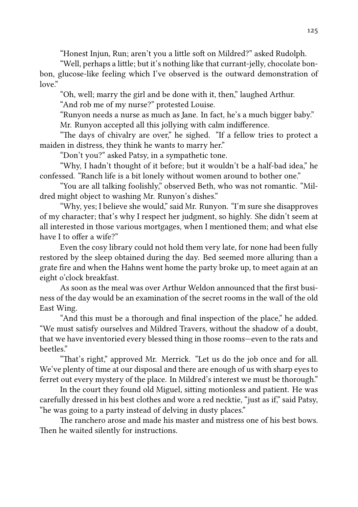"Honest Injun, Run; aren't you a little soft on Mildred?" asked Rudolph.

"Well, perhaps a little; but it's nothing like that currant-jelly, chocolate bonbon, glucose-like feeling which I've observed is the outward demonstration of  $\log e$ "

"Oh, well; marry the girl and be done with it, then," laughed Arthur.

"And rob me of my nurse?" protested Louise.

"Runyon needs a nurse as much as Jane. In fact, he's a much bigger baby." Mr. Runyon accepted all this jollying with calm indifference.

"The days of chivalry are over," he sighed. "If a fellow tries to protect a maiden in distress, they think he wants to marry her."

"Don't you?" asked Patsy, in a sympathetic tone.

"Why, I hadn't thought of it before; but it wouldn't be a half-bad idea," he confessed. "Ranch life is a bit lonely without women around to bother one."

"You are all talking foolishly," observed Beth, who was not romantic. "Mildred might object to washing Mr. Runyon's dishes."

"Why, yes; I believe she would," said Mr. Runyon. "I'm sure she disapproves of my character; that's why I respect her judgment, so highly. She didn't seem at all interested in those various mortgages, when I mentioned them; and what else have I to offer a wife?"

Even the cosy library could not hold them very late, for none had been fully restored by the sleep obtained during the day. Bed seemed more alluring than a grate fire and when the Hahns went home the party broke up, to meet again at an eight o'clock breakfast.

As soon as the meal was over Arthur Weldon announced that the first business of the day would be an examination of the secret rooms in the wall of the old East Wing.

"And this must be a thorough and final inspection of the place," he added. "We must satisfy ourselves and Mildred Travers, without the shadow of a doubt, that we have inventoried every blessed thing in those rooms—even to the rats and beetles."

"That's right," approved Mr. Merrick. "Let us do the job once and for all. We've plenty of time at our disposal and there are enough of us with sharp eyes to ferret out every mystery of the place. In Mildred's interest we must be thorough."

In the court they found old Miguel, sitting motionless and patient. He was carefully dressed in his best clothes and wore a red necktie, "just as if," said Patsy, "he was going to a party instead of delving in dusty places."

e ranchero arose and made his master and mistress one of his best bows. Then he waited silently for instructions.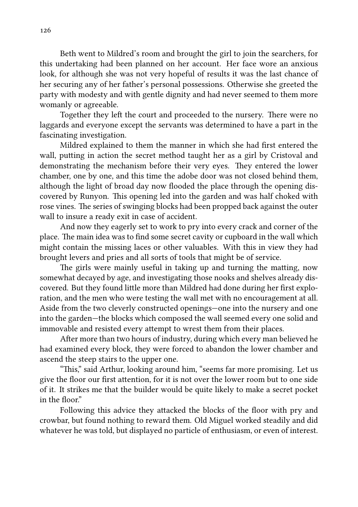Beth went to Mildred's room and brought the girl to join the searchers, for this undertaking had been planned on her account. Her face wore an anxious look, for although she was not very hopeful of results it was the last chance of her securing any of her father's personal possessions. Otherwise she greeted the party with modesty and with gentle dignity and had never seemed to them more womanly or agreeable.

Together they left the court and proceeded to the nursery. There were no laggards and everyone except the servants was determined to have a part in the fascinating investigation.

Mildred explained to them the manner in which she had first entered the wall, putting in action the secret method taught her as a girl by Cristoval and demonstrating the mechanism before their very eyes. They entered the lower chamber, one by one, and this time the adobe door was not closed behind them, although the light of broad day now flooded the place through the opening discovered by Runyon. This opening led into the garden and was half choked with rose vines. The series of swinging blocks had been propped back against the outer wall to insure a ready exit in case of accident.

And now they eagerly set to work to pry into every crack and corner of the place. The main idea was to find some secret cavity or cupboard in the wall which might contain the missing laces or other valuables. With this in view they had brought levers and pries and all sorts of tools that might be of service.

The girls were mainly useful in taking up and turning the matting, now somewhat decayed by age, and investigating those nooks and shelves already discovered. But they found little more than Mildred had done during her first exploration, and the men who were testing the wall met with no encouragement at all. Aside from the two cleverly constructed openings—one into the nursery and one into the garden—the blocks which composed the wall seemed every one solid and immovable and resisted every attempt to wrest them from their places.

After more than two hours of industry, during which every man believed he had examined every block, they were forced to abandon the lower chamber and ascend the steep stairs to the upper one.

"This," said Arthur, looking around him, "seems far more promising. Let us give the floor our first attention, for it is not over the lower room but to one side of it. It strikes me that the builder would be quite likely to make a secret pocket in the floor."

Following this advice they attacked the blocks of the floor with pry and crowbar, but found nothing to reward them. Old Miguel worked steadily and did whatever he was told, but displayed no particle of enthusiasm, or even of interest.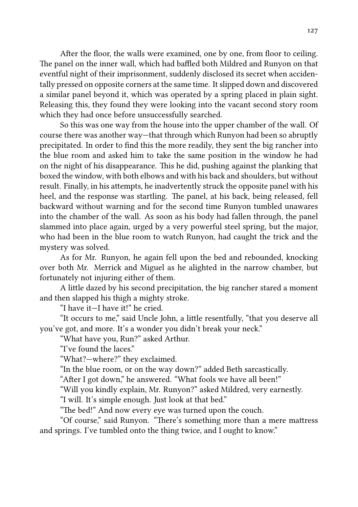After the floor, the walls were examined, one by one, from floor to ceiling. The panel on the inner wall, which had baffled both Mildred and Runyon on that eventful night of their imprisonment, suddenly disclosed its secret when accidentally pressed on opposite corners at the same time. It slipped down and discovered a similar panel beyond it, which was operated by a spring placed in plain sight. Releasing this, they found they were looking into the vacant second story room which they had once before unsuccessfully searched.

So this was one way from the house into the upper chamber of the wall. Of course there was another way—that through which Runyon had been so abruptly precipitated. In order to find this the more readily, they sent the big rancher into the blue room and asked him to take the same position in the window he had on the night of his disappearance. This he did, pushing against the planking that boxed the window, with both elbows and with his back and shoulders, but without result. Finally, in his attempts, he inadvertently struck the opposite panel with his heel, and the response was startling. The panel, at his back, being released, fell backward without warning and for the second time Runyon tumbled unawares into the chamber of the wall. As soon as his body had fallen through, the panel slammed into place again, urged by a very powerful steel spring, but the major, who had been in the blue room to watch Runyon, had caught the trick and the mystery was solved.

As for Mr. Runyon, he again fell upon the bed and rebounded, knocking over both Mr. Merrick and Miguel as he alighted in the narrow chamber, but fortunately not injuring either of them.

A little dazed by his second precipitation, the big rancher stared a moment and then slapped his thigh a mighty stroke.

"I have it—I have it!" he cried.

"It occurs to me," said Uncle John, a little resentfully, "that you deserve all you've got, and more. It's a wonder you didn't break your neck."

"What have you, Run?" asked Arthur.

"I've found the laces."

"What?—where?" they exclaimed.

"In the blue room, or on the way down?" added Beth sarcastically.

"After I got down," he answered. "What fools we have all been!"

"Will you kindly explain, Mr. Runyon?" asked Mildred, very earnestly.

"I will. It's simple enough. Just look at that bed."

"The bed!" And now every eve was turned upon the couch.

"Of course," said Runyon. "There's something more than a mere mattress and springs. I've tumbled onto the thing twice, and I ought to know."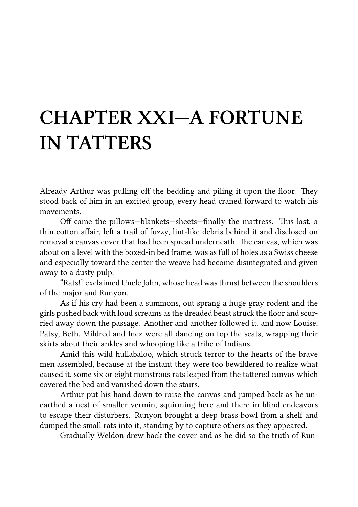### **CHAPTER XXI—A FORTUNE IN TATTERS**

Already Arthur was pulling off the bedding and piling it upon the floor. They stood back of him in an excited group, every head craned forward to watch his movements.

Off came the pillows—blankets—sheets—finally the mattress. This last, a thin cotton affair, left a trail of fuzzy, lint-like debris behind it and disclosed on removal a canvas cover that had been spread underneath. The canvas, which was about on a level with the boxed-in bed frame, was as full of holes as a Swiss cheese and especially toward the center the weave had become disintegrated and given away to a dusty pulp.

"Rats!" exclaimed Uncle John, whose head was thrust between the shoulders of the major and Runyon.

As if his cry had been a summons, out sprang a huge gray rodent and the girls pushed back with loud screams as the dreaded beast struck the floor and scurried away down the passage. Another and another followed it, and now Louise, Patsy, Beth, Mildred and Inez were all dancing on top the seats, wrapping their skirts about their ankles and whooping like a tribe of Indians.

Amid this wild hullabaloo, which struck terror to the hearts of the brave men assembled, because at the instant they were too bewildered to realize what caused it, some six or eight monstrous rats leaped from the tattered canvas which covered the bed and vanished down the stairs.

Arthur put his hand down to raise the canvas and jumped back as he unearthed a nest of smaller vermin, squirming here and there in blind endeavors to escape their disturbers. Runyon brought a deep brass bowl from a shelf and dumped the small rats into it, standing by to capture others as they appeared.

Gradually Weldon drew back the cover and as he did so the truth of Run-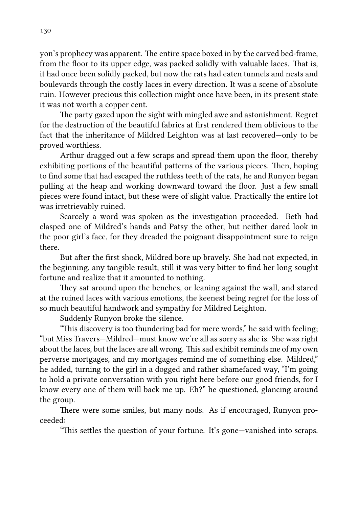yon's prophecy was apparent. The entire space boxed in by the carved bed-frame, from the floor to its upper edge, was packed solidly with valuable laces. That is, it had once been solidly packed, but now the rats had eaten tunnels and nests and boulevards through the costly laces in every direction. It was a scene of absolute ruin. However precious this collection might once have been, in its present state it was not worth a copper cent.

The party gazed upon the sight with mingled awe and astonishment. Regret for the destruction of the beautiful fabrics at first rendered them oblivious to the fact that the inheritance of Mildred Leighton was at last recovered—only to be proved worthless.

Arthur dragged out a few scraps and spread them upon the floor, thereby exhibiting portions of the beautiful patterns of the various pieces. Then, hoping to find some that had escaped the ruthless teeth of the rats, he and Runyon began pulling at the heap and working downward toward the floor. Just a few small pieces were found intact, but these were of slight value. Practically the entire lot was irretrievably ruined.

Scarcely a word was spoken as the investigation proceeded. Beth had clasped one of Mildred's hands and Patsy the other, but neither dared look in the poor girl's face, for they dreaded the poignant disappointment sure to reign there.

But after the first shock, Mildred bore up bravely. She had not expected, in the beginning, any tangible result; still it was very bitter to find her long sought fortune and realize that it amounted to nothing.

They sat around upon the benches, or leaning against the wall, and stared at the ruined laces with various emotions, the keenest being regret for the loss of so much beautiful handwork and sympathy for Mildred Leighton.

Suddenly Runyon broke the silence.

"This discovery is too thundering bad for mere words," he said with feeling; "but Miss Travers—Mildred—must know we're all as sorry as she is. She was right about the laces, but the laces are all wrong. This sad exhibit reminds me of my own perverse mortgages, and my mortgages remind me of something else. Mildred," he added, turning to the girl in a dogged and rather shamefaced way, "I'm going to hold a private conversation with you right here before our good friends, for I know every one of them will back me up. Eh?" he questioned, glancing around the group.

There were some smiles, but many nods. As if encouraged, Runyon proceeded:

"This settles the question of your fortune. It's gone—vanished into scraps.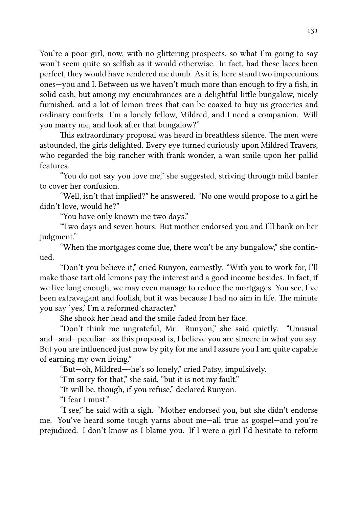You're a poor girl, now, with no glittering prospects, so what I'm going to say won't seem quite so selfish as it would otherwise. In fact, had these laces been perfect, they would have rendered me dumb. As it is, here stand two impecunious ones—you and I. Between us we haven't much more than enough to fry a fish, in solid cash, but among my encumbrances are a delightful little bungalow, nicely furnished, and a lot of lemon trees that can be coaxed to buy us groceries and ordinary comforts. I'm a lonely fellow, Mildred, and I need a companion. Will you marry me, and look after that bungalow?"

This extraordinary proposal was heard in breathless silence. The men were astounded, the girls delighted. Every eye turned curiously upon Mildred Travers, who regarded the big rancher with frank wonder, a wan smile upon her pallid features.

"You do not say you love me," she suggested, striving through mild banter to cover her confusion.

"Well, isn't that implied?" he answered. "No one would propose to a girl he didn't love, would he?"

"You have only known me two days."

"Two days and seven hours. But mother endorsed you and I'll bank on her judgment."

"When the mortgages come due, there won't be any bungalow," she continued.

"Don't you believe it," cried Runyon, earnestly. "With you to work for, I'll make those tart old lemons pay the interest and a good income besides. In fact, if we live long enough, we may even manage to reduce the mortgages. You see, I've been extravagant and foolish, but it was because I had no aim in life. The minute you say 'yes,' I'm a reformed character."

She shook her head and the smile faded from her face.

"Don't think me ungrateful, Mr. Runyon," she said quietly. "Unusual and—and—peculiar—as this proposal is, I believe you are sincere in what you say. But you are influenced just now by pity for me and I assure you I am quite capable of earning my own living."

"But—oh, Mildred—-he's so lonely," cried Patsy, impulsively.

"I'm sorry for that," she said, "but it is not my fault."

"It will be, though, if you refuse," declared Runyon.

"I fear I must."

"I see," he said with a sigh. "Mother endorsed you, but she didn't endorse me. You've heard some tough yarns about me—all true as gospel—and you're prejudiced. I don't know as I blame you. If I were a girl I'd hesitate to reform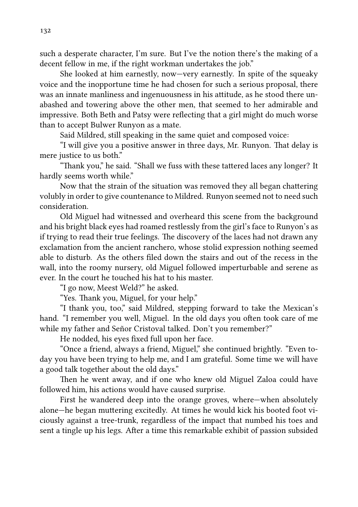such a desperate character, I'm sure. But I've the notion there's the making of a decent fellow in me, if the right workman undertakes the job."

She looked at him earnestly, now—very earnestly. In spite of the squeaky voice and the inopportune time he had chosen for such a serious proposal, there was an innate manliness and ingenuousness in his attitude, as he stood there unabashed and towering above the other men, that seemed to her admirable and impressive. Both Beth and Patsy were reflecting that a girl might do much worse than to accept Bulwer Runyon as a mate.

Said Mildred, still speaking in the same quiet and composed voice:

"I will give you a positive answer in three days, Mr. Runyon. That delay is mere justice to us both."

"Thank you," he said. "Shall we fuss with these tattered laces any longer? It hardly seems worth while."

Now that the strain of the situation was removed they all began chattering volubly in order to give countenance to Mildred. Runyon seemed not to need such consideration.

Old Miguel had witnessed and overheard this scene from the background and his bright black eyes had roamed restlessly from the girl's face to Runyon's as if trying to read their true feelings. The discovery of the laces had not drawn any exclamation from the ancient ranchero, whose stolid expression nothing seemed able to disturb. As the others filed down the stairs and out of the recess in the wall, into the roomy nursery, old Miguel followed imperturbable and serene as ever. In the court he touched his hat to his master.

"I go now, Meest Weld?" he asked.

"Yes. Thank you, Miguel, for your help."

"I thank you, too," said Mildred, stepping forward to take the Mexican's hand. "I remember you well, Miguel. In the old days you often took care of me while my father and Señor Cristoval talked. Don't you remember?"

He nodded, his eyes fixed full upon her face.

"Once a friend, always a friend, Miguel," she continued brightly. "Even today you have been trying to help me, and I am grateful. Some time we will have a good talk together about the old days."

Then he went away, and if one who knew old Miguel Zaloa could have followed him, his actions would have caused surprise.

First he wandered deep into the orange groves, where—when absolutely alone—he began muttering excitedly. At times he would kick his booted foot viciously against a tree-trunk, regardless of the impact that numbed his toes and sent a tingle up his legs. After a time this remarkable exhibit of passion subsided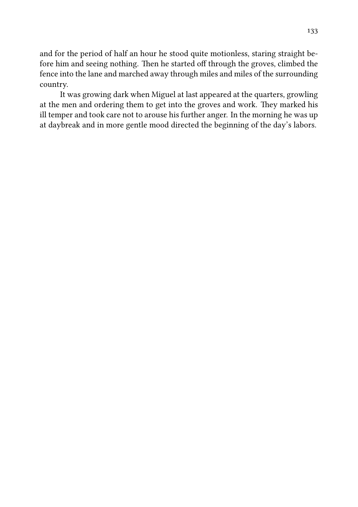and for the period of half an hour he stood quite motionless, staring straight before him and seeing nothing. Then he started off through the groves, climbed the fence into the lane and marched away through miles and miles of the surrounding country.

It was growing dark when Miguel at last appeared at the quarters, growling at the men and ordering them to get into the groves and work. They marked his ill temper and took care not to arouse his further anger. In the morning he was up at daybreak and in more gentle mood directed the beginning of the day's labors.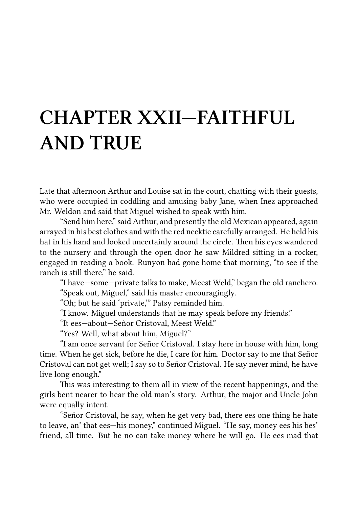### **CHAPTER XXII—FAITHFUL AND TRUE**

Late that afternoon Arthur and Louise sat in the court, chatting with their guests, who were occupied in coddling and amusing baby Jane, when Inez approached Mr. Weldon and said that Miguel wished to speak with him.

"Send him here," said Arthur, and presently the old Mexican appeared, again arrayed in his best clothes and with the red necktie carefully arranged. He held his hat in his hand and looked uncertainly around the circle. Then his eyes wandered to the nursery and through the open door he saw Mildred siing in a rocker, engaged in reading a book. Runyon had gone home that morning, "to see if the ranch is still there," he said.

"I have—some—private talks to make, Meest Weld," began the old ranchero. "Speak out, Miguel," said his master encouragingly.

"Oh; but he said 'private,'" Patsy reminded him.

"I know. Miguel understands that he may speak before my friends."

"It ees—about—Señor Cristoval, Meest Weld."

"Yes? Well, what about him, Miguel?"

"I am once servant for Señor Cristoval. I stay here in house with him, long time. When he get sick, before he die, I care for him. Doctor say to me that Señor Cristoval can not get well; I say so to Señor Cristoval. He say never mind, he have live long enough."

This was interesting to them all in view of the recent happenings, and the girls bent nearer to hear the old man's story. Arthur, the major and Uncle John were equally intent.

"Señor Cristoval, he say, when he get very bad, there ees one thing he hate to leave, an' that ees—his money," continued Miguel. "He say, money ees his bes' friend, all time. But he no can take money where he will go. He ees mad that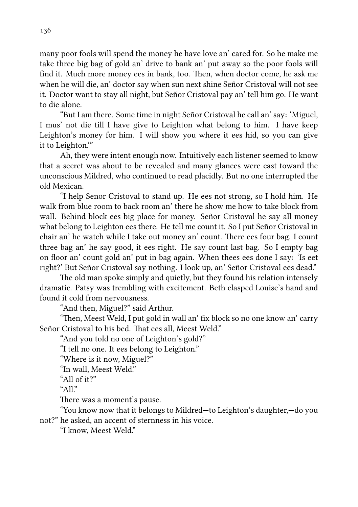many poor fools will spend the money he have love an' cared for. So he make me take three big bag of gold an' drive to bank an' put away so the poor fools will find it. Much more money ees in bank, too. Then, when doctor come, he ask me when he will die, an' doctor say when sun next shine Señor Cristoval will not see it. Doctor want to stay all night, but Señor Cristoval pay an' tell him go. He want to die alone.

"But I am there. Some time in night Señor Cristoval he call an' say: 'Miguel, I mus' not die till I have give to Leighton what belong to him. I have keep Leighton's money for him. I will show you where it ees hid, so you can give it to Leighton.'"

Ah, they were intent enough now. Intuitively each listener seemed to know that a secret was about to be revealed and many glances were cast toward the unconscious Mildred, who continued to read placidly. But no one interrupted the old Mexican.

"I help Senor Cristoval to stand up. He ees not strong, so I hold him. He walk from blue room to back room an' there he show me how to take block from wall. Behind block ees big place for money. Señor Cristoval he say all money what belong to Leighton ees there. He tell me count it. So I put Señor Cristoval in chair an' he watch while I take out money an' count. There ees four bag. I count three bag an' he say good, it ees right. He say count last bag. So I empty bag on floor an' count gold an' put in bag again. When thees ees done I say: 'Is eet right?' But Señor Cristoval say nothing. I look up, an' Señor Cristoval ees dead."

The old man spoke simply and quietly, but they found his relation intensely dramatic. Patsy was trembling with excitement. Beth clasped Louise's hand and found it cold from nervousness.

"And then, Miguel?" said Arthur.

"Then, Meest Weld, I put gold in wall an' fix block so no one know an' carry Señor Cristoval to his bed. That ees all, Meest Weld."

"And you told no one of Leighton's gold?"

"I tell no one. It ees belong to Leighton."

"Where is it now, Miguel?"

"In wall, Meest Weld."

"All of it?"

" $A$ l."

There was a moment's pause.

"You know now that it belongs to Mildred—to Leighton's daughter,—do you not?" he asked, an accent of sternness in his voice.

"I know, Meest Weld."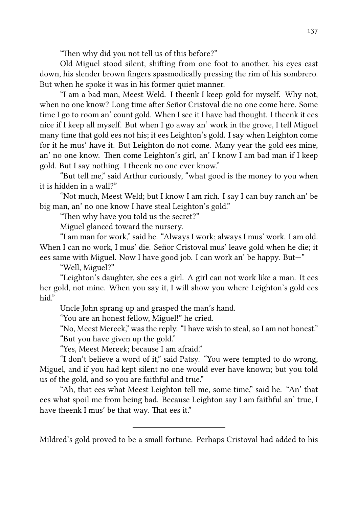"Then why did you not tell us of this before?"

Old Miguel stood silent, shifting from one foot to another, his eyes cast down, his slender brown fingers spasmodically pressing the rim of his sombrero. But when he spoke it was in his former quiet manner.

"I am a bad man, Meest Weld. I theenk I keep gold for myself. Why not, when no one know? Long time after Señor Cristoval die no one come here. Some time I go to room an' count gold. When I see it I have bad thought. I theenk it ees nice if I keep all myself. But when I go away an' work in the grove, I tell Miguel many time that gold ees not his; it ees Leighton's gold. I say when Leighton come for it he mus' have it. But Leighton do not come. Many year the gold ees mine, an' no one know. Then come Leighton's girl, an' I know I am bad man if I keep gold. But I say nothing. I theenk no one ever know."

"But tell me," said Arthur curiously, "what good is the money to you when it is hidden in a wall?"

"Not much, Meest Weld; but I know I am rich. I say I can buy ranch an' be big man, an' no one know I have steal Leighton's gold."

"Then why have you told us the secret?"

Miguel glanced toward the nursery.

"I am man for work," said he. "Always I work; always I mus' work. I am old. When I can no work, I mus' die. Señor Cristoval mus' leave gold when he die; it ees same with Miguel. Now I have good job. I can work an' be happy. But—"

"Well, Miguel?"

"Leighton's daughter, she ees a girl. A girl can not work like a man. It ees her gold, not mine. When you say it, I will show you where Leighton's gold ees hid"

Uncle John sprang up and grasped the man's hand.

"You are an honest fellow, Miguel!" he cried.

"No, Meest Mereek," was the reply. "I have wish to steal, so I am not honest." "But you have given up the gold."

"Yes, Meest Mereek; because I am afraid."

"I don't believe a word of it," said Patsy. "You were tempted to do wrong, Miguel, and if you had kept silent no one would ever have known; but you told us of the gold, and so you are faithful and true."

"Ah, that ees what Meest Leighton tell me, some time," said he. "An' that ees what spoil me from being bad. Because Leighton say I am faithful an' true, I have theenk I mus' be that way. That ees it."

Mildred's gold proved to be a small fortune. Perhaps Cristoval had added to his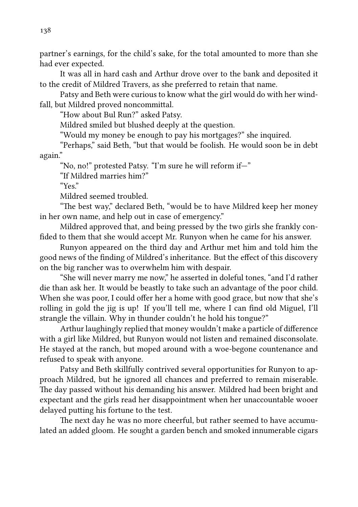partner's earnings, for the child's sake, for the total amounted to more than she had ever expected.

It was all in hard cash and Arthur drove over to the bank and deposited it to the credit of Mildred Travers, as she preferred to retain that name.

Patsy and Beth were curious to know what the girl would do with her windfall, but Mildred proved noncommittal.

"How about Bul Run?" asked Patsy.

Mildred smiled but blushed deeply at the question.

"Would my money be enough to pay his mortgages?" she inquired.

"Perhaps," said Beth, "but that would be foolish. He would soon be in debt again."

"No, no!" protested Patsy. "I'm sure he will reform if—"

"If Mildred marries him?"

"Yes."

Mildred seemed troubled.

"The best way," declared Beth, "would be to have Mildred keep her money in her own name, and help out in case of emergency."

Mildred approved that, and being pressed by the two girls she frankly confided to them that she would accept Mr. Runyon when he came for his answer.

Runyon appeared on the third day and Arthur met him and told him the good news of the finding of Mildred's inheritance. But the effect of this discovery on the big rancher was to overwhelm him with despair.

"She will never marry me now," he asserted in doleful tones, "and I'd rather die than ask her. It would be beastly to take such an advantage of the poor child. When she was poor, I could offer her a home with good grace, but now that she's rolling in gold the jig is up! If you'll tell me, where I can find old Miguel, I'll strangle the villain. Why in thunder couldn't he hold his tongue?"

Arthur laughingly replied that money wouldn't make a particle of difference with a girl like Mildred, but Runyon would not listen and remained disconsolate. He stayed at the ranch, but moped around with a woe-begone countenance and refused to speak with anyone.

Patsy and Beth skillfully contrived several opportunities for Runyon to approach Mildred, but he ignored all chances and preferred to remain miserable. The day passed without his demanding his answer. Mildred had been bright and expectant and the girls read her disappointment when her unaccountable wooer delayed putting his fortune to the test.

The next day he was no more cheerful, but rather seemed to have accumulated an added gloom. He sought a garden bench and smoked innumerable cigars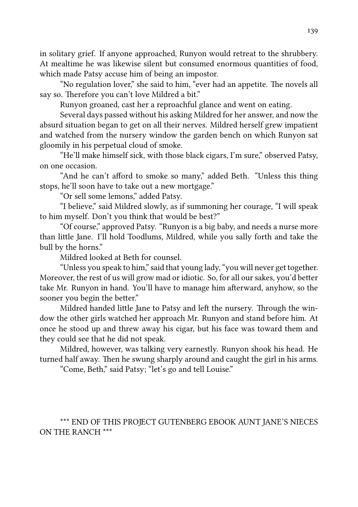in solitary grief. If anyone approached, Runyon would retreat to the shrubbery. At mealtime he was likewise silent but consumed enormous quantities of food, which made Patsy accuse him of being an impostor.

"No regulation lover," she said to him, "ever had an appetite. The novels all say so. Therefore you can't love Mildred a bit."

Runyon groaned, cast her a reproachful glance and went on eating.

Several days passed without his asking Mildred for her answer, and now the absurd situation began to get on all their nerves. Mildred herself grew impatient and watched from the nursery window the garden bench on which Runyon sat gloomily in his perpetual cloud of smoke.

"He'll make himself sick, with those black cigars, I'm sure," observed Patsy, on one occasion.

"And he can't afford to smoke so many," added Beth. "Unless this thing stops, he'll soon have to take out a new mortgage."

"Or sell some lemons," added Patsy.

"I believe," said Mildred slowly, as if summoning her courage, "I will speak to him myself. Don't you think that would be best?"

"Of course," approved Patsy. "Runyon is a big baby, and needs a nurse more than little Jane. I'll hold Toodlums, Mildred, while you sally forth and take the bull by the horns."

Mildred looked at Beth for counsel.

"Unless you speak to him," said that young lady, "you will never get together. Moreover, the rest of us will grow mad or idiotic. So, for all our sakes, you'd better take Mr. Runyon in hand. You'll have to manage him afterward, anyhow, so the sooner you begin the better."

Mildred handed little Jane to Patsy and left the nursery. Through the window the other girls watched her approach Mr. Runyon and stand before him. At once he stood up and threw away his cigar, but his face was toward them and they could see that he did not speak.

Mildred, however, was talking very earnestly. Runyon shook his head. He turned half away. Then he swung sharply around and caught the girl in his arms.

"Come, Beth," said Patsy; "let's go and tell Louise."

\*\*\* END OF THIS PROJECT GUTENBERG EBOOK AUNT JANE'S NIECES ON THE RANCH \*\*\*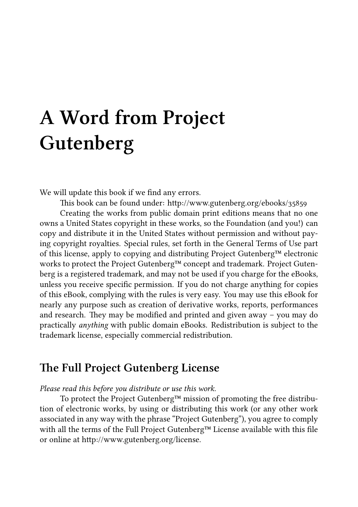# **A Word from Project Gutenberg**

We will update this book if we find any errors.

This book can be found under: http://www.gutenberg.org/ebooks/35859

Creating the works from public domain print editions means that no one owns a United States copyright in these works, so the Foundation (and you!) can copy and distribute it in the United States without permission and without paying copyright royalties. Special rules, set forth in the General Terms of Use part of this license, apply to copying and distributing Project Gutenberg™ electronic works to protect the Project Gutenberg™ concept and trademark. Project Gutenberg is a registered trademark, and may not be used if you charge for the eBooks, unless you receive specific permission. If you do not charge anything for copies of this eBook, complying with the rules is very easy. You may use this eBook for nearly any purpose such as creation of derivative works, reports, performances and research. They may be modified and printed and given away – you may do practically *anything* with public domain eBooks. Redistribution is subject to the trademark license, especially commercial redistribution.

#### **e Full Project Gutenberg License**

#### *Please read this before you distribute or use this work.*

To protect the Project Gutenberg™ mission of promoting the free distribution of electronic works, by using or distributing this work (or any other work associated in any way with the phrase "Project Gutenberg"), you agree to comply with all the terms of the Full Project Gutenberg™ License available with this file or online at http://www.gutenberg.org/license.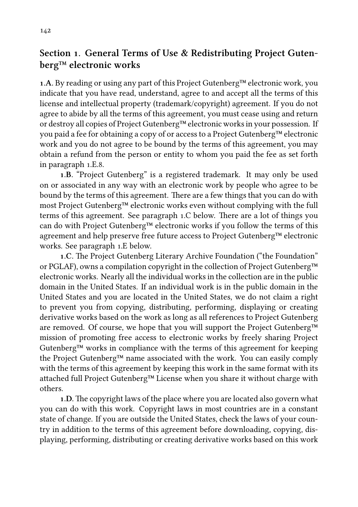#### **Section . General Terms of Use & Redistributing Project Gutenberg™ electronic works**

**.A.** By reading or using any part of this Project Gutenberg™ electronic work, you indicate that you have read, understand, agree to and accept all the terms of this license and intellectual property (trademark/copyright) agreement. If you do not agree to abide by all the terms of this agreement, you must cease using and return or destroy all copies of Project Gutenberg™ electronic works in your possession. If you paid a fee for obtaining a copy of or access to a Project Gutenberg™ electronic work and you do not agree to be bound by the terms of this agreement, you may obtain a refund from the person or entity to whom you paid the fee as set forth in paragraph 1.E.8.

**.B.** "Project Gutenberg" is a registered trademark. It may only be used on or associated in any way with an electronic work by people who agree to be bound by the terms of this agreement. There are a few things that you can do with most Project Gutenberg™ electronic works even without complying with the full terms of this agreement. See paragraph 1.C below. There are a lot of things you can do with Project Gutenberg™ electronic works if you follow the terms of this agreement and help preserve free future access to Project Gutenberg™ electronic works. See paragraph  $1.E$  below.

1.C. The Project Gutenberg Literary Archive Foundation ("the Foundation" or PGLAF), owns a compilation copyright in the collection of Project Gutenberg™ electronic works. Nearly all the individual works in the collection are in the public domain in the United States. If an individual work is in the public domain in the United States and you are located in the United States, we do not claim a right to prevent you from copying, distributing, performing, displaying or creating derivative works based on the work as long as all references to Project Gutenberg are removed. Of course, we hope that you will support the Project Gutenberg™ mission of promoting free access to electronic works by freely sharing Project Gutenberg™ works in compliance with the terms of this agreement for keeping the Project Gutenberg™ name associated with the work. You can easily comply with the terms of this agreement by keeping this work in the same format with its attached full Project Gutenberg™ License when you share it without charge with others.

1.D. The copyright laws of the place where you are located also govern what you can do with this work. Copyright laws in most countries are in a constant state of change. If you are outside the United States, check the laws of your country in addition to the terms of this agreement before downloading, copying, displaying, performing, distributing or creating derivative works based on this work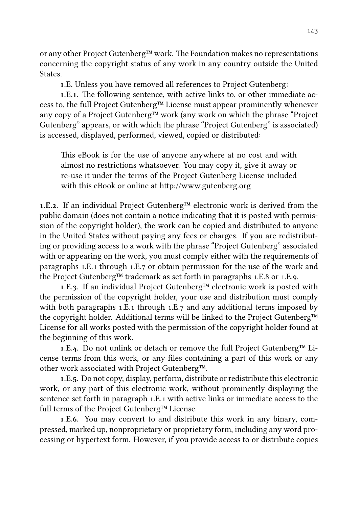or any other Project Gutenberg™ work. The Foundation makes no representations concerning the copyright status of any work in any country outside the United **States** 

**.E.** Unless you have removed all references to Project Gutenberg:

1.E.1. The following sentence, with active links to, or other immediate access to, the full Project Gutenberg™ License must appear prominently whenever any copy of a Project Gutenberg™ work (any work on which the phrase "Project Gutenberg" appears, or with which the phrase "Project Gutenberg" is associated) is accessed, displayed, performed, viewed, copied or distributed:

This eBook is for the use of anyone anywhere at no cost and with almost no restrictions whatsoever. You may copy it, give it away or re-use it under the terms of the Project Gutenberg License included with this eBook or online at http://www.gutenberg.org

**.E..** If an individual Project Gutenberg™ electronic work is derived from the public domain (does not contain a notice indicating that it is posted with permission of the copyright holder), the work can be copied and distributed to anyone in the United States without paying any fees or charges. If you are redistributing or providing access to a work with the phrase "Project Gutenberg" associated with or appearing on the work, you must comply either with the requirements of paragraphs 1.E. through 1.E. or obtain permission for the use of the work and the Project Gutenberg<sup>™</sup> trademark as set forth in paragraphs  $1.E.8$  or  $1.E.9$ .

**.E..** If an individual Project Gutenberg™ electronic work is posted with the permission of the copyright holder, your use and distribution must comply with both paragraphs  $1.E.1$  through  $1.E.7$  and any additional terms imposed by the copyright holder. Additional terms will be linked to the Project Gutenberg™ License for all works posted with the permission of the copyright holder found at the beginning of this work.

**1.E.4.** Do not unlink or detach or remove the full Project Gutenberg™ License terms from this work, or any files containing a part of this work or any other work associated with Project Gutenberg™.

**.E..** Do not copy, display, perform, distribute or redistribute this electronic work, or any part of this electronic work, without prominently displaying the sentence set forth in paragraph .E. with active links or immediate access to the full terms of the Project Gutenberg™ License.

**1.E.6.** You may convert to and distribute this work in any binary, compressed, marked up, nonproprietary or proprietary form, including any word processing or hypertext form. However, if you provide access to or distribute copies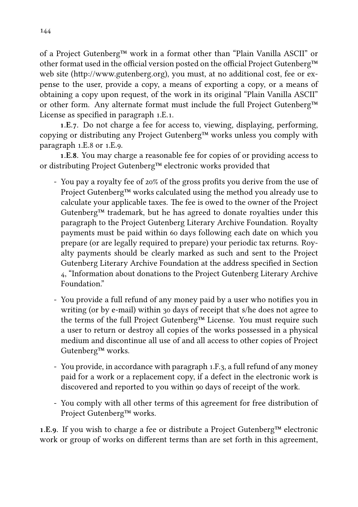of a Project Gutenberg™ work in a format other than "Plain Vanilla ASCII" or other format used in the official version posted on the official Project Gutenberg™ web site (http://www.gutenberg.org), you must, at no additional cost, fee or expense to the user, provide a copy, a means of exporting a copy, or a means of obtaining a copy upon request, of the work in its original "Plain Vanilla ASCII" or other form. Any alternate format must include the full Project Gutenberg™ License as specified in paragraph 1.E.1.

1.E.7. Do not charge a fee for access to, viewing, displaying, performing, copying or distributing any Project Gutenberg™ works unless you comply with paragraph 1.E.8 or 1.E.9.

1.E.8. You may charge a reasonable fee for copies of or providing access to or distributing Project Gutenberg™ electronic works provided that

- You pay a royalty fee of 20% of the gross profits you derive from the use of Project Gutenberg™ works calculated using the method you already use to calculate your applicable taxes. The fee is owed to the owner of the Project Gutenberg<sup> $m$ </sup> trademark, but he has agreed to donate royalties under this paragraph to the Project Gutenberg Literary Archive Foundation. Royalty payments must be paid within 60 days following each date on which you prepare (or are legally required to prepare) your periodic tax returns. Royalty payments should be clearly marked as such and sent to the Project Gutenberg Literary Archive Foundation at the address specified in Section , "Information about donations to the Project Gutenberg Literary Archive Foundation."
- You provide a full refund of any money paid by a user who notifies you in writing (or by e-mail) within 30 days of receipt that s/he does not agree to the terms of the full Project Gutenberg™ License. You must require such a user to return or destroy all copies of the works possessed in a physical medium and discontinue all use of and all access to other copies of Project Gutenberg™ works.
- You provide, in accordance with paragraph 1.F.3, a full refund of any money paid for a work or a replacement copy, if a defect in the electronic work is discovered and reported to you within 90 days of receipt of the work.
- You comply with all other terms of this agreement for free distribution of Project Gutenberg™ works.

**1.E.9.** If you wish to charge a fee or distribute a Project Gutenberg<sup>™</sup> electronic work or group of works on different terms than are set forth in this agreement,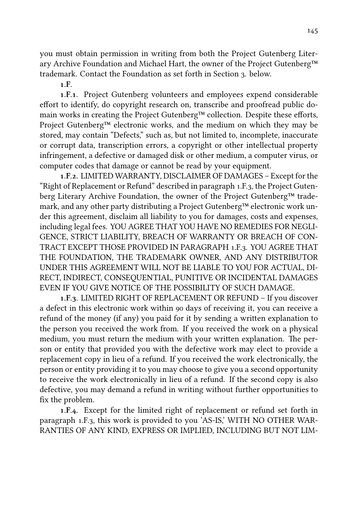you must obtain permission in writing from both the Project Gutenberg Literary Archive Foundation and Michael Hart, the owner of the Project Gutenberg™ trademark. Contact the Foundation as set forth in Section 3. below.

**.F.**

**.F..** Project Gutenberg volunteers and employees expend considerable effort to identify, do copyright research on, transcribe and proofread public domain works in creating the Project Gutenberg™ collection. Despite these efforts, Project Gutenberg™ electronic works, and the medium on which they may be stored, may contain "Defects," such as, but not limited to, incomplete, inaccurate or corrupt data, transcription errors, a copyright or other intellectual property infringement, a defective or damaged disk or other medium, a computer virus, or computer codes that damage or cannot be read by your equipment.

**.F..** LIMITED WARRANTY, DISCLAIMER OF DAMAGES – Except for the "Right of Replacement or Refund" described in paragraph .F., the Project Gutenberg Literary Archive Foundation, the owner of the Project Gutenberg™ trademark, and any other party distributing a Project Gutenberg™ electronic work under this agreement, disclaim all liability to you for damages, costs and expenses, including legal fees. YOU AGREE THAT YOU HAVE NO REMEDIES FOR NEGLI-GENCE, STRICT LIABILITY, BREACH OF WARRANTY OR BREACH OF CON-TRACT EXCEPT THOSE PROVIDED IN PARAGRAPH 1.F.3. YOU AGREE THAT THE FOUNDATION, THE TRADEMARK OWNER, AND ANY DISTRIBUTOR UNDER THIS AGREEMENT WILL NOT BE LIABLE TO YOU FOR ACTUAL, DI-RECT, INDIRECT, CONSEQUENTIAL, PUNITIVE OR INCIDENTAL DAMAGES EVEN IF YOU GIVE NOTICE OF THE POSSIBILITY OF SUCH DAMAGE.

1.F.3. LIMITED RIGHT OF REPLACEMENT OR REFUND - If you discover a defect in this electronic work within 90 days of receiving it, you can receive a refund of the money (if any) you paid for it by sending a written explanation to the person you received the work from. If you received the work on a physical medium, you must return the medium with your written explanation. The person or entity that provided you with the defective work may elect to provide a replacement copy in lieu of a refund. If you received the work electronically, the person or entity providing it to you may choose to give you a second opportunity to receive the work electronically in lieu of a refund. If the second copy is also defective, you may demand a refund in writing without further opportunities to fix the problem.

**.F..** Except for the limited right of replacement or refund set forth in paragraph 1.F.3, this work is provided to you 'AS-IS,' WITH NO OTHER WAR-RANTIES OF ANY KIND, EXPRESS OR IMPLIED, INCLUDING BUT NOT LIM-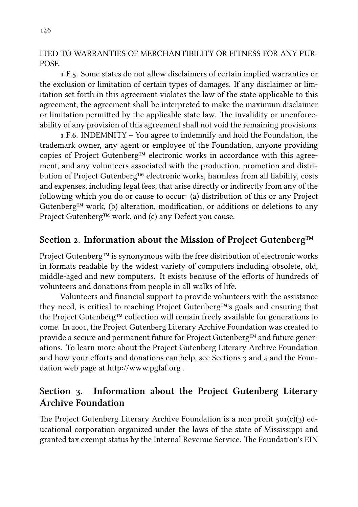ITED TO WARRANTIES OF MERCHANTIBILITY OR FITNESS FOR ANY PUR-POSE.

**.F..** Some states do not allow disclaimers of certain implied warranties or the exclusion or limitation of certain types of damages. If any disclaimer or limitation set forth in this agreement violates the law of the state applicable to this agreement, the agreement shall be interpreted to make the maximum disclaimer or limitation permitted by the applicable state law. The invalidity or unenforceability of any provision of this agreement shall not void the remaining provisions.

**1.F.6. INDEMNITY** – You agree to indemnify and hold the Foundation, the trademark owner, any agent or employee of the Foundation, anyone providing copies of Project Gutenberg™ electronic works in accordance with this agreement, and any volunteers associated with the production, promotion and distribution of Project Gutenberg™ electronic works, harmless from all liability, costs and expenses, including legal fees, that arise directly or indirectly from any of the following which you do or cause to occur: (a) distribution of this or any Project Gutenberg<sup>TM</sup> work, (b) alteration, modification, or additions or deletions to any Project Gutenberg™ work, and (c) any Defect you cause.

## Section 2. Information about the Mission of Project Gutenberg™

Project Gutenberg™ is synonymous with the free distribution of electronic works in formats readable by the widest variety of computers including obsolete, old, middle-aged and new computers. It exists because of the efforts of hundreds of volunteers and donations from people in all walks of life.

Volunteers and financial support to provide volunteers with the assistance they need, is critical to reaching Project Gutenberg™'s goals and ensuring that the Project Gutenberg™ collection will remain freely available for generations to come. In 2001, the Project Gutenberg Literary Archive Foundation was created to provide a secure and permanent future for Project Gutenberg™ and future generations. To learn more about the Project Gutenberg Literary Archive Foundation and how your efforts and donations can help, see Sections  $\alpha$  and  $\alpha$  and the Foundation web page at http://www.pglaf.org.

## Section 3. Information about the Project Gutenberg Literary **Archive Foundation**

The Project Gutenberg Literary Archive Foundation is a non profit  $501(c)(3)$  educational corporation organized under the laws of the state of Mississippi and granted tax exempt status by the Internal Revenue Service. The Foundation's EIN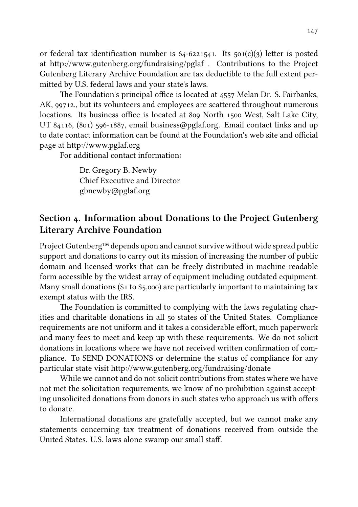or federal tax identification number is  $64-6221541$ . Its  $501(c)(3)$  letter is posted at http://www.gutenberg.org/fundraising/pglaf . Contributions to the Project Gutenberg Literary Archive Foundation are tax deductible to the full extent permitted by U.S. federal laws and your state's laws.

The Foundation's principal office is located at 4557 Melan Dr. S. Fairbanks, AK, 99712., but its volunteers and employees are scattered throughout numerous locations. Its business office is located at 809 North 1500 West, Salt Lake City, UT 84116, (801) 596-1887, email business@pglaf.org. Email contact links and up to date contact information can be found at the Foundation's web site and official page at http://www.pglaf.org

For additional contact information:

Dr. Gregory B. Newby Chief Executive and Director gbnewby@pglaf.org

## Section 4. Information about Donations to the Project Gutenberg **Literary Archive Foundation**

Project Gutenberg™ depends upon and cannot survive without wide spread public support and donations to carry out its mission of increasing the number of public domain and licensed works that can be freely distributed in machine readable form accessible by the widest array of equipment including outdated equipment. Many small donations ( $$1$  to  $$5,000$ ) are particularly important to maintaining tax exempt status with the IRS.

The Foundation is committed to complying with the laws regulating charities and charitable donations in all 50 states of the United States. Compliance requirements are not uniform and it takes a considerable effort, much paperwork and many fees to meet and keep up with these requirements. We do not solicit donations in locations where we have not received written confirmation of compliance. To SEND DONATIONS or determine the status of compliance for any particular state visit http://www.gutenberg.org/fundraising/donate

While we cannot and do not solicit contributions from states where we have not met the solicitation requirements, we know of no prohibition against accepting unsolicited donations from donors in such states who approach us with offers to donate.

International donations are gratefully accepted, but we cannot make any statements concerning tax treatment of donations received from outside the United States. U.S. laws alone swamp our small staff.